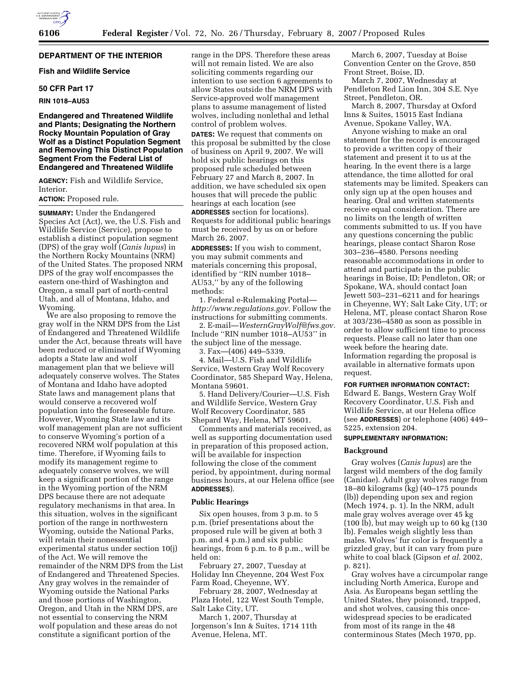## **DEPARTMENT OF THE INTERIOR**

## **Fish and Wildlife Service**

## **50 CFR Part 17**

#### **RIN 1018–AU53**

## **Endangered and Threatened Wildlife and Plants; Designating the Northern Rocky Mountain Population of Gray Wolf as a Distinct Population Segment and Removing This Distinct Population Segment From the Federal List of Endangered and Threatened Wildlife**

**AGENCY:** Fish and Wildlife Service, Interior.

**ACTION:** Proposed rule.

**SUMMARY:** Under the Endangered Species Act (Act), we, the U.S. Fish and Wildlife Service (Service), propose to establish a distinct population segment (DPS) of the gray wolf (*Canis lupus*) in the Northern Rocky Mountains (NRM) of the United States. The proposed NRM DPS of the gray wolf encompasses the eastern one-third of Washington and Oregon, a small part of north-central Utah, and all of Montana, Idaho, and Wyoming.

We are also proposing to remove the gray wolf in the NRM DPS from the List of Endangered and Threatened Wildlife under the Act, because threats will have been reduced or eliminated if Wyoming adopts a State law and wolf management plan that we believe will adequately conserve wolves. The States of Montana and Idaho have adopted State laws and management plans that would conserve a recovered wolf population into the foreseeable future. However, Wyoming State law and its wolf management plan are not sufficient to conserve Wyoming's portion of a recovered NRM wolf population at this time. Therefore, if Wyoming fails to modify its management regime to adequately conserve wolves, we will keep a significant portion of the range in the Wyoming portion of the NRM DPS because there are not adequate regulatory mechanisms in that area. In this situation, wolves in the significant portion of the range in northwestern Wyoming, outside the National Parks, will retain their nonessential experimental status under section 10(j) of the Act. We will remove the remainder of the NRM DPS from the List of Endangered and Threatened Species. Any gray wolves in the remainder of Wyoming outside the National Parks and those portions of Washington, Oregon, and Utah in the NRM DPS, are not essential to conserving the NRM wolf population and these areas do not constitute a significant portion of the

range in the DPS. Therefore these areas will not remain listed. We are also soliciting comments regarding our intention to use section 6 agreements to allow States outside the NRM DPS with Service-approved wolf management plans to assume management of listed wolves, including nonlethal and lethal control of problem wolves.

**DATES:** We request that comments on this proposal be submitted by the close of business on April 9, 2007. We will hold six public hearings on this proposed rule scheduled between February 27 and March 8, 2007. In addition, we have scheduled six open houses that will precede the public hearings at each location (see **ADDRESSES** section for locations). Requests for additional public hearings must be received by us on or before March 26, 2007.

**ADDRESSES:** If you wish to comment, you may submit comments and materials concerning this proposal, identified by ''RIN number 1018– AU53,'' by any of the following methods:

1. Federal e-Rulemaking Portal *http://www.regulations.gov.* Follow the instructions for submitting comments.

2. E-mail—*WesternGrayWolf@fws.gov.*  Include ''RIN number 1018–AU53'' in the subject line of the message.

3. Fax—(406) 449–5339.

4. Mail—U.S. Fish and Wildlife Service, Western Gray Wolf Recovery Coordinator, 585 Shepard Way, Helena, Montana 59601.

5. Hand Delivery/Courier—U.S. Fish and Wildlife Service, Western Gray Wolf Recovery Coordinator, 585 Shepard Way, Helena, MT 59601.

Comments and materials received, as well as supporting documentation used in preparation of this proposed action, will be available for inspection following the close of the comment period, by appointment, during normal business hours, at our Helena office (see **ADDRESSES**).

#### **Public Hearings**

Six open houses, from 3 p.m. to 5 p.m. (brief presentations about the proposed rule will be given at both 3 p.m. and 4 p.m.) and six public hearings, from 6 p.m. to 8 p.m., will be held on:

February 27, 2007, Tuesday at Holiday Inn Cheyenne, 204 West Fox Farm Road, Cheyenne, WY.

February 28, 2007, Wednesday at Plaza Hotel, 122 West South Temple, Salt Lake City, UT.

March 1, 2007, Thursday at Jorgenson's Inn & Suites, 1714 11th Avenue, Helena, MT.

March 6, 2007, Tuesday at Boise Convention Center on the Grove, 850 Front Street, Boise, ID.

March 7, 2007, Wednesday at Pendleton Red Lion Inn, 304 S.E. Nye Street, Pendleton, OR.

March 8, 2007, Thursday at Oxford Inns & Suites, 15015 East Indiana Avenue, Spokane Valley, WA.

Anyone wishing to make an oral statement for the record is encouraged to provide a written copy of their statement and present it to us at the hearing. In the event there is a large attendance, the time allotted for oral statements may be limited. Speakers can only sign up at the open houses and hearing. Oral and written statements receive equal consideration. There are no limits on the length of written comments submitted to us. If you have any questions concerning the public hearings, please contact Sharon Rose 303–236–4580. Persons needing reasonable accommodations in order to attend and participate in the public hearings in Boise, ID; Pendleton, OR; or Spokane, WA, should contact Joan Jewett 503–231–6211 and for hearings in Cheyenne, WY; Salt Lake City, UT; or Helena, MT, please contact Sharon Rose at 303/236–4580 as soon as possible in order to allow sufficient time to process requests. Please call no later than one week before the hearing date. Information regarding the proposal is available in alternative formats upon request.

## **FOR FURTHER INFORMATION CONTACT:**

Edward E. Bangs, Western Gray Wolf Recovery Coordinator, U.S. Fish and Wildlife Service, at our Helena office (see **ADDRESSES**) or telephone (406) 449– 5225, extension 204.

## **SUPPLEMENTARY INFORMATION:**

#### **Background**

Gray wolves (*Canis lupus*) are the largest wild members of the dog family (Canidae). Adult gray wolves range from 18–80 kilograms (kg) (40–175 pounds (lb)) depending upon sex and region (Mech 1974, p. 1). In the NRM, adult male gray wolves average over 45 kg (100 lb), but may weigh up to 60 kg (130 lb). Females weigh slightly less than males. Wolves' fur color is frequently a grizzled gray, but it can vary from pure white to coal black (Gipson *et al*. 2002, p. 821).

Gray wolves have a circumpolar range including North America, Europe and Asia. As Europeans began settling the United States, they poisoned, trapped, and shot wolves, causing this oncewidespread species to be eradicated from most of its range in the 48 conterminous States (Mech 1970, pp.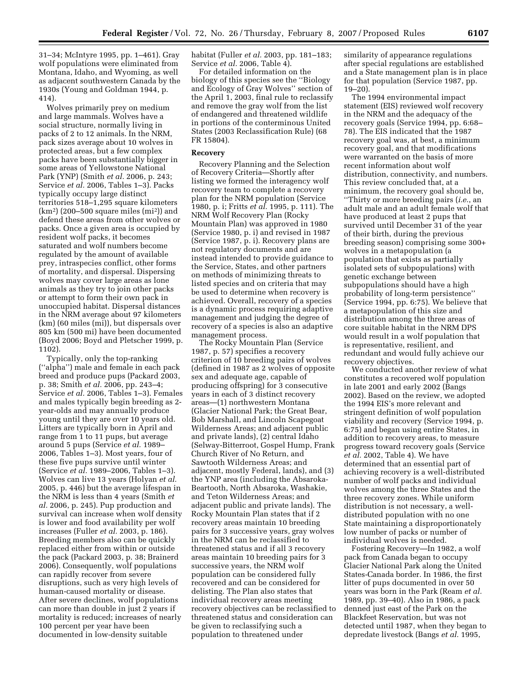31–34; McIntyre 1995, pp. 1–461). Gray wolf populations were eliminated from Montana, Idaho, and Wyoming, as well as adjacent southwestern Canada by the 1930s (Young and Goldman 1944, p. 414).

Wolves primarily prey on medium and large mammals. Wolves have a social structure, normally living in packs of 2 to 12 animals. In the NRM, pack sizes average about 10 wolves in protected areas, but a few complex packs have been substantially bigger in some areas of Yellowstone National Park (YNP) (Smith *et al.* 2006, p. 243; Service *et al.* 2006, Tables 1–3). Packs typically occupy large distinct territories 518–1,295 square kilometers  $(km<sup>2</sup>)$  (200–500 square miles  $(m<sup>i</sup>)$ ) and defend these areas from other wolves or packs. Once a given area is occupied by resident wolf packs, it becomes saturated and wolf numbers become regulated by the amount of available prey, intraspecies conflict, other forms of mortality, and dispersal. Dispersing wolves may cover large areas as lone animals as they try to join other packs or attempt to form their own pack in unoccupied habitat. Dispersal distances in the NRM average about 97 kilometers (km) (60 miles (mi)), but dispersals over 805 km (500 mi) have been documented (Boyd 2006; Boyd and Pletscher 1999, p. 1102).

Typically, only the top-ranking (''alpha'') male and female in each pack breed and produce pups (Packard 2003, p. 38; Smith *et al.* 2006, pp. 243–4; Service *et al.* 2006, Tables 1–3). Females and males typically begin breeding as 2 year-olds and may annually produce young until they are over 10 years old. Litters are typically born in April and range from 1 to 11 pups, but average around 5 pups (Service *et al.* 1989– 2006, Tables 1–3). Most years, four of these five pups survive until winter (Service *et al.* 1989–2006, Tables 1–3). Wolves can live 13 years (Holyan *et al.*  2005, p. 446) but the average lifespan in the NRM is less than 4 years (Smith *et al.* 2006, p. 245). Pup production and survival can increase when wolf density is lower and food availability per wolf increases (Fuller *et al.* 2003, p. 186). Breeding members also can be quickly replaced either from within or outside the pack (Packard 2003, p. 38; Brainerd 2006). Consequently, wolf populations can rapidly recover from severe disruptions, such as very high levels of human-caused mortality or disease. After severe declines, wolf populations can more than double in just 2 years if mortality is reduced; increases of nearly 100 percent per year have been documented in low-density suitable

habitat (Fuller *et al.* 2003, pp. 181–183; Service *et al.* 2006, Table 4).

For detailed information on the biology of this species see the ''Biology and Ecology of Gray Wolves'' section of the April 1, 2003, final rule to reclassify and remove the gray wolf from the list of endangered and threatened wildlife in portions of the conterminous United States (2003 Reclassification Rule) (68 FR 15804).

## **Recovery**

Recovery Planning and the Selection of Recovery Criteria—Shortly after listing we formed the interagency wolf recovery team to complete a recovery plan for the NRM population (Service 1980, p. i; Fritts *et al.* 1995, p. 111). The NRM Wolf Recovery Plan (Rocky Mountain Plan) was approved in 1980 (Service 1980, p. i) and revised in 1987 (Service 1987, p. i). Recovery plans are not regulatory documents and are instead intended to provide guidance to the Service, States, and other partners on methods of minimizing threats to listed species and on criteria that may be used to determine when recovery is achieved. Overall, recovery of a species is a dynamic process requiring adaptive management and judging the degree of recovery of a species is also an adaptive management process.

The Rocky Mountain Plan (Service 1987, p. 57) specifies a recovery criterion of 10 breeding pairs of wolves (defined in 1987 as 2 wolves of opposite sex and adequate age, capable of producing offspring) for 3 consecutive years in each of 3 distinct recovery areas—(1) northwestern Montana (Glacier National Park; the Great Bear, Bob Marshall, and Lincoln Scapegoat Wilderness Areas; and adjacent public and private lands), (2) central Idaho (Selway-Bitterroot, Gospel Hump, Frank Church River of No Return, and Sawtooth Wilderness Areas; and adjacent, mostly Federal, lands), and (3) the YNP area (including the Absaroka-Beartooth, North Absaroka, Washakie, and Teton Wilderness Areas; and adjacent public and private lands). The Rocky Mountain Plan states that if 2 recovery areas maintain 10 breeding pairs for 3 successive years, gray wolves in the NRM can be reclassified to threatened status and if all 3 recovery areas maintain 10 breeding pairs for 3 successive years, the NRM wolf population can be considered fully recovered and can be considered for delisting. The Plan also states that individual recovery areas meeting recovery objectives can be reclassified to threatened status and consideration can be given to reclassifying such a population to threatened under

similarity of appearance regulations after special regulations are established and a State management plan is in place for that population (Service 1987, pp. 19–20).

The 1994 environmental impact statement (EIS) reviewed wolf recovery in the NRM and the adequacy of the recovery goals (Service 1994, pp. 6:68– 78). The EIS indicated that the 1987 recovery goal was, at best, a minimum recovery goal, and that modifications were warranted on the basis of more recent information about wolf distribution, connectivity, and numbers. This review concluded that, at a minimum, the recovery goal should be,

''Thirty or more breeding pairs (*i.e.*, an adult male and an adult female wolf that have produced at least 2 pups that survived until December 31 of the year of their birth, during the previous breeding season) comprising some 300+ wolves in a metapopulation (a population that exists as partially isolated sets of subpopulations) with genetic exchange between subpopulations should have a high probability of long-term persistence'' (Service 1994, pp. 6:75). We believe that a metapopulation of this size and distribution among the three areas of core suitable habitat in the NRM DPS would result in a wolf population that is representative, resilient, and redundant and would fully achieve our recovery objectives.

We conducted another review of what constitutes a recovered wolf population in late 2001 and early 2002 (Bangs 2002). Based on the review, we adopted the 1994 EIS's more relevant and stringent definition of wolf population viability and recovery (Service 1994, p. 6:75) and began using entire States, in addition to recovery areas, to measure progress toward recovery goals (Service *et al.* 2002, Table 4). We have determined that an essential part of achieving recovery is a well-distributed number of wolf packs and individual wolves among the three States and the three recovery zones. While uniform distribution is not necessary, a welldistributed population with no one State maintaining a disproportionately low number of packs or number of individual wolves is needed.

Fostering Recovery—In 1982, a wolf pack from Canada began to occupy Glacier National Park along the United States-Canada border. In 1986, the first litter of pups documented in over 50 years was born in the Park (Ream *et al.*  1989, pp. 39–40). Also in 1986, a pack denned just east of the Park on the Blackfeet Reservation, but was not detected until 1987, when they began to depredate livestock (Bangs *et al.* 1995,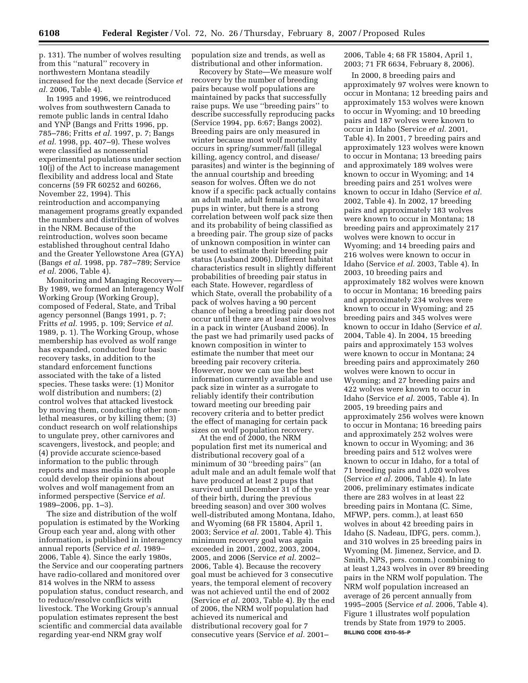p. 131). The number of wolves resulting from this ''natural'' recovery in northwestern Montana steadily increased for the next decade (Service *et al.* 2006, Table 4).

In 1995 and 1996, we reintroduced wolves from southwestern Canada to remote public lands in central Idaho and YNP (Bangs and Fritts 1996, pp. 785–786; Fritts *et al.* 1997, p. 7; Bangs *et al.* 1998, pp. 407–9). These wolves were classified as nonessential experimental populations under section 10(j) of the Act to increase management flexibility and address local and State concerns (59 FR 60252 and 60266, November 22, 1994). This reintroduction and accompanying management programs greatly expanded the numbers and distribution of wolves in the NRM. Because of the reintroduction, wolves soon became established throughout central Idaho and the Greater Yellowstone Area (GYA) (Bangs *et al.* 1998, pp. 787–789; Service *et al.* 2006, Table 4).

Monitoring and Managing Recovery— By 1989, we formed an Interagency Wolf Working Group (Working Group), composed of Federal, State, and Tribal agency personnel (Bangs 1991, p. 7; Fritts *et al.* 1995, p. 109; Service *et al.*  1989, p. 1). The Working Group, whose membership has evolved as wolf range has expanded, conducted four basic recovery tasks, in addition to the standard enforcement functions associated with the take of a listed species. These tasks were: (1) Monitor wolf distribution and numbers; (2) control wolves that attacked livestock by moving them, conducting other nonlethal measures, or by killing them; (3) conduct research on wolf relationships to ungulate prey, other carnivores and scavengers, livestock, and people; and (4) provide accurate science-based information to the public through reports and mass media so that people could develop their opinions about wolves and wolf management from an informed perspective (Service *et al.*  1989–2006, pp. 1–3).

The size and distribution of the wolf population is estimated by the Working Group each year and, along with other information, is published in interagency annual reports (Service *et al.* 1989– 2006, Table 4). Since the early 1980s, the Service and our cooperating partners have radio-collared and monitored over 814 wolves in the NRM to assess population status, conduct research, and to reduce/resolve conflicts with livestock. The Working Group's annual population estimates represent the best scientific and commercial data available regarding year-end NRM gray wolf

population size and trends, as well as distributional and other information.

Recovery by State—We measure wolf recovery by the number of breeding pairs because wolf populations are maintained by packs that successfully raise pups. We use ''breeding pairs'' to describe successfully reproducing packs (Service 1994, pp. 6:67; Bangs 2002). Breeding pairs are only measured in winter because most wolf mortality occurs in spring/summer/fall (illegal killing, agency control, and disease/ parasites) and winter is the beginning of the annual courtship and breeding season for wolves. Often we do not know if a specific pack actually contains an adult male, adult female and two pups in winter, but there is a strong correlation between wolf pack size then and its probability of being classified as a breeding pair. The group size of packs of unknown composition in winter can be used to estimate their breeding pair status (Ausband 2006). Different habitat characteristics result in slightly different probabilities of breeding pair status in each State. However, regardless of which State, overall the probability of a pack of wolves having a 90 percent chance of being a breeding pair does not occur until there are at least nine wolves in a pack in winter (Ausband 2006). In the past we had primarily used packs of known composition in winter to estimate the number that meet our breeding pair recovery criteria. However, now we can use the best information currently available and use pack size in winter as a surrogate to reliably identify their contribution toward meeting our breeding pair recovery criteria and to better predict the effect of managing for certain pack sizes on wolf population recovery.

At the end of 2000, the NRM population first met its numerical and distributional recovery goal of a minimum of 30 ''breeding pairs'' (an adult male and an adult female wolf that have produced at least 2 pups that survived until December 31 of the year of their birth, during the previous breeding season) and over 300 wolves well-distributed among Montana, Idaho, and Wyoming (68 FR 15804, April 1, 2003; Service *et al.* 2001, Table 4). This minimum recovery goal was again exceeded in 2001, 2002, 2003, 2004, 2005, and 2006 (Service *et al.* 2002– 2006, Table 4). Because the recovery goal must be achieved for 3 consecutive years, the temporal element of recovery was not achieved until the end of 2002 (Service *et al.* 2003, Table 4). By the end of 2006, the NRM wolf population had achieved its numerical and distributional recovery goal for 7 consecutive years (Service *et al.* 2001–

2006, Table 4; 68 FR 15804, April 1, 2003; 71 FR 6634, February 8, 2006).

In 2000, 8 breeding pairs and approximately 97 wolves were known to occur in Montana; 12 breeding pairs and approximately 153 wolves were known to occur in Wyoming; and 10 breeding pairs and 187 wolves were known to occur in Idaho (Service *et al.* 2001, Table 4). In 2001, 7 breeding pairs and approximately 123 wolves were known to occur in Montana; 13 breeding pairs and approximately 189 wolves were known to occur in Wyoming; and 14 breeding pairs and 251 wolves were known to occur in Idaho (Service *et al.*  2002, Table 4). In 2002, 17 breeding pairs and approximately 183 wolves were known to occur in Montana; 18 breeding pairs and approximately 217 wolves were known to occur in Wyoming; and 14 breeding pairs and 216 wolves were known to occur in Idaho (Service *et al.* 2003, Table 4). In 2003, 10 breeding pairs and approximately 182 wolves were known to occur in Montana; 16 breeding pairs and approximately 234 wolves were known to occur in Wyoming; and 25 breeding pairs and 345 wolves were known to occur in Idaho (Service *et al.*  2004, Table 4). In 2004, 15 breeding pairs and approximately 153 wolves were known to occur in Montana; 24 breeding pairs and approximately 260 wolves were known to occur in Wyoming; and 27 breeding pairs and 422 wolves were known to occur in Idaho (Service *et al.* 2005, Table 4). In 2005, 19 breeding pairs and approximately 256 wolves were known to occur in Montana; 16 breeding pairs and approximately 252 wolves were known to occur in Wyoming; and 36 breeding pairs and 512 wolves were known to occur in Idaho, for a total of 71 breeding pairs and 1,020 wolves (Service *et al.* 2006, Table 4). In late 2006, preliminary estimates indicate there are 283 wolves in at least 22 breeding pairs in Montana (C. Sime, MFWP, pers. comm.), at least 650 wolves in about 42 breeding pairs in Idaho (S. Nadeau, IDFG, pers. comm.), and 310 wolves in 25 breeding pairs in Wyoming (M. Jimenez, Service, and D. Smith, NPS, pers. comm.) combining to at least 1,243 wolves in over 89 breeding pairs in the NRM wolf population. The NRM wolf population increased an average of 26 percent annually from 1995–2005 (Service *et al.* 2006, Table 4). Figure 1 illustrates wolf population trends by State from 1979 to 2005. **BILLING CODE 4310–55–P**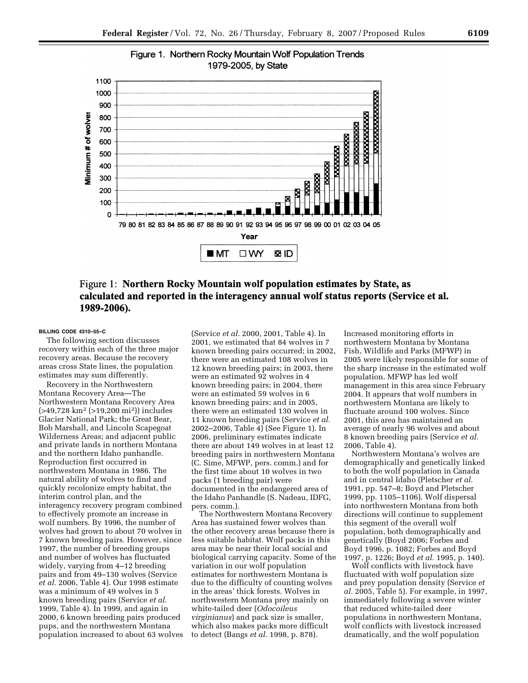

# Figure 1. Northern Rocky Mountain Wolf Population Trends

## Figure 1: Northern Rocky Mountain wolf population estimates by State, as calculated and reported in the interagency annual wolf status reports (Service et al. 1989-2006).

#### **BILLING CODE 4310–55–C**

The following section discusses recovery within each of the three major recovery areas. Because the recovery areas cross State lines, the population estimates may sum differently.

Recovery in the Northwestern Montana Recovery Area—The Northwestern Montana Recovery Area (>49,728 km2 (>19,200 mi2)) includes Glacier National Park; the Great Bear, Bob Marshall, and Lincoln Scapegoat Wilderness Areas; and adjacent public and private lands in northern Montana and the northern Idaho panhandle. Reproduction first occurred in northwestern Montana in 1986. The natural ability of wolves to find and quickly recolonize empty habitat, the interim control plan, and the interagency recovery program combined to effectively promote an increase in wolf numbers. By 1996, the number of wolves had grown to about 70 wolves in 7 known breeding pairs. However, since 1997, the number of breeding groups and number of wolves has fluctuated widely, varying from 4–12 breeding pairs and from 49–130 wolves (Service *et al.* 2006, Table 4). Our 1998 estimate was a minimum of 49 wolves in 5 known breeding pairs (Service *et al.*  1999, Table 4). In 1999, and again in 2000, 6 known breeding pairs produced pups, and the northwestern Montana population increased to about 63 wolves

(Service *et al.* 2000, 2001, Table 4). In 2001, we estimated that 84 wolves in 7 known breeding pairs occurred; in 2002, there were an estimated 108 wolves in 12 known breeding pairs; in 2003, there were an estimated 92 wolves in 4 known breeding pairs; in 2004, there were an estimated 59 wolves in 6 known breeding pairs; and in 2005, there were an estimated 130 wolves in 11 known breeding pairs (Service *et al.*  2002–2006, Table 4) (See Figure 1). In 2006, preliminary estimates indicate there are about 149 wolves in at least 12 breeding pairs in northwestern Montana (C. Sime, MFWP, pers. comm.) and for the first time about 10 wolves in two packs (1 breeding pair) were documented in the endangered area of the Idaho Panhandle (S. Nadeau, IDFG, pers. comm.).

The Northwestern Montana Recovery Area has sustained fewer wolves than the other recovery areas because there is less suitable habitat. Wolf packs in this area may be near their local social and biological carrying capacity. Some of the variation in our wolf population estimates for northwestern Montana is due to the difficulty of counting wolves in the areas' thick forests. Wolves in northwestern Montana prey mainly on white-tailed deer (*Odocoileus virginianus*) and pack size is smaller, which also makes packs more difficult to detect (Bangs *et al.* 1998, p. 878).

Increased monitoring efforts in northwestern Montana by Montana Fish, Wildlife and Parks (MFWP) in 2005 were likely responsible for some of the sharp increase in the estimated wolf population. MFWP has led wolf management in this area since February 2004. It appears that wolf numbers in northwestern Montana are likely to fluctuate around 100 wolves. Since 2001, this area has maintained an average of nearly 96 wolves and about 8 known breeding pairs (Service *et al.*  2006, Table 4).

Northwestern Montana's wolves are demographically and genetically linked to both the wolf population in Canada and in central Idaho (Pletscher *et al.*  1991, pp. 547–8; Boyd and Pletscher 1999, pp. 1105–1106). Wolf dispersal into northwestern Montana from both directions will continue to supplement this segment of the overall wolf population, both demographically and genetically (Boyd 2006; Forbes and Boyd 1996, p. 1082; Forbes and Boyd 1997, p. 1226; Boyd *et al.* 1995, p. 140).

Wolf conflicts with livestock have fluctuated with wolf population size and prey population density (Service *et al.* 2005, Table 5). For example, in 1997, immediately following a severe winter that reduced white-tailed deer populations in northwestern Montana, wolf conflicts with livestock increased dramatically, and the wolf population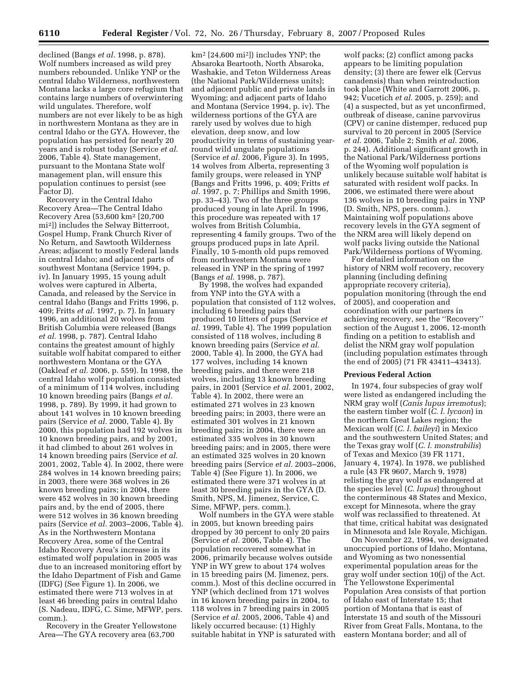declined (Bangs *et al.* 1998, p. 878). Wolf numbers increased as wild prey numbers rebounded. Unlike YNP or the central Idaho Wilderness, northwestern Montana lacks a large core refugium that contains large numbers of overwintering wild ungulates. Therefore, wolf numbers are not ever likely to be as high in northwestern Montana as they are in central Idaho or the GYA. However, the population has persisted for nearly 20 years and is robust today (Service *et al.*  2006, Table 4). State management, pursuant to the Montana State wolf management plan, will ensure this population continues to persist (see Factor D).

Recovery in the Central Idaho Recovery Area—The Central Idaho Recovery Area (53,600 km2 [20,700 mi2]) includes the Selway Bitterroot, Gospel Hump, Frank Church River of No Return, and Sawtooth Wilderness Areas; adjacent to mostly Federal lands in central Idaho; and adjacent parts of southwest Montana (Service 1994, p. iv). In January 1995, 15 young adult wolves were captured in Alberta, Canada, and released by the Service in central Idaho (Bangs and Fritts 1996, p. 409; Fritts *et al.* 1997, p. 7). In January 1996, an additional 20 wolves from British Columbia were released (Bangs *et al.* 1998, p. 787). Central Idaho contains the greatest amount of highly suitable wolf habitat compared to either northwestern Montana or the GYA (Oakleaf *et al.* 2006, p. 559). In 1998, the central Idaho wolf population consisted of a minimum of 114 wolves, including 10 known breeding pairs (Bangs *et al.*  1998, p. 789). By 1999, it had grown to about 141 wolves in 10 known breeding pairs (Service *et al.* 2000, Table 4). By 2000, this population had 192 wolves in 10 known breeding pairs, and by 2001, it had climbed to about 261 wolves in 14 known breeding pairs (Service *et al.*  2001, 2002, Table 4). In 2002, there were 284 wolves in 14 known breeding pairs; in 2003, there were 368 wolves in 26 known breeding pairs; in 2004, there were 452 wolves in 30 known breeding pairs and, by the end of 2005, there were 512 wolves in 36 known breeding pairs (Service *et al.* 2003–2006, Table 4). As in the Northwestern Montana Recovery Area, some of the Central Idaho Recovery Area's increase in its estimated wolf population in 2005 was due to an increased monitoring effort by the Idaho Department of Fish and Game (IDFG) (See Figure 1). In 2006, we estimated there were 713 wolves in at least 46 breeding pairs in central Idaho (S. Nadeau, IDFG, C. Sime, MFWP, pers. comm.).

Recovery in the Greater Yellowstone Area—The GYA recovery area (63,700

km2 [24,600 mi2]) includes YNP; the Absaroka Beartooth, North Absaroka, Washakie, and Teton Wilderness Areas (the National Park/Wilderness units); and adjacent public and private lands in Wyoming; and adjacent parts of Idaho and Montana (Service 1994, p. iv). The wilderness portions of the GYA are rarely used by wolves due to high elevation, deep snow, and low productivity in terms of sustaining yearround wild ungulate populations (Service *et al.* 2006, Figure 3). In 1995, 14 wolves from Alberta, representing 3 family groups, were released in YNP (Bangs and Fritts 1996, p. 409; Fritts *et al.* 1997, p. 7; Phillips and Smith 1996, pp. 33–43). Two of the three groups produced young in late April. In 1996, this procedure was repeated with 17 wolves from British Columbia, representing 4 family groups. Two of the groups produced pups in late April. Finally, 10 5-month old pups removed from northwestern Montana were released in YNP in the spring of 1997 (Bangs *et al.* 1998, p. 787).

By 1998, the wolves had expanded from YNP into the GYA with a population that consisted of 112 wolves, including 6 breeding pairs that produced 10 litters of pups (Service *et al.* 1999, Table 4). The 1999 population consisted of 118 wolves, including 8 known breeding pairs (Service *et al.*  2000, Table 4). In 2000, the GYA had 177 wolves, including 14 known breeding pairs, and there were 218 wolves, including 13 known breeding pairs, in 2001 (Service *et al.* 2001, 2002, Table 4). In 2002, there were an estimated 271 wolves in 23 known breeding pairs; in 2003, there were an estimated 301 wolves in 21 known breeding pairs; in 2004, there were an estimated 335 wolves in 30 known breeding pairs; and in 2005, there were an estimated 325 wolves in 20 known breeding pairs (Service *et al.* 2003–2006, Table 4) (See Figure 1). In 2006, we estimated there were 371 wolves in at least 30 breeding pairs in the GYA (D. Smith, NPS, M. Jimenez, Service, C. Sime, MFWP, pers. comm.).

Wolf numbers in the GYA were stable in 2005, but known breeding pairs dropped by 30 percent to only 20 pairs (Service *et al.* 2006, Table 4). The population recovered somewhat in 2006, primarily because wolves outside YNP in WY grew to about 174 wolves in 15 breeding pairs (M. Jimenez, pers. comm.). Most of this decline occurred in YNP (which declined from 171 wolves in 16 known breeding pairs in 2004, to 118 wolves in 7 breeding pairs in 2005 (Service *et al.* 2005, 2006, Table 4) and likely occurred because: (1) Highly suitable habitat in YNP is saturated with

wolf packs; (2) conflict among packs appears to be limiting population density; (3) there are fewer elk (Cervus canadensis) than when reintroduction took place (White and Garrott 2006, p. 942; Vucetich *et al.* 2005, p. 259); and (4) a suspected, but as yet unconfirmed, outbreak of disease, canine parvovirus (CPV) or canine distemper, reduced pup survival to 20 percent in 2005 (Service *et al.* 2006, Table 2; Smith *et al.* 2006, p. 244). Additional significant growth in the National Park/Wilderness portions of the Wyoming wolf population is unlikely because suitable wolf habitat is saturated with resident wolf packs. In 2006, we estimated there were about 136 wolves in 10 breeding pairs in YNP (D. Smith, NPS, pers. comm.). Maintaining wolf populations above recovery levels in the GYA segment of the NRM area will likely depend on wolf packs living outside the National Park/Wilderness portions of Wyoming.

For detailed information on the history of NRM wolf recovery, recovery planning (including defining appropriate recovery criteria), population monitoring (through the end of 2005), and cooperation and coordination with our partners in achieving recovery, see the ''Recovery'' section of the August 1, 2006, 12-month finding on a petition to establish and delist the NRM gray wolf population (including population estimates through the end of 2005) (71 FR 43411–43413).

#### **Previous Federal Action**

In 1974, four subspecies of gray wolf were listed as endangered including the NRM gray wolf (*Canis lupus irremotus*); the eastern timber wolf (*C. l. lycaon*) in the northern Great Lakes region; the Mexican wolf (*C. l. baileyi*) in Mexico and the southwestern United States; and the Texas gray wolf (*C. l. monstrabilis*) of Texas and Mexico (39 FR 1171, January 4, 1974). In 1978, we published a rule (43 FR 9607, March 9, 1978) relisting the gray wolf as endangered at the species level (*C. lupus*) throughout the conterminous 48 States and Mexico, except for Minnesota, where the gray wolf was reclassified to threatened. At that time, critical habitat was designated in Minnesota and Isle Royale, Michigan.

On November 22, 1994, we designated unoccupied portions of Idaho, Montana, and Wyoming as two nonessential experimental population areas for the gray wolf under section 10(j) of the Act. The Yellowstone Experimental Population Area consists of that portion of Idaho east of Interstate 15; that portion of Montana that is east of Interstate 15 and south of the Missouri River from Great Falls, Montana, to the eastern Montana border; and all of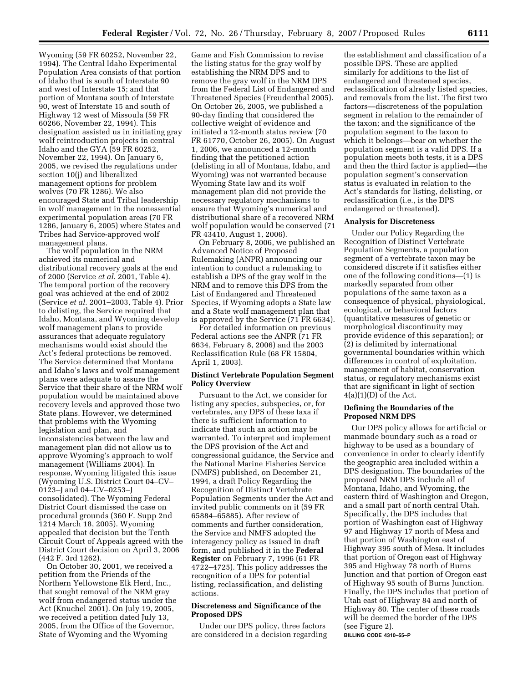Wyoming (59 FR 60252, November 22, 1994). The Central Idaho Experimental Population Area consists of that portion of Idaho that is south of Interstate 90 and west of Interstate 15; and that portion of Montana south of Interstate 90, west of Interstate 15 and south of Highway 12 west of Missoula (59 FR 60266, November 22, 1994). This designation assisted us in initiating gray wolf reintroduction projects in central Idaho and the GYA (59 FR 60252, November 22, 1994). On January 6, 2005, we revised the regulations under section 10(j) and liberalized management options for problem wolves (70 FR 1286). We also encouraged State and Tribal leadership in wolf management in the nonessential experimental population areas (70 FR 1286, January 6, 2005) where States and Tribes had Service-approved wolf management plans.

The wolf population in the NRM achieved its numerical and distributional recovery goals at the end of 2000 (Service *et al.* 2001, Table 4). The temporal portion of the recovery goal was achieved at the end of 2002 (Service *et al.* 2001–2003, Table 4). Prior to delisting, the Service required that Idaho, Montana, and Wyoming develop wolf management plans to provide assurances that adequate regulatory mechanisms would exist should the Act's federal protections be removed. The Service determined that Montana and Idaho's laws and wolf management plans were adequate to assure the Service that their share of the NRM wolf population would be maintained above recovery levels and approved those two State plans. However, we determined that problems with the Wyoming legislation and plan, and inconsistencies between the law and management plan did not allow us to approve Wyoming's approach to wolf management (Williams 2004). In response, Wyoming litigated this issue (Wyoming U.S. District Court 04–CV– 0123–J and 04–CV–0253–J consolidated). The Wyoming Federal District Court dismissed the case on procedural grounds (360 F. Supp 2nd 1214 March 18, 2005). Wyoming appealed that decision but the Tenth Circuit Court of Appeals agreed with the District Court decision on April 3, 2006 (442 F. 3rd 1262).

On October 30, 2001, we received a petition from the Friends of the Northern Yellowstone Elk Herd, Inc., that sought removal of the NRM gray wolf from endangered status under the Act (Knuchel 2001). On July 19, 2005, we received a petition dated July 13, 2005, from the Office of the Governor, State of Wyoming and the Wyoming

Game and Fish Commission to revise the listing status for the gray wolf by establishing the NRM DPS and to remove the gray wolf in the NRM DPS from the Federal List of Endangered and Threatened Species (Freudenthal 2005). On October 26, 2005, we published a 90-day finding that considered the collective weight of evidence and initiated a 12-month status review (70 FR 61770, October 26, 2005). On August 1, 2006, we announced a 12-month finding that the petitioned action (delisting in all of Montana, Idaho, and Wyoming) was not warranted because Wyoming State law and its wolf management plan did not provide the necessary regulatory mechanisms to ensure that Wyoming's numerical and distributional share of a recovered NRM wolf population would be conserved (71 FR 43410, August 1, 2006).

On February 8, 2006, we published an Advanced Notice of Proposed Rulemaking (ANPR) announcing our intention to conduct a rulemaking to establish a DPS of the gray wolf in the NRM and to remove this DPS from the List of Endangered and Threatened Species, if Wyoming adopts a State law and a State wolf management plan that is approved by the Service (71 FR 6634).

For detailed information on previous Federal actions see the ANPR (71 FR 6634, February 8, 2006) and the 2003 Reclassification Rule (68 FR 15804, April 1, 2003).

## **Distinct Vertebrate Population Segment Policy Overview**

Pursuant to the Act, we consider for listing any species, subspecies, or, for vertebrates, any DPS of these taxa if there is sufficient information to indicate that such an action may be warranted. To interpret and implement the DPS provision of the Act and congressional guidance, the Service and the National Marine Fisheries Service (NMFS) published, on December 21, 1994, a draft Policy Regarding the Recognition of Distinct Vertebrate Population Segments under the Act and invited public comments on it (59 FR 65884–65885). After review of comments and further consideration, the Service and NMFS adopted the interagency policy as issued in draft form, and published it in the **Federal Register** on February 7, 1996 (61 FR 4722–4725). This policy addresses the recognition of a DPS for potential listing, reclassification, and delisting actions.

## **Discreteness and Significance of the Proposed DPS**

Under our DPS policy, three factors are considered in a decision regarding

the establishment and classification of a possible DPS. These are applied similarly for additions to the list of endangered and threatened species, reclassification of already listed species, and removals from the list. The first two factors—discreteness of the population segment in relation to the remainder of the taxon; and the significance of the population segment to the taxon to which it belongs—bear on whether the population segment is a valid DPS. If a population meets both tests, it is a DPS and then the third factor is applied—the population segment's conservation status is evaluated in relation to the Act's standards for listing, delisting, or reclassification (i.e., is the DPS endangered or threatened).

#### **Analysis for Discreteness**

Under our Policy Regarding the Recognition of Distinct Vertebrate Population Segments, a population segment of a vertebrate taxon may be considered discrete if it satisfies either one of the following conditions—(1) is markedly separated from other populations of the same taxon as a consequence of physical, physiological, ecological, or behavioral factors (quantitative measures of genetic or morphological discontinuity may provide evidence of this separation); or (2) is delimited by international governmental boundaries within which differences in control of exploitation, management of habitat, conservation status, or regulatory mechanisms exist that are significant in light of section  $4(a)(1)(D)$  of the Act.

#### **Defining the Boundaries of the Proposed NRM DPS**

Our DPS policy allows for artificial or manmade boundary such as a road or highway to be used as a boundary of convenience in order to clearly identify the geographic area included within a DPS designation. The boundaries of the proposed NRM DPS include all of Montana, Idaho, and Wyoming, the eastern third of Washington and Oregon, and a small part of north central Utah. Specifically, the DPS includes that portion of Washington east of Highway 97 and Highway 17 north of Mesa and that portion of Washington east of Highway 395 south of Mesa. It includes that portion of Oregon east of Highway 395 and Highway 78 north of Burns Junction and that portion of Oregon east of Highway 95 south of Burns Junction. Finally, the DPS includes that portion of Utah east of Highway 84 and north of Highway 80. The center of these roads will be deemed the border of the DPS (see Figure 2). **BILLING CODE 4310–55–P**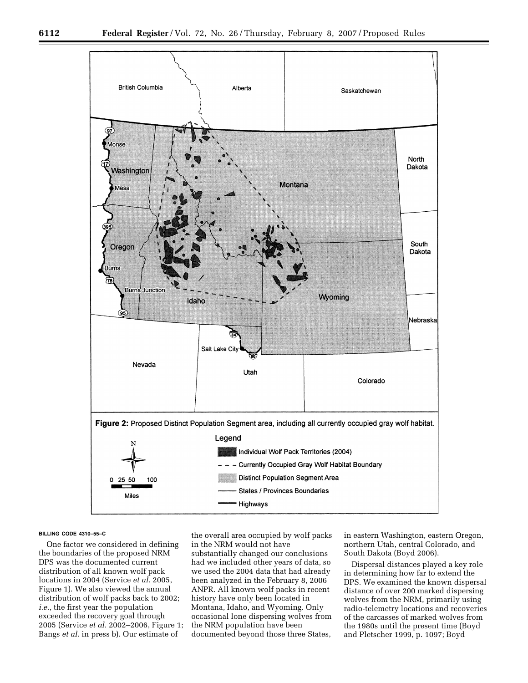

#### **BILLING CODE 4310–55–C**

One factor we considered in defining the boundaries of the proposed NRM DPS was the documented current distribution of all known wolf pack locations in 2004 (Service *et al.* 2005, Figure 1). We also viewed the annual distribution of wolf packs back to 2002; *i.e.*, the first year the population exceeded the recovery goal through 2005 (Service *et al.* 2002–2006, Figure 1; Bangs *et al.* in press b). Our estimate of

the overall area occupied by wolf packs in the NRM would not have substantially changed our conclusions had we included other years of data, so we used the 2004 data that had already been analyzed in the February 8, 2006 ANPR. All known wolf packs in recent history have only been located in Montana, Idaho, and Wyoming. Only occasional lone dispersing wolves from the NRM population have been documented beyond those three States,

in eastern Washington, eastern Oregon, northern Utah, central Colorado, and South Dakota (Boyd 2006).

Dispersal distances played a key role in determining how far to extend the DPS. We examined the known dispersal distance of over 200 marked dispersing wolves from the NRM, primarily using radio-telemetry locations and recoveries of the carcasses of marked wolves from the 1980s until the present time (Boyd and Pletscher 1999, p. 1097; Boyd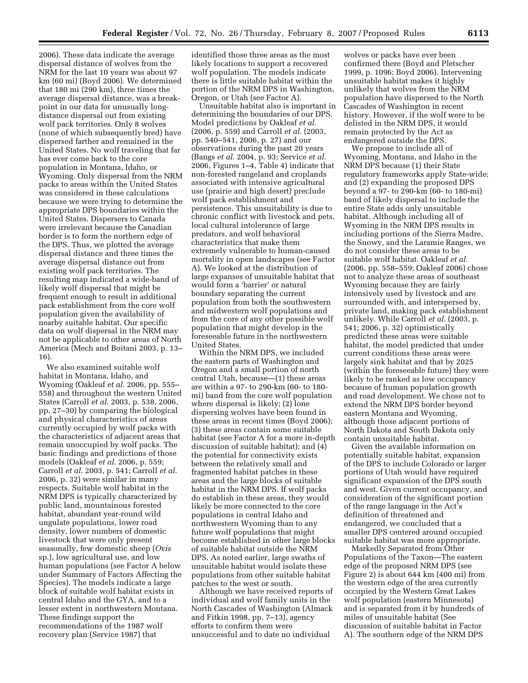2006). These data indicate the average dispersal distance of wolves from the NRM for the last 10 years was about 97 km (60 mi) (Boyd 2006). We determined that 180 mi (290 km), three times the average dispersal distance, was a breakpoint in our data for unusually longdistance dispersal out from existing wolf pack territories. Only 8 wolves (none of which subsequently bred) have dispersed farther and remained in the United States. No wolf traveling that far has ever come back to the core population in Montana, Idaho, or Wyoming. Only dispersal from the NRM packs to areas within the United States was considered in these calculations because we were trying to determine the appropriate DPS boundaries within the United States. Dispersers to Canada were irrelevant because the Canadian border is to form the northern edge of the DPS. Thus, we plotted the average dispersal distance and three times the average dispersal distance out from existing wolf pack territories. The resulting map indicated a wide-band of likely wolf dispersal that might be frequent enough to result in additional pack establishment from the core wolf population given the availability of nearby suitable habitat. Our specific data on wolf dispersal in the NRM may not be applicable to other areas of North America (Mech and Boitani 2003, p. 13– 16).

We also examined suitable wolf habitat in Montana, Idaho, and Wyoming (Oakleaf *et al.* 2006, pp. 555– 558) and throughout the western United States (Carroll *et al.* 2003, p. 538, 2006, pp. 27–30) by comparing the biological and physical characteristics of areas currently occupied by wolf packs with the characteristics of adjacent areas that remain unoccupied by wolf packs. The basic findings and predictions of those models (Oakleaf *et al.* 2006, p. 559; Carroll *et al.* 2003, p. 541; Carroll *et al.*  2006, p. 32) were similar in many respects. Suitable wolf habitat in the NRM DPS is typically characterized by public land, mountainous forested habitat, abundant year-round wild ungulate populations, lower road density, lower numbers of domestic livestock that were only present seasonally, few domestic sheep (*Ovis*  sp.), low agricultural use, and low human populations (see Factor A below under Summary of Factors Affecting the Species). The models indicate a large block of suitable wolf habitat exists in central Idaho and the GYA, and to a lesser extent in northwestern Montana. These findings support the recommendations of the 1987 wolf recovery plan (Service 1987) that

identified those three areas as the most likely locations to support a recovered wolf population. The models indicate there is little suitable habitat within the portion of the NRM DPS in Washington, Oregon, or Utah (see Factor A).

Unsuitable habitat also is important in determining the boundaries of our DPS. Model predictions by Oakleaf *et al.*  (2006, p. 559) and Carroll *et al.* (2003, pp. 540–541, 2006, p. 27) and our observations during the past 20 years (Bangs *et al.* 2004, p. 93; Service *et al.*  2006, Figures 1–4, Table 4) indicate that non-forested rangeland and croplands associated with intensive agricultural use (prairie and high desert) preclude wolf pack establishment and persistence. This unsuitability is due to chronic conflict with livestock and pets, local cultural intolerance of large predators, and wolf behavioral characteristics that make them extremely vulnerable to human-caused mortality in open landscapes (see Factor A). We looked at the distribution of large expanses of unsuitable habitat that would form a 'barrier' or natural boundary separating the current population from both the southwestern and midwestern wolf populations and from the core of any other possible wolf population that might develop in the foreseeable future in the northwestern United States.

Within the NRM DPS, we included the eastern parts of Washington and Oregon and a small portion of north central Utah, because—(1) these areas are within a 97- to 290-km (60- to 180 mi) band from the core wolf population where dispersal is likely; (2) lone dispersing wolves have been found in these areas in recent times (Boyd 2006); (3) these areas contain some suitable habitat (see Factor A for a more in-depth discussion of suitable habitat); and (4) the potential for connectivity exists between the relatively small and fragmented habitat patches in these areas and the large blocks of suitable habitat in the NRM DPS. If wolf packs do establish in these areas, they would likely be more connected to the core populations in central Idaho and northwestern Wyoming than to any future wolf populations that might become established in other large blocks of suitable habitat outside the NRM DPS. As noted earlier, large swaths of unsuitable habitat would isolate these populations from other suitable habitat patches to the west or south.

Although we have received reports of individual and wolf family units in the North Cascades of Washington (Almack and Fitkin 1998, pp. 7–13), agency efforts to confirm them were unsuccessful and to date no individual

wolves or packs have ever been confirmed there (Boyd and Pletscher 1999, p. 1096; Boyd 2006). Intervening unsuitable habitat makes it highly unlikely that wolves from the NRM population have dispersed to the North Cascades of Washington in recent history. However, if the wolf were to be delisted in the NRM DPS, it would remain protected by the Act as endangered outside the DPS.

We propose to include all of Wyoming, Montana, and Idaho in the NRM DPS because (1) their State regulatory frameworks apply State-wide; and (2) expanding the proposed DPS beyond a 97- to 290-km (60- to 180-mi) band of likely dispersal to include the entire State adds only unsuitable habitat. Although including all of Wyoming in the NRM DPS results in including portions of the Sierra Madre, the Snowy, and the Laramie Ranges, we do not consider these areas to be suitable wolf habitat. Oakleaf *et al.*  (2006, pp. 558–559; Oakleaf 2006) chose not to analyze these areas of southeast Wyoming because they are fairly intensively used by livestock and are surrounded with, and interspersed by, private land, making pack establishment unlikely. While Carroll *et al.* (2003, p. 541; 2006, p. 32) optimistically predicted these areas were suitable habitat, the model predicted that under current conditions these areas were largely sink habitat and that by 2025 (within the foreseeable future) they were likely to be ranked as low occupancy because of human population growth and road development. We chose not to extend the NRM DPS border beyond eastern Montana and Wyoming, although those adjacent portions of North Dakota and South Dakota only contain unsuitable habitat.

Given the available information on potentially suitable habitat, expansion of the DPS to include Colorado or larger portions of Utah would have required significant expansion of the DPS south and west. Given current occupancy, and consideration of the significant portion of the range language in the Act's definition of threatened and endangered, we concluded that a smaller DPS centered around occupied suitable habitat was more appropriate.

Markedly Separated from Other Populations of the Taxon—The eastern edge of the proposed NRM DPS (see Figure 2) is about 644 km (400 mi) from the western edge of the area currently occupied by the Western Great Lakes wolf population (eastern Minnesota) and is separated from it by hundreds of miles of unsuitable habitat (See discussion of suitable habitat in Factor A). The southern edge of the NRM DPS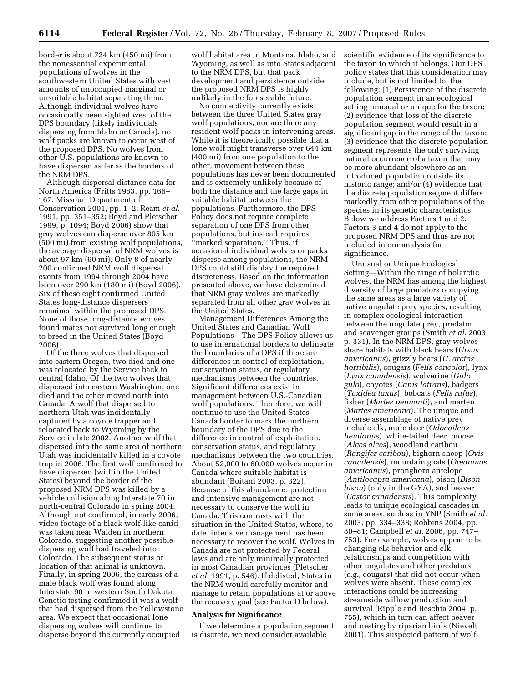border is about 724 km (450 mi) from the nonessential experimental populations of wolves in the southwestern United States with vast amounts of unoccupied marginal or unsuitable habitat separating them. Although individual wolves have occasionally been sighted west of the DPS boundary (likely individuals dispersing from Idaho or Canada), no wolf packs are known to occur west of the proposed DPS. No wolves from other U.S. populations are known to have dispersed as far as the borders of the NRM DPS.

Although dispersal distance data for North America (Fritts 1983, pp. 166– 167; Missouri Department of Conservation 2001, pp. 1–2; Ream *et al.*  1991, pp. 351–352; Boyd and Pletscher 1999, p. 1094; Boyd 2006) show that gray wolves can disperse over 805 km (500 mi) from existing wolf populations, the average dispersal of NRM wolves is about 97 km (60 mi). Only 8 of nearly 200 confirmed NRM wolf dispersal events from 1994 through 2004 have been over 290 km (180 mi) (Boyd 2006). Six of these eight confirmed United States long-distance dispersers remained within the proposed DPS. None of those long-distance wolves found mates nor survived long enough to breed in the United States (Boyd 2006).

Of the three wolves that dispersed into eastern Oregon, two died and one was relocated by the Service back to central Idaho. Of the two wolves that dispersed into eastern Washington, one died and the other moved north into Canada. A wolf that dispersed to northern Utah was incidentally captured by a coyote trapper and relocated back to Wyoming by the Service in late 2002. Another wolf that dispersed into the same area of northern Utah was incidentally killed in a coyote trap in 2006. The first wolf confirmed to have dispersed (within the United States) beyond the border of the proposed NRM DPS was killed by a vehicle collision along Interstate 70 in north-central Colorado in spring 2004. Although not confirmed, in early 2006, video footage of a black wolf-like canid was taken near Walden in northern Colorado, suggesting another possible dispersing wolf had traveled into Colorado. The subsequent status or location of that animal is unknown. Finally, in spring 2006, the carcass of a male black wolf was found along Interstate 90 in western South Dakota. Genetic testing confirmed it was a wolf that had dispersed from the Yellowstone area. We expect that occasional lone dispersing wolves will continue to disperse beyond the currently occupied

wolf habitat area in Montana, Idaho, and Wyoming, as well as into States adjacent to the NRM DPS, but that pack development and persistence outside the proposed NRM DPS is highly unlikely in the foreseeable future.

No connectivity currently exists between the three United States gray wolf populations, nor are there any resident wolf packs in intervening areas. While it is theoretically possible that a lone wolf might transverse over 644 km (400 mi) from one population to the other, movement between these populations has never been documented and is extremely unlikely because of both the distance and the large gaps in suitable habitat between the populations. Furthermore, the DPS Policy does not require complete separation of one DPS from other populations, but instead requires ''marked separation.'' Thus, if occasional individual wolves or packs disperse among populations, the NRM DPS could still display the required discreteness. Based on the information presented above, we have determined that NRM gray wolves are markedly separated from all other gray wolves in the United States.

Management Differences Among the United States and Canadian Wolf Populations—The DPS Policy allows us to use international borders to delineate the boundaries of a DPS if there are differences in control of exploitation, conservation status, or regulatory mechanisms between the countries. Significant differences exist in management between U.S.-Canadian wolf populations. Therefore, we will continue to use the United States-Canada border to mark the northern boundary of the DPS due to the difference in control of exploitation, conservation status, and regulatory mechanisms between the two countries. About 52,000 to 60,000 wolves occur in Canada where suitable habitat is abundant (Boitani 2003, p. 322). Because of this abundance, protection and intensive management are not necessary to conserve the wolf in Canada. This contrasts with the situation in the United States, where, to date, intensive management has been necessary to recover the wolf. Wolves in Canada are not protected by Federal laws and are only minimally protected in most Canadian provinces (Pletscher *et al.* 1991, p. 546). If delisted, States in the NRM would carefully monitor and manage to retain populations at or above the recovery goal (see Factor D below).

## **Analysis for Significance**

If we determine a population segment is discrete, we next consider available

scientific evidence of its significance to the taxon to which it belongs. Our DPS policy states that this consideration may include, but is not limited to, the following: (1) Persistence of the discrete population segment in an ecological setting unusual or unique for the taxon; (2) evidence that loss of the discrete population segment would result in a significant gap in the range of the taxon; (3) evidence that the discrete population segment represents the only surviving natural occurrence of a taxon that may be more abundant elsewhere as an introduced population outside its historic range; and/or (4) evidence that the discrete population segment differs markedly from other populations of the species in its genetic characteristics. Below we address Factors 1 and 2. Factors 3 and 4 do not apply to the proposed NRM DPS and thus are not included in our analysis for significance.

Unusual or Unique Ecological Setting—Within the range of holarctic wolves, the NRM has among the highest diversity of large predators occupying the same areas as a large variety of native ungulate prey species, resulting in complex ecological interaction between the ungulate prey, predator, and scavenger groups (Smith *et al.* 2003, p. 331). In the NRM DPS, gray wolves share habitats with black bears (*Ursus americanus*), grizzly bears (*U. arctos horribilis*), cougars (*Felis concolor*), lynx (*Lynx canadensis*), wolverine (*Gulo gulo*), coyotes (*Canis latrans*), badgers (*Taxidea taxus*), bobcats (*Felis rufus*), fisher (*Martes pennanti*), and marten (*Martes americana*). The unique and diverse assemblage of native prey include elk, mule deer (*Odocoileus hemionus*), white-tailed deer, moose (*Alces alces*), woodland caribou (*Rangifer caribou*), bighorn sheep (*Ovis canadensis*), mountain goats (*Oreamnos americanus*), pronghorn antelope (*Antilocapra americana*), bison (*Bison bison*) (only in the GYA), and beaver (*Castor canadensis*). This complexity leads to unique ecological cascades in some areas, such as in YNP (Smith *et al.*  2003, pp. 334–338; Robbins 2004, pp. 80–81; Campbell *et al.* 2006, pp. 747– 753). For example, wolves appear to be changing elk behavior and elk relationships and competition with other ungulates and other predators (*e.g.*, cougars) that did not occur when wolves were absent. These complex interactions could be increasing streamside willow production and survival (Ripple and Beschta 2004, p. 755), which in turn can affect beaver and nesting by riparian birds (Nievelt 2001). This suspected pattern of wolf-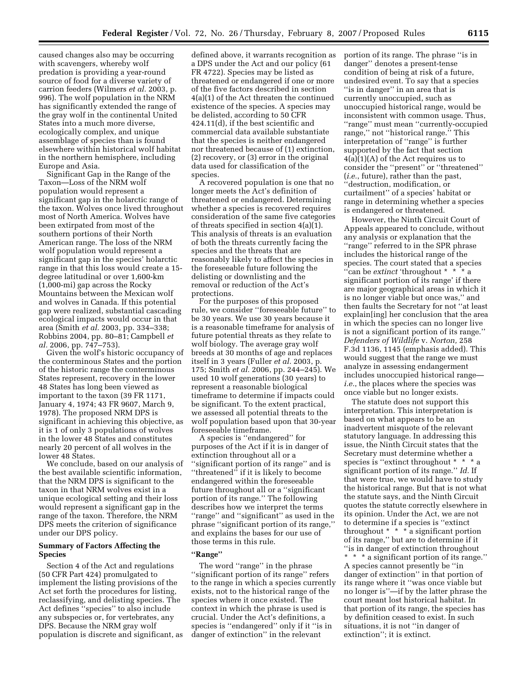caused changes also may be occurring with scavengers, whereby wolf predation is providing a year-round source of food for a diverse variety of carrion feeders (Wilmers *et al.* 2003, p. 996). The wolf population in the NRM has significantly extended the range of the gray wolf in the continental United States into a much more diverse, ecologically complex, and unique assemblage of species than is found elsewhere within historical wolf habitat in the northern hemisphere, including Europe and Asia.

Significant Gap in the Range of the Taxon—Loss of the NRM wolf population would represent a significant gap in the holarctic range of the taxon. Wolves once lived throughout most of North America. Wolves have been extirpated from most of the southern portions of their North American range. The loss of the NRM wolf population would represent a significant gap in the species' holarctic range in that this loss would create a 15 degree latitudinal or over 1,600-km (1,000-mi) gap across the Rocky Mountains between the Mexican wolf and wolves in Canada. If this potential gap were realized, substantial cascading ecological impacts would occur in that area (Smith *et al.* 2003, pp. 334–338; Robbins 2004, pp. 80–81; Campbell *et al.* 2006, pp. 747–753).

Given the wolf's historic occupancy of the conterminous States and the portion of the historic range the conterminous States represent, recovery in the lower 48 States has long been viewed as important to the taxon (39 FR 1171, January 4, 1974; 43 FR 9607, March 9, 1978). The proposed NRM DPS is significant in achieving this objective, as it is 1 of only 3 populations of wolves in the lower 48 States and constitutes nearly 20 percent of all wolves in the lower 48 States.

We conclude, based on our analysis of the best available scientific information, that the NRM DPS is significant to the taxon in that NRM wolves exist in a unique ecological setting and their loss would represent a significant gap in the range of the taxon. Therefore, the NRM DPS meets the criterion of significance under our DPS policy.

## **Summary of Factors Affecting the Species**

Section 4 of the Act and regulations (50 CFR Part 424) promulgated to implement the listing provisions of the Act set forth the procedures for listing, reclassifying, and delisting species. The Act defines ''species'' to also include any subspecies or, for vertebrates, any DPS. Because the NRM gray wolf population is discrete and significant, as defined above, it warrants recognition as a DPS under the Act and our policy (61 FR 4722). Species may be listed as threatened or endangered if one or more of the five factors described in section 4(a)(1) of the Act threaten the continued existence of the species. A species may be delisted, according to 50 CFR 424.11(d), if the best scientific and commercial data available substantiate that the species is neither endangered nor threatened because of (1) extinction, (2) recovery, or (3) error in the original data used for classification of the species.

A recovered population is one that no longer meets the Act's definition of threatened or endangered. Determining whether a species is recovered requires consideration of the same five categories of threats specified in section 4(a)(1). This analysis of threats is an evaluation of both the threats currently facing the species and the threats that are reasonably likely to affect the species in the foreseeable future following the delisting or downlisting and the removal or reduction of the Act's protections.

For the purposes of this proposed rule, we consider ''foreseeable future'' to be 30 years. We use 30 years because it is a reasonable timeframe for analysis of future potential threats as they relate to wolf biology. The average gray wolf breeds at 30 months of age and replaces itself in 3 years (Fuller *et al.* 2003, p. 175; Smith *et al.* 2006, pp. 244–245). We used 10 wolf generations (30 years) to represent a reasonable biological timeframe to determine if impacts could be significant. To the extent practical, we assessed all potential threats to the wolf population based upon that 30-year foreseeable timeframe.

A species is ''endangered'' for purposes of the Act if it is in danger of extinction throughout all or a ''significant portion of its range'' and is ''threatened'' if it is likely to become endangered within the foreseeable future throughout all or a ''significant portion of its range.'' The following describes how we interpret the terms ''range'' and ''significant'' as used in the phrase ''significant portion of its range,'' and explains the bases for our use of those terms in this rule.

## **''Range''**

The word ''range'' in the phrase ''significant portion of its range'' refers to the range in which a species currently exists, not to the historical range of the species where it once existed. The context in which the phrase is used is crucial. Under the Act's definitions, a species is ''endangered'' only if it ''is in danger of extinction'' in the relevant

portion of its range. The phrase ''is in danger'' denotes a present-tense condition of being at risk of a future, undesired event. To say that a species ''is in danger'' in an area that is currently unoccupied, such as unoccupied historical range, would be inconsistent with common usage. Thus, ''range'' must mean ''currently-occupied range,'' not ''historical range.'' This interpretation of ''range'' is further supported by the fact that section 4(a)(1)(A) of the Act requires us to consider the ''present'' or ''threatened'' (*i.e.*, future), rather than the past, ''destruction, modification, or curtailment'' of a species' habitat or range in determining whether a species is endangered or threatened.

However, the Ninth Circuit Court of Appeals appeared to conclude, without any analysis or explanation that the ''range'' referred to in the SPR phrase includes the historical range of the species. The court stated that a species ''can be *extinct* 'throughout \* \* \* a significant portion of its range' if there are major geographical areas in which it is no longer viable but once was,'' and then faults the Secretary for not ''at least explain[ing] her conclusion that the area in which the species can no longer live is not a significant portion of its range.'' *Defenders of Wildlife* v. *Norton,* 258 F.3d 1136, 1145 (emphasis added). This would suggest that the range we must analyze in assessing endangerment includes unoccupied historical range *i.e.*, the places where the species was once viable but no longer exists.

The statute does not support this interpretation. This interpretation is based on what appears to be an inadvertent misquote of the relevant statutory language. In addressing this issue, the Ninth Circuit states that the Secretary must determine whether a species is ''extinct throughout \* \* \* a significant portion of its range.'' *Id.* If that were true, we would have to study the historical range. But that is not what the statute says, and the Ninth Circuit quotes the statute correctly elsewhere in its opinion. Under the Act, we are not to determine if a species is ''extinct throughout  $* * * a$  significant portion of its range,'' but are to determine if it ''is in danger of extinction throughout \* \* \* a significant portion of its range.'' A species cannot presently be ''in danger of extinction'' in that portion of its range where it ''was once viable but no longer is''—if by the latter phrase the court meant lost historical habitat. In that portion of its range, the species has by definition ceased to exist. In such situations, it is not ''in danger of

extinction''; it is extinct.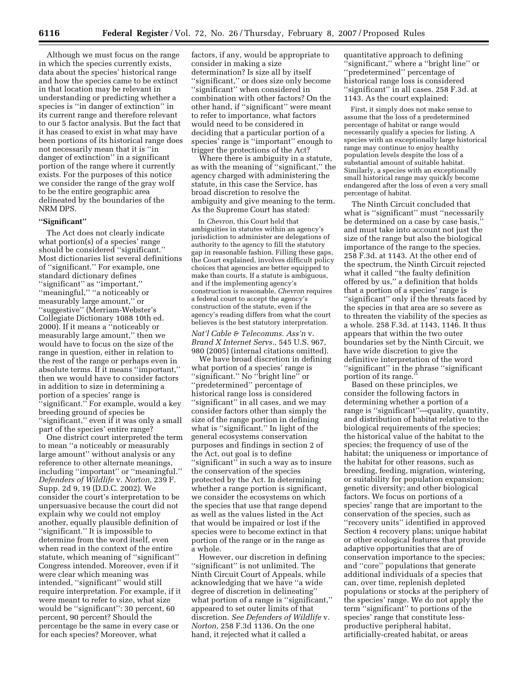Although we must focus on the range in which the species currently exists, data about the species' historical range and how the species came to be extinct in that location may be relevant in understanding or predicting whether a species is ''in danger of extinction'' in its current range and therefore relevant to our 5 factor analysis. But the fact that it has ceased to exist in what may have been portions of its historical range does not necessarily mean that it is ''in danger of extinction'' in a significant portion of the range where it currently exists. For the purposes of this notice we consider the range of the gray wolf to be the entire geographic area delineated by the boundaries of the NRM DPS.

#### **''Significant''**

The Act does not clearly indicate what portion(s) of a species' range should be considered ''significant.'' Most dictionaries list several definitions of ''significant.'' For example, one standard dictionary defines ''significant'' as ''important,'' ''meaningful,'' ''a noticeably or measurably large amount,'' or ''suggestive'' (Merriam-Webster's Collegiate Dictionary 1088 10th ed. 2000). If it means a ''noticeably or measurably large amount,'' then we would have to focus on the size of the range in question, either in relation to the rest of the range or perhaps even in absolute terms. If it means ''important,'' then we would have to consider factors in addition to size in determining a portion of a species' range is ''significant.'' For example, would a key breeding ground of species be ''significant,'' even if it was only a small part of the species' entire range?

One district court interpreted the term to mean ''a noticeably or measurably large amount'' without analysis or any reference to other alternate meanings, including ''important'' or ''meaningful.'' *Defenders of Wildlife* v. *Norton,* 239 F. Supp. 2d 9, 19 (D.D.C. 2002). We consider the court's interpretation to be unpersuasive because the court did not explain why we could not employ another, equally plausible definition of ''significant.'' It is impossible to determine from the word itself, even when read in the context of the entire statute, which meaning of ''significant'' Congress intended. Moreover, even if it were clear which meaning was intended, ''significant'' would still require interpretation. For example, if it were meant to refer to size, what size would be ''significant'': 30 percent, 60 percent, 90 percent? Should the percentage be the same in every case or for each species? Moreover, what

factors, if any, would be appropriate to consider in making a size determination? Is size all by itself ''significant,'' or does size only become ''significant'' when considered in combination with other factors? On the other hand, if ''significant'' were meant to refer to importance, what factors would need to be considered in deciding that a particular portion of a species' range is ''important'' enough to trigger the protections of the Act?

Where there is ambiguity in a statute, as with the meaning of ''significant,'' the agency charged with administering the statute, in this case the Service, has broad discretion to resolve the ambiguity and give meaning to the term. As the Supreme Court has stated:

In *Chevron,* this Court held that ambiguities in statutes within an agency's jurisdiction to administer are delegations of authority to the agency to fill the statutory gap in reasonable fashion. Filling these gaps, the Court explained, involves difficult policy choices that agencies are better equipped to make than courts. If a statute is ambiguous, and if the implementing agency's construction is reasonable, *Chevron* requires a federal court to accept the agency's construction of the statute, even if the agency's reading differs from what the court believes is the best statutory interpretation.

*Nat'l Cable & Telecomms. Ass'n* v. *Brand X Internet Servs.,* 545 U.S. 967, 980 (2005) (internal citations omitted).

We have broad discretion in defining what portion of a species' range is ''significant.'' No ''bright line'' or ''predetermined'' percentage of historical range loss is considered ''significant'' in all cases, and we may consider factors other than simply the size of the range portion in defining what is ''significant.'' In light of the general ecosystems conservation purposes and findings in section 2 of the Act, out goal is to define ''significant'' in such a way as to insure the conservation of the species protected by the Act. In determining whether a range portion is significant, we consider the ecosystems on which the species that use that range depend as well as the values listed in the Act that would be impaired or lost if the species were to become extinct in that portion of the range or in the range as a whole.

However, our discretion in defining ''significant'' is not unlimited. The Ninth Circuit Court of Appeals, while acknowledging that we have ''a wide degree of discretion in delineating'' what portion of a range is "significant," appeared to set outer limits of that discretion. *See Defenders of Wildlife* v. *Norton,* 258 F.3d 1136. On the one hand, it rejected what it called a

quantitative approach to defining ''significant,'' where a ''bright line'' or ''predetermined'' percentage of historical range loss is considered "significant" in all cases. 258 F.3d. at 1143. As the court explained:

First, it simply does not make sense to assume that the loss of a predetermined percentage of habitat or range would necessarily qualify a species for listing. A species with an exceptionally large historical range may continue to enjoy healthy population levels despite the loss of a substantial amount of suitable habitat. Similarly, a species with an exceptionally small historical range may quickly become endangered after the loss of even a very small percentage of habitat.

The Ninth Circuit concluded that what is ''significant'' must ''necessarily be determined on a case by case basis,'' and must take into account not just the size of the range but also the biological importance of the range to the species. 258 F.3d. at 1143. At the other end of the spectrum, the Ninth Circuit rejected what it called ''the faulty definition offered by us,'' a definition that holds that a portion of a species' range is ''significant'' only if the threats faced by the species in that area are so severe as to threaten the viability of the species as a whole. 258 F.3d. at 1143, 1146. It thus appears that within the two outer boundaries set by the Ninth Circuit, we have wide discretion to give the definitive interpretation of the word ''significant'' in the phrase ''significant portion of its range.''

Based on these principles, we consider the following factors in determining whether a portion of a range is ''significant''—quality, quantity, and distribution of habitat relative to the biological requirements of the species; the historical value of the habitat to the species; the frequency of use of the habitat; the uniqueness or importance of the habitat for other reasons, such as breeding, feeding, migration, wintering, or suitability for population expansion; genetic diversity; and other biological factors. We focus on portions of a species' range that are important to the conservation of the species, such as ''recovery units'' identified in approved Section 4 recovery plans; unique habitat or other ecological features that provide adaptive opportunities that are of conservation importance to the species; and ''core'' populations that generate additional individuals of a species that can, over time, replenish depleted populations or stocks at the periphery of the species' range. We do not apply the term ''significant'' to portions of the species' range that constitute lessproductive peripheral habitat, artificially-created habitat, or areas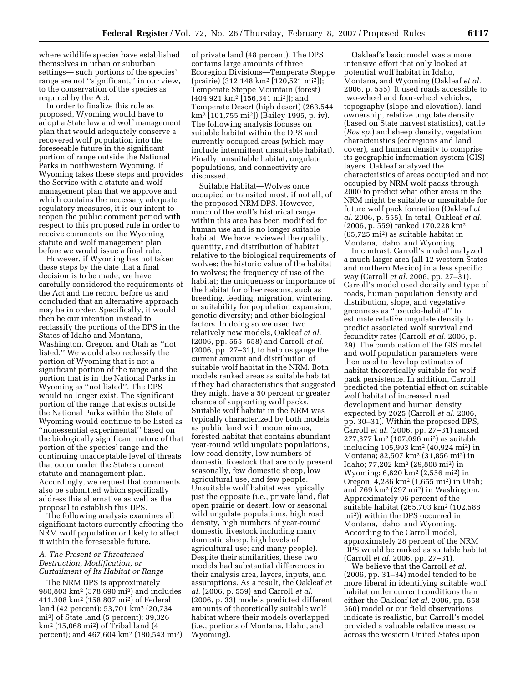where wildlife species have established themselves in urban or suburban settings— such portions of the species' range are not ''significant,'' in our view, to the conservation of the species as required by the Act.

In order to finalize this rule as proposed, Wyoming would have to adopt a State law and wolf management plan that would adequately conserve a recovered wolf population into the foreseeable future in the significant portion of range outside the National Parks in northwestern Wyoming. If Wyoming takes these steps and provides the Service with a statute and wolf management plan that we approve and which contains the necessary adequate regulatory measures, it is our intent to reopen the public comment period with respect to this proposed rule in order to receive comments on the Wyoming statute and wolf management plan before we would issue a final rule.

However, if Wyoming has not taken these steps by the date that a final decision is to be made, we have carefully considered the requirements of the Act and the record before us and concluded that an alternative approach may be in order. Specifically, it would then be our intention instead to reclassify the portions of the DPS in the States of Idaho and Montana, Washington, Oregon, and Utah as ''not listed.'' We would also reclassify the portion of Wyoming that is not a significant portion of the range and the portion that is in the National Parks in Wyoming as ''not listed''. The DPS would no longer exist. The significant portion of the range that exists outside the National Parks within the State of Wyoming would continue to be listed as ''nonessential experimental'' based on the biologically significant nature of that portion of the species' range and the continuing unacceptable level of threats that occur under the State's current statute and management plan. Accordingly, we request that comments also be submitted which specifically address this alternative as well as the proposal to establish this DPS.

The following analysis examines all significant factors currently affecting the NRM wolf population or likely to affect it within the foreseeable future.

## *A. The Present or Threatened Destruction, Modification, or Curtailment of Its Habitat or Range*

The NRM DPS is approximately 980,803 km2 (378,690 mi2) and includes 411,308 km2 (158,807 mi2) of Federal land (42 percent); 53,701 km2 (20,734 mi2) of State land (5 percent); 39,026 km2 (15,068 mi2) of Tribal land (4 percent); and 467,604 km2 (180,543 mi2) of private land (48 percent). The DPS contains large amounts of three Ecoregion Divisions—Temperate Steppe (prairie) (312,148 km2 [120,521 mi2]); Temperate Steppe Mountain (forest) (404,921 km2 [156,341 mi2]); and Temperate Desert (high desert) (263,544 km2 [101,755 mi2]) (Bailey 1995, p. iv). The following analysis focuses on suitable habitat within the DPS and currently occupied areas (which may include intermittent unsuitable habitat). Finally, unsuitable habitat, ungulate populations, and connectivity are discussed.

Suitable Habitat—Wolves once occupied or transited most, if not all, of the proposed NRM DPS. However, much of the wolf's historical range within this area has been modified for human use and is no longer suitable habitat. We have reviewed the quality, quantity, and distribution of habitat relative to the biological requirements of wolves; the historic value of the habitat to wolves; the frequency of use of the habitat; the uniqueness or importance of the habitat for other reasons, such as breeding, feeding, migration, wintering, or suitability for population expansion; genetic diversity; and other biological factors. In doing so we used two relatively new models, Oakleaf *et al.*  (2006, pp. 555–558) and Carroll *et al.*  (2006, pp. 27–31), to help us gauge the current amount and distribution of suitable wolf habitat in the NRM. Both models ranked areas as suitable habitat if they had characteristics that suggested they might have a 50 percent or greater chance of supporting wolf packs. Suitable wolf habitat in the NRM was typically characterized by both models as public land with mountainous, forested habitat that contains abundant year-round wild ungulate populations, low road density, low numbers of domestic livestock that are only present seasonally, few domestic sheep, low agricultural use, and few people. Unsuitable wolf habitat was typically just the opposite (i.e., private land, flat open prairie or desert, low or seasonal wild ungulate populations, high road density, high numbers of year-round domestic livestock including many domestic sheep, high levels of agricultural use; and many people). Despite their similarities, these two models had substantial differences in their analysis area, layers, inputs, and assumptions. As a result, the Oakleaf *et al.* (2006, p. 559) and Carroll *et al.*  (2006, p. 33) models predicted different amounts of theoretically suitable wolf habitat where their models overlapped (i.e., portions of Montana, Idaho, and Wyoming).

Oakleaf's basic model was a more intensive effort that only looked at potential wolf habitat in Idaho, Montana, and Wyoming (Oakleaf *et al.*  2006, p. 555). It used roads accessible to two-wheel and four-wheel vehicles, topography (slope and elevation), land ownership, relative ungulate density (based on State harvest statistics), cattle (*Bos sp.*) and sheep density, vegetation characteristics (ecoregions and land cover), and human density to comprise its geographic information system (GIS) layers. Oakleaf analyzed the characteristics of areas occupied and not occupied by NRM wolf packs through 2000 to predict what other areas in the NRM might be suitable or unsuitable for future wolf pack formation (Oakleaf *et al.* 2006, p. 555). In total, Oakleaf *et al.*  (2006, p. 559) ranked 170,228 km2 (65,725 mi2) as suitable habitat in Montana, Idaho, and Wyoming.

In contrast, Carroll's model analyzed a much larger area (all 12 western States and northern Mexico) in a less specific way (Carroll *et al.* 2006, pp. 27–31). Carroll's model used density and type of roads, human population density and distribution, slope, and vegetative greenness as ''pseudo-habitat'' to estimate relative ungulate density to predict associated wolf survival and fecundity rates (Carroll *et al.* 2006, p. 29). The combination of the GIS model and wolf population parameters were then used to develop estimates of habitat theoretically suitable for wolf pack persistence. In addition, Carroll predicted the potential effect on suitable wolf habitat of increased road development and human density expected by 2025 (Carroll *et al.* 2006, pp. 30–31). Within the proposed DPS, Carroll *et al.* (2006, pp. 27–31) ranked 277,377 km2 (107,096 mi2) as suitable including 105,993 km2 (40,924 mi2) in Montana; 82,507 km2 (31,856 mi2) in Idaho; 77,202 km2 (29,808 mi2) in Wyoming; 6,620 km2 (2,556 mi2) in Oregon; 4,286 km2 (1,655 mi2) in Utah; and 769 km2 (297 mi2) in Washington. Approximately 96 percent of the suitable habitat (265,703 km2 (102,588 mi2)) within the DPS occurred in Montana, Idaho, and Wyoming. According to the Carroll model, approximately 28 percent of the NRM DPS would be ranked as suitable habitat (Carroll *et al.* 2006, pp. 27–31).

We believe that the Carroll *et al.*  (2006, pp. 31–34) model tended to be more liberal in identifying suitable wolf habitat under current conditions than either the Oakleaf (*et al.* 2006, pp. 558– 560) model or our field observations indicate is realistic, but Carroll's model provided a valuable relative measure across the western United States upon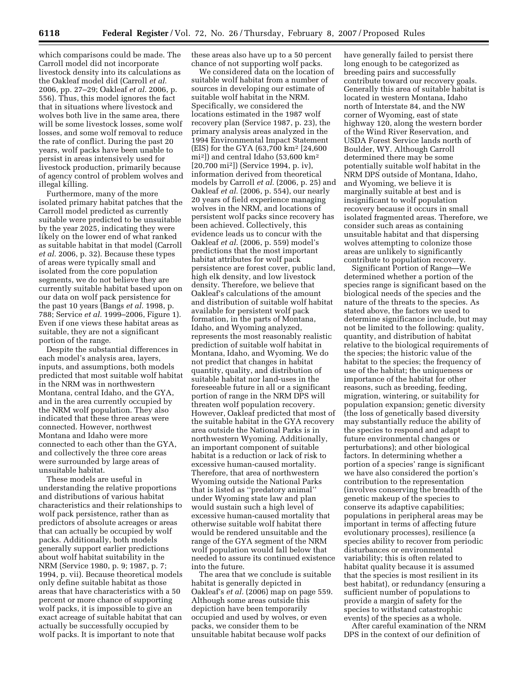which comparisons could be made. The Carroll model did not incorporate livestock density into its calculations as the Oakleaf model did (Carroll *et al.*  2006, pp. 27–29; Oakleaf *et al.* 2006, p. 556). Thus, this model ignores the fact that in situations where livestock and wolves both live in the same area, there will be some livestock losses, some wolf losses, and some wolf removal to reduce the rate of conflict. During the past 20 years, wolf packs have been unable to persist in areas intensively used for livestock production, primarily because of agency control of problem wolves and illegal killing.

Furthermore, many of the more isolated primary habitat patches that the Carroll model predicted as currently suitable were predicted to be unsuitable by the year 2025, indicating they were likely on the lower end of what ranked as suitable habitat in that model (Carroll *et al.* 2006, p. 32). Because these types of areas were typically small and isolated from the core population segments, we do not believe they are currently suitable habitat based upon on our data on wolf pack persistence for the past 10 years (Bangs *et al.* 1998, p. 788; Service *et al.* 1999–2006, Figure 1). Even if one views these habitat areas as suitable, they are not a significant portion of the range.

Despite the substantial differences in each model's analysis area, layers, inputs, and assumptions, both models predicted that most suitable wolf habitat in the NRM was in northwestern Montana, central Idaho, and the GYA, and in the area currently occupied by the NRM wolf population. They also indicated that these three areas were connected. However, northwest Montana and Idaho were more connected to each other than the GYA, and collectively the three core areas were surrounded by large areas of unsuitable habitat.

These models are useful in understanding the relative proportions and distributions of various habitat characteristics and their relationships to wolf pack persistence, rather than as predictors of absolute acreages or areas that can actually be occupied by wolf packs. Additionally, both models generally support earlier predictions about wolf habitat suitability in the NRM (Service 1980, p. 9; 1987, p. 7; 1994, p. vii). Because theoretical models only define suitable habitat as those areas that have characteristics with a 50 percent or more chance of supporting wolf packs, it is impossible to give an exact acreage of suitable habitat that can actually be successfully occupied by wolf packs. It is important to note that

these areas also have up to a 50 percent chance of not supporting wolf packs.

We considered data on the location of suitable wolf habitat from a number of sources in developing our estimate of suitable wolf habitat in the NRM. Specifically, we considered the locations estimated in the 1987 wolf recovery plan (Service 1987, p. 23), the primary analysis areas analyzed in the 1994 Environmental Impact Statement (EIS) for the GYA (63,700 km2 [24,600 mi2]) and central Idaho (53,600 km2 [20,700 mi2]) (Service 1994, p. iv), information derived from theoretical models by Carroll *et al.* (2006, p. 25) and Oakleaf *et al.* (2006, p. 554), our nearly 20 years of field experience managing wolves in the NRM, and locations of persistent wolf packs since recovery has been achieved. Collectively, this evidence leads us to concur with the Oakleaf *et al.* (2006, p. 559) model's predictions that the most important habitat attributes for wolf pack persistence are forest cover, public land, high elk density, and low livestock density. Therefore, we believe that Oakleaf's calculations of the amount and distribution of suitable wolf habitat available for persistent wolf pack formation, in the parts of Montana, Idaho, and Wyoming analyzed, represents the most reasonably realistic prediction of suitable wolf habitat in Montana, Idaho, and Wyoming. We do not predict that changes in habitat quantity, quality, and distribution of suitable habitat nor land-uses in the foreseeable future in all or a significant portion of range in the NRM DPS will threaten wolf population recovery. However, Oakleaf predicted that most of the suitable habitat in the GYA recovery area outside the National Parks is in northwestern Wyoming. Additionally, an important component of suitable habitat is a reduction or lack of risk to excessive human-caused mortality. Therefore, that area of northwestern Wyoming outside the National Parks that is listed as ''predatory animal'' under Wyoming state law and plan would sustain such a high level of excessive human-caused mortality that otherwise suitable wolf habitat there would be rendered unsuitable and the range of the GYA segment of the NRM wolf population would fall below that needed to assure its continued existence into the future.

The area that we conclude is suitable habitat is generally depicted in Oakleaf's *et al.* (2006) map on page 559. Although some areas outside this depiction have been temporarily occupied and used by wolves, or even packs, we consider them to be unsuitable habitat because wolf packs

have generally failed to persist there long enough to be categorized as breeding pairs and successfully contribute toward our recovery goals. Generally this area of suitable habitat is located in western Montana, Idaho north of Interstate 84, and the NW corner of Wyoming, east of state highway 120, along the western border of the Wind River Reservation, and USDA Forest Service lands north of Boulder, WY. Although Carroll determined there may be some potentially suitable wolf habitat in the NRM DPS outside of Montana, Idaho, and Wyoming, we believe it is marginally suitable at best and is insignificant to wolf population recovery because it occurs in small isolated fragmented areas. Therefore, we consider such areas as containing unsuitable habitat and that dispersing wolves attempting to colonize those areas are unlikely to significantly contribute to population recovery.

Significant Portion of Range—We determined whether a portion of the species range is significant based on the biological needs of the species and the nature of the threats to the species. As stated above, the factors we used to determine significance include, but may not be limited to the following: quality, quantity, and distribution of habitat relative to the biological requirements of the species; the historic value of the habitat to the species; the frequency of use of the habitat; the uniqueness or importance of the habitat for other reasons, such as breeding, feeding, migration, wintering, or suitability for population expansion; genetic diversity (the loss of genetically based diversity may substantially reduce the ability of the species to respond and adapt to future environmental changes or perturbations); and other biological factors. In determining whether a portion of a species' range is significant we have also considered the portion's contribution to the representation (involves conserving the breadth of the genetic makeup of the species to conserve its adaptive capabilities; populations in peripheral areas may be important in terms of affecting future evolutionary processes), resilience (a species ability to recover from periodic disturbances or environmental variability; this is often related to habitat quality because it is assumed that the species is most resilient in its best habitat), or redundancy (ensuring a sufficient number of populations to provide a margin of safety for the species to withstand catastrophic events) of the species as a whole. After careful examination of the NRM

DPS in the context of our definition of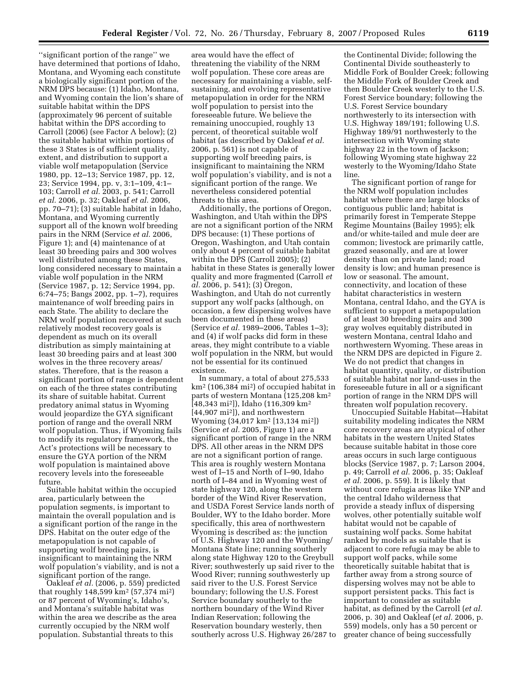''significant portion of the range'' we have determined that portions of Idaho, Montana, and Wyoming each constitute a biologically significant portion of the NRM DPS because: (1) Idaho, Montana, and Wyoming contain the lion's share of suitable habitat within the DPS (approximately 96 percent of suitable habitat within the DPS according to Carroll (2006) (see Factor A below); (2) the suitable habitat within portions of these 3 States is of sufficient quality, extent, and distribution to support a viable wolf metapopulation (Service 1980, pp. 12–13; Service 1987, pp. 12, 23; Service 1994, pp. v, 3:1–109, 4:1– 103; Carroll *et al.* 2003, p. 541; Carroll *et al.* 2006, p. 32; Oakleaf *et al.* 2006, pp. 70–71); (3) suitable habitat in Idaho, Montana, and Wyoming currently support all of the known wolf breeding pairs in the NRM (Service *et al.* 2006, Figure 1); and (4) maintenance of at least 30 breeding pairs and 300 wolves well distributed among these States, long considered necessary to maintain a viable wolf population in the NRM (Service 1987, p. 12; Service 1994, pp. 6:74–75; Bangs 2002, pp. 1–7), requires maintenance of wolf breeding pairs in each State. The ability to declare the NRM wolf population recovered at such relatively modest recovery goals is dependent as much on its overall distribution as simply maintaining at least 30 breeding pairs and at least 300 wolves in the three recovery areas/ states. Therefore, that is the reason a significant portion of range is dependent on each of the three states contributing its share of suitable habitat. Current predatory animal status in Wyoming would jeopardize the GYA significant portion of range and the overall NRM wolf population. Thus, if Wyoming fails to modify its regulatory framework, the Act's protections will be necessary to ensure the GYA portion of the NRM wolf population is maintained above recovery levels into the foreseeable future.

Suitable habitat within the occupied area, particularly between the population segments, is important to maintain the overall population and is a significant portion of the range in the DPS. Habitat on the outer edge of the metapopulation is not capable of supporting wolf breeding pairs, is insignificant to maintaining the NRM wolf population's viability, and is not a significant portion of the range.

Oakleaf *et al.* (2006, p. 559) predicted that roughly 148,599 km2 (57,374 mi2) or 87 percent of Wyoming's, Idaho's, and Montana's suitable habitat was within the area we describe as the area currently occupied by the NRM wolf population. Substantial threats to this

area would have the effect of threatening the viability of the NRM wolf population. These core areas are necessary for maintaining a viable, selfsustaining, and evolving representative metapopulation in order for the NRM wolf population to persist into the foreseeable future. We believe the remaining unoccupied, roughly 13 percent, of theoretical suitable wolf habitat (as described by Oakleaf *et al.*  2006, p. 561) is not capable of supporting wolf breeding pairs, is insignificant to maintaining the NRM wolf population's viability, and is not a significant portion of the range. We nevertheless considered potential threats to this area.

Additionally, the portions of Oregon, Washington, and Utah within the DPS are not a significant portion of the NRM DPS because: (1) These portions of Oregon, Washington, and Utah contain only about 4 percent of suitable habitat within the DPS (Carroll 2005); (2) habitat in these States is generally lower quality and more fragmented (Carroll *et al.* 2006, p. 541); (3) Oregon, Washington, and Utah do not currently support any wolf packs (although, on occasion, a few dispersing wolves have been documented in these areas) (Service *et al.* 1989–2006, Tables 1–3); and (4) if wolf packs did form in these areas, they might contribute to a viable wolf population in the NRM, but would not be essential for its continued existence.

In summary, a total of about 275,533 km2 (106,384 mi2) of occupied habitat in parts of western Montana (125,208 km2 [48,343 mi2]), Idaho (116,309 km2 [44,907 mi2]), and northwestern Wyoming (34,017 km2 [13,134 mi2]) (Service *et al.* 2005, Figure 1) are a significant portion of range in the NRM DPS. All other areas in the NRM DPS are not a significant portion of range. This area is roughly western Montana west of I–15 and North of I–90, Idaho north of I–84 and in Wyoming west of state highway 120, along the western border of the Wind River Reservation, and USDA Forest Service lands north of Boulder, WY to the Idaho border. More specifically, this area of northwestern Wyoming is described as: the junction of U.S. Highway 120 and the Wyoming/ Montana State line; running southerly along state Highway 120 to the Greybull River; southwesterly up said river to the Wood River; running southwesterly up said river to the U.S. Forest Service boundary; following the U.S. Forest Service boundary southerly to the northern boundary of the Wind River Indian Reservation; following the Reservation boundary westerly, then southerly across U.S. Highway 26/287 to

the Continental Divide; following the Continental Divide southeasterly to Middle Fork of Boulder Creek; following the Middle Fork of Boulder Creek and then Boulder Creek westerly to the U.S. Forest Service boundary; following the U.S. Forest Service boundary northwesterly to its intersection with U.S. Highway 189/191; following U.S. Highway 189/91 northwesterly to the intersection with Wyoming state highway 22 in the town of Jackson; following Wyoming state highway 22 westerly to the Wyoming/Idaho State line.

The significant portion of range for the NRM wolf population includes habitat where there are large blocks of contiguous public land; habitat is primarily forest in Temperate Steppe Regime Mountains (Bailey 1995); elk and/or white-tailed and mule deer are common; livestock are primarily cattle, grazed seasonally, and are at lower density than on private land; road density is low; and human presence is low or seasonal. The amount, connectivity, and location of these habitat characteristics in western Montana, central Idaho, and the GYA is sufficient to support a metapopulation of at least 30 breeding pairs and 300 gray wolves equitably distributed in western Montana, central Idaho and northwestern Wyoming. These areas in the NRM DPS are depicted in Figure 2. We do not predict that changes in habitat quantity, quality, or distribution of suitable habitat nor land-uses in the foreseeable future in all or a significant portion of range in the NRM DPS will threaten wolf population recovery.

Unoccupied Suitable Habitat—Habitat suitability modeling indicates the NRM core recovery areas are atypical of other habitats in the western United States because suitable habitat in those core areas occurs in such large contiguous blocks (Service 1987, p. 7; Larson 2004, p. 49; Carroll *et al.* 2006, p. 35; Oakleaf *et al.* 2006, p. 559). It is likely that without core refugia areas like YNP and the central Idaho wilderness that provide a steady influx of dispersing wolves, other potentially suitable wolf habitat would not be capable of sustaining wolf packs. Some habitat ranked by models as suitable that is adjacent to core refugia may be able to support wolf packs, while some theoretically suitable habitat that is farther away from a strong source of dispersing wolves may not be able to support persistent packs. This fact is important to consider as suitable habitat, as defined by the Carroll (*et al.*  2006, p. 30) and Oakleaf (*et al.* 2006, p. 559) models, only has a 50 percent or greater chance of being successfully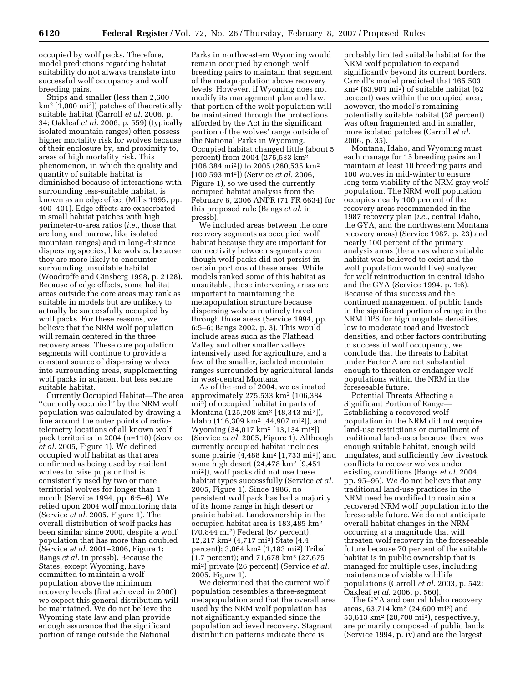occupied by wolf packs. Therefore, model predictions regarding habitat suitability do not always translate into successful wolf occupancy and wolf breeding pairs.

Strips and smaller (less than 2,600 km2 [1,000 mi2]) patches of theoretically suitable habitat (Carroll *et al.* 2006, p. 34; Oakleaf *et al.* 2006, p. 559) (typically isolated mountain ranges) often possess higher mortality risk for wolves because of their enclosure by, and proximity to, areas of high mortality risk. This phenomenon, in which the quality and quantity of suitable habitat is diminished because of interactions with surrounding less-suitable habitat, is known as an edge effect (Mills 1995, pp. 400–401). Edge effects are exacerbated in small habitat patches with high perimeter-to-area ratios (*i.e.*, those that are long and narrow, like isolated mountain ranges) and in long-distance dispersing species, like wolves, because they are more likely to encounter surrounding unsuitable habitat (Woodroffe and Ginsberg 1998, p. 2128). Because of edge effects, some habitat areas outside the core areas may rank as suitable in models but are unlikely to actually be successfully occupied by wolf packs. For these reasons, we believe that the NRM wolf population will remain centered in the three recovery areas. These core population segments will continue to provide a constant source of dispersing wolves into surrounding areas, supplementing wolf packs in adjacent but less secure suitable habitat.

Currently Occupied Habitat—The area ''currently occupied'' by the NRM wolf population was calculated by drawing a line around the outer points of radiotelemetry locations of all known wolf pack territories in 2004 (n=110) (Service *et al.* 2005, Figure 1). We defined occupied wolf habitat as that area confirmed as being used by resident wolves to raise pups or that is consistently used by two or more territorial wolves for longer than 1 month (Service 1994, pp. 6:5–6). We relied upon 2004 wolf monitoring data (Service *et al.* 2005, Figure 1). The overall distribution of wolf packs has been similar since 2000, despite a wolf population that has more than doubled (Service *et al.* 2001–2006, Figure 1; Bangs *et al.* in pressb). Because the States, except Wyoming, have committed to maintain a wolf population above the minimum recovery levels (first achieved in 2000) we expect this general distribution will be maintained. We do not believe the Wyoming state law and plan provide enough assurance that the significant portion of range outside the National

Parks in northwestern Wyoming would remain occupied by enough wolf breeding pairs to maintain that segment of the metapopulation above recovery levels. However, if Wyoming does not modify its management plan and law, that portion of the wolf population will be maintained through the protections afforded by the Act in the significant portion of the wolves' range outside of the National Parks in Wyoming. Occupied habitat changed little (about 5 percent) from 2004 (275,533 km2  $[106,384 \text{ mi}^2]$  to 2005 (260,535 km<sup>2</sup>) [100,593 mi2]) (Service *et al.* 2006, Figure 1), so we used the currently occupied habitat analysis from the February 8, 2006 ANPR (71 FR 6634) for this proposed rule (Bangs *et al.* in pressb).

We included areas between the core recovery segments as occupied wolf habitat because they are important for connectivity between segments even though wolf packs did not persist in certain portions of these areas. While models ranked some of this habitat as unsuitable, those intervening areas are important to maintaining the metapopulation structure because dispersing wolves routinely travel through those areas (Service 1994, pp. 6:5–6; Bangs 2002, p. 3). This would include areas such as the Flathead Valley and other smaller valleys intensively used for agriculture, and a few of the smaller, isolated mountain ranges surrounded by agricultural lands in west-central Montana.

As of the end of 2004, we estimated approximately 275,533 km2 (106,384 mi2) of occupied habitat in parts of Montana (125,208 km2 [48,343 mi2]), Idaho (116,309 km2 [44,907 mi2]), and Wyoming (34,017 km2 [13,134 mi2]) (Service *et al.* 2005, Figure 1). Although currently occupied habitat includes some prairie (4,488 km2 [1,733 mi2]) and some high desert (24,478 km2 [9,451 mi2]), wolf packs did not use these habitat types successfully (Service *et al.*  2005, Figure 1). Since 1986, no persistent wolf pack has had a majority of its home range in high desert or prairie habitat. Landownership in the occupied habitat area is 183,485 km2 (70,844 mi2) Federal (67 percent); 12,217 km2 (4,717 mi2) State (4.4 percent); 3,064 km2 (1,183 mi2) Tribal (1.7 percent); and 71,678 km2 (27,675 mi2) private (26 percent) (Service *et al.*  2005, Figure 1).

We determined that the current wolf population resembles a three-segment metapopulation and that the overall area used by the NRM wolf population has not significantly expanded since the population achieved recovery. Stagnant distribution patterns indicate there is

probably limited suitable habitat for the NRM wolf population to expand significantly beyond its current borders. Carroll's model predicted that 165,503 km2 (63,901 mi2) of suitable habitat (62 percent) was within the occupied area; however, the model's remaining potentially suitable habitat (38 percent) was often fragmented and in smaller, more isolated patches (Carroll *et al.*  2006, p. 35).

Montana, Idaho, and Wyoming must each manage for 15 breeding pairs and maintain at least 10 breeding pairs and 100 wolves in mid-winter to ensure long-term viability of the NRM gray wolf population. The NRM wolf population occupies nearly 100 percent of the recovery areas recommended in the 1987 recovery plan (*i.e.*, central Idaho, the GYA, and the northwestern Montana recovery areas) (Service 1987, p. 23) and nearly 100 percent of the primary analysis areas (the areas where suitable habitat was believed to exist and the wolf population would live) analyzed for wolf reintroduction in central Idaho and the GYA (Service 1994, p. 1:6). Because of this success and the continued management of public lands in the significant portion of range in the NRM DPS for high ungulate densities, low to moderate road and livestock densities, and other factors contributing to successful wolf occupancy, we conclude that the threats to habitat under Factor A are not substantial enough to threaten or endanger wolf populations within the NRM in the foreseeable future.

Potential Threats Affecting a Significant Portion of Range— Establishing a recovered wolf population in the NRM did not require land-use restrictions or curtailment of traditional land-uses because there was enough suitable habitat, enough wild ungulates, and sufficiently few livestock conflicts to recover wolves under existing conditions (Bangs *et al.* 2004, pp. 95–96). We do not believe that any traditional land-use practices in the NRM need be modified to maintain a recovered NRM wolf population into the foreseeable future. We do not anticipate overall habitat changes in the NRM occurring at a magnitude that will threaten wolf recovery in the foreseeable future because 70 percent of the suitable habitat is in public ownership that is managed for multiple uses, including maintenance of viable wildlife populations (Carroll *et al.* 2003, p. 542; Oakleaf *et al.* 2006, p. 560).

The GYA and central Idaho recovery areas, 63,714 km2 (24,600 mi2) and 53,613 km2 (20,700 mi2), respectively, are primarily composed of public lands (Service 1994, p. iv) and are the largest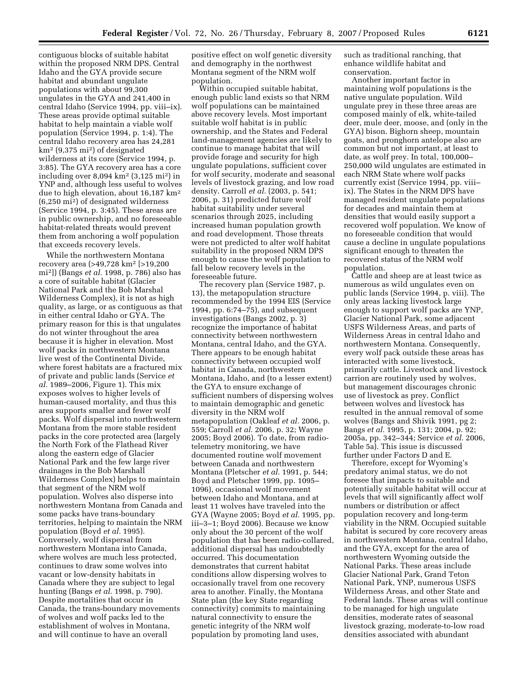contiguous blocks of suitable habitat within the proposed NRM DPS. Central Idaho and the GYA provide secure habitat and abundant ungulate populations with about 99,300 ungulates in the GYA and 241,400 in central Idaho (Service 1994, pp. viii–ix). These areas provide optimal suitable habitat to help maintain a viable wolf population (Service 1994, p. 1:4). The central Idaho recovery area has 24,281  $km<sup>2</sup>$  (9,375 mi<sup>2</sup>) of designated wilderness at its core (Service 1994, p. 3:85). The GYA recovery area has a core including over 8,094 km2 (3,125 mi2) in YNP and, although less useful to wolves due to high elevation, about 16,187 km2 (6,250 mi2) of designated wilderness (Service 1994, p. 3:45). These areas are in public ownership, and no foreseeable habitat-related threats would prevent them from anchoring a wolf population that exceeds recovery levels.

While the northwestern Montana recovery area (>49,728 km2 [>19,200 mi2]) (Bangs *et al.* 1998, p. 786) also has a core of suitable habitat (Glacier National Park and the Bob Marshal Wilderness Complex), it is not as high quality, as large, or as contiguous as that in either central Idaho or GYA. The primary reason for this is that ungulates do not winter throughout the area because it is higher in elevation. Most wolf packs in northwestern Montana live west of the Continental Divide, where forest habitats are a fractured mix of private and public lands (Service *et al.* 1989–2006, Figure 1). This mix exposes wolves to higher levels of human-caused mortality, and thus this area supports smaller and fewer wolf packs. Wolf dispersal into northwestern Montana from the more stable resident packs in the core protected area (largely the North Fork of the Flathead River along the eastern edge of Glacier National Park and the few large river drainages in the Bob Marshall Wilderness Complex) helps to maintain that segment of the NRM wolf population. Wolves also disperse into northwestern Montana from Canada and some packs have trans-boundary territories, helping to maintain the NRM population (Boyd *et al.* 1995). Conversely, wolf dispersal from northwestern Montana into Canada, where wolves are much less protected, continues to draw some wolves into vacant or low-density habitats in Canada where they are subject to legal hunting (Bangs *et al.* 1998, p. 790). Despite mortalities that occur in Canada, the trans-boundary movements of wolves and wolf packs led to the establishment of wolves in Montana, and will continue to have an overall

positive effect on wolf genetic diversity and demography in the northwest Montana segment of the NRM wolf population.

Within occupied suitable habitat, enough public land exists so that NRM wolf populations can be maintained above recovery levels. Most important suitable wolf habitat is in public ownership, and the States and Federal land-management agencies are likely to continue to manage habitat that will provide forage and security for high ungulate populations, sufficient cover for wolf security, moderate and seasonal levels of livestock grazing, and low road density. Carroll *et al.* (2003, p. 541; 2006, p. 31) predicted future wolf habitat suitability under several scenarios through 2025, including increased human population growth and road development. Those threats were not predicted to alter wolf habitat suitability in the proposed NRM DPS enough to cause the wolf population to fall below recovery levels in the foreseeable future.

The recovery plan (Service 1987, p. 13), the metapopulation structure recommended by the 1994 EIS (Service 1994, pp. 6:74–75), and subsequent investigations (Bangs 2002, p. 3) recognize the importance of habitat connectivity between northwestern Montana, central Idaho, and the GYA. There appears to be enough habitat connectivity between occupied wolf habitat in Canada, northwestern Montana, Idaho, and (to a lesser extent) the GYA to ensure exchange of sufficient numbers of dispersing wolves to maintain demographic and genetic diversity in the NRM wolf metapopulation (Oakleaf *et al.* 2006, p. 559; Carroll *et al.* 2006, p. 32; Wayne 2005; Boyd 2006). To date, from radiotelemetry monitoring, we have documented routine wolf movement between Canada and northwestern Montana (Pletscher *et al.* 1991, p. 544; Boyd and Pletscher 1999, pp. 1095– 1096), occasional wolf movement between Idaho and Montana, and at least 11 wolves have traveled into the GYA (Wayne 2005; Boyd *et al.* 1995, pp. iii–3–1; Boyd 2006). Because we know only about the 30 percent of the wolf population that has been radio-collared, additional dispersal has undoubtedly occurred. This documentation demonstrates that current habitat conditions allow dispersing wolves to occasionally travel from one recovery area to another. Finally, the Montana State plan (the key State regarding connectivity) commits to maintaining natural connectivity to ensure the genetic integrity of the NRM wolf population by promoting land uses,

such as traditional ranching, that enhance wildlife habitat and conservation.

Another important factor in maintaining wolf populations is the native ungulate population. Wild ungulate prey in these three areas are composed mainly of elk, white-tailed deer, mule deer, moose, and (only in the GYA) bison. Bighorn sheep, mountain goats, and pronghorn antelope also are common but not important, at least to date, as wolf prey. In total, 100,000– 250,000 wild ungulates are estimated in each NRM State where wolf packs currently exist (Service 1994, pp. viii– ix). The States in the NRM DPS have managed resident ungulate populations for decades and maintain them at densities that would easily support a recovered wolf population. We know of no foreseeable condition that would cause a decline in ungulate populations significant enough to threaten the recovered status of the NRM wolf population.

Cattle and sheep are at least twice as numerous as wild ungulates even on public lands (Service 1994, p. viii). The only areas lacking livestock large enough to support wolf packs are YNP, Glacier National Park, some adjacent USFS Wilderness Areas, and parts of Wilderness Areas in central Idaho and northwestern Montana. Consequently, every wolf pack outside these areas has interacted with some livestock, primarily cattle. Livestock and livestock carrion are routinely used by wolves, but management discourages chronic use of livestock as prey. Conflict between wolves and livestock has resulted in the annual removal of some wolves (Bangs and Shivik 1991, pg 2; Bangs *et al.* 1995, p. 131; 2004, p. 92; 2005a, pp. 342–344; Service *et al.* 2006, Table 5a). This issue is discussed further under Factors D and E.

Therefore, except for Wyoming's predatory animal status, we do not foresee that impacts to suitable and potentially suitable habitat will occur at levels that will significantly affect wolf numbers or distribution or affect population recovery and long-term viability in the NRM. Occupied suitable habitat is secured by core recovery areas in northwestern Montana, central Idaho, and the GYA, except for the area of northwestern Wyoming outside the National Parks. These areas include Glacier National Park, Grand Teton National Park, YNP, numerous USFS Wilderness Areas, and other State and Federal lands. These areas will continue to be managed for high ungulate densities, moderate rates of seasonal livestock grazing, moderate-to-low road densities associated with abundant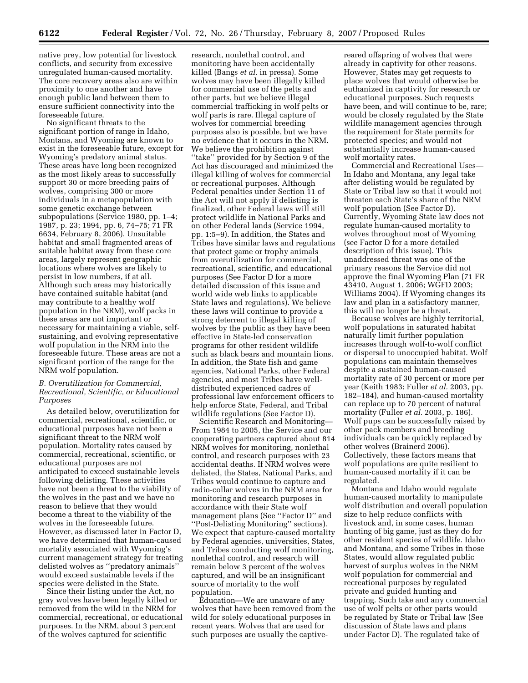native prey, low potential for livestock conflicts, and security from excessive unregulated human-caused mortality. The core recovery areas also are within proximity to one another and have enough public land between them to ensure sufficient connectivity into the foreseeable future.

No significant threats to the significant portion of range in Idaho, Montana, and Wyoming are known to exist in the foreseeable future, except for Wyoming's predatory animal status. These areas have long been recognized as the most likely areas to successfully support 30 or more breeding pairs of wolves, comprising 300 or more individuals in a metapopulation with some genetic exchange between subpopulations (Service 1980, pp. 1–4; 1987, p. 23; 1994, pp. 6, 74–75; 71 FR 6634, February 8, 2006). Unsuitable habitat and small fragmented areas of suitable habitat away from these core areas, largely represent geographic locations where wolves are likely to persist in low numbers, if at all. Although such areas may historically have contained suitable habitat (and may contribute to a healthy wolf population in the NRM), wolf packs in these areas are not important or necessary for maintaining a viable, selfsustaining, and evolving representative wolf population in the NRM into the foreseeable future. These areas are not a significant portion of the range for the NRM wolf population.

## *B. Overutilization for Commercial, Recreational, Scientific, or Educational Purposes*

As detailed below, overutilization for commercial, recreational, scientific, or educational purposes have not been a significant threat to the NRM wolf population. Mortality rates caused by commercial, recreational, scientific, or educational purposes are not anticipated to exceed sustainable levels following delisting. These activities have not been a threat to the viability of the wolves in the past and we have no reason to believe that they would become a threat to the viability of the wolves in the foreseeable future. However, as discussed later in Factor D, we have determined that human-caused mortality associated with Wyoming's current management strategy for treating delisted wolves as ''predatory animals'' would exceed sustainable levels if the species were delisted in the State.

Since their listing under the Act, no gray wolves have been legally killed or removed from the wild in the NRM for commercial, recreational, or educational purposes. In the NRM, about 3 percent of the wolves captured for scientific

research, nonlethal control, and monitoring have been accidentally killed (Bangs *et al.* in pressa). Some wolves may have been illegally killed for commercial use of the pelts and other parts, but we believe illegal commercial trafficking in wolf pelts or wolf parts is rare. Illegal capture of wolves for commercial breeding purposes also is possible, but we have no evidence that it occurs in the NRM. We believe the prohibition against ''take'' provided for by Section 9 of the Act has discouraged and minimized the illegal killing of wolves for commercial or recreational purposes. Although Federal penalties under Section 11 of the Act will not apply if delisting is finalized, other Federal laws will still protect wildlife in National Parks and on other Federal lands (Service 1994, pp. 1:5–9). In addition, the States and Tribes have similar laws and regulations that protect game or trophy animals from overutilization for commercial, recreational, scientific, and educational purposes (See Factor D for a more detailed discussion of this issue and world wide web links to applicable State laws and regulations). We believe these laws will continue to provide a strong deterrent to illegal killing of wolves by the public as they have been effective in State-led conservation programs for other resident wildlife such as black bears and mountain lions. In addition, the State fish and game agencies, National Parks, other Federal agencies, and most Tribes have welldistributed experienced cadres of professional law enforcement officers to help enforce State, Federal, and Tribal wildlife regulations (See Factor D).

Scientific Research and Monitoring— From 1984 to 2005, the Service and our cooperating partners captured about 814 NRM wolves for monitoring, nonlethal control, and research purposes with 23 accidental deaths. If NRM wolves were delisted, the States, National Parks, and Tribes would continue to capture and radio-collar wolves in the NRM area for monitoring and research purposes in accordance with their State wolf management plans (See ''Factor D'' and ''Post-Delisting Monitoring'' sections). We expect that capture-caused mortality by Federal agencies, universities, States, and Tribes conducting wolf monitoring, nonlethal control, and research will remain below 3 percent of the wolves captured, and will be an insignificant source of mortality to the wolf population.

Education—We are unaware of any wolves that have been removed from the wild for solely educational purposes in recent years. Wolves that are used for such purposes are usually the captivereared offspring of wolves that were already in captivity for other reasons. However, States may get requests to place wolves that would otherwise be euthanized in captivity for research or educational purposes. Such requests have been, and will continue to be, rare; would be closely regulated by the State wildlife management agencies through the requirement for State permits for protected species; and would not substantially increase human-caused wolf mortality rates.

Commercial and Recreational Uses— In Idaho and Montana, any legal take after delisting would be regulated by State or Tribal law so that it would not threaten each State's share of the NRM wolf population (See Factor D). Currently, Wyoming State law does not regulate human-caused mortality to wolves throughout most of Wyoming (see Factor D for a more detailed description of this issue). This unaddressed threat was one of the primary reasons the Service did not approve the final Wyoming Plan (71 FR 43410, August 1, 2006; WGFD 2003; Williams 2004). If Wyoming changes its law and plan in a satisfactory manner, this will no longer be a threat.

Because wolves are highly territorial, wolf populations in saturated habitat naturally limit further population increases through wolf-to-wolf conflict or dispersal to unoccupied habitat. Wolf populations can maintain themselves despite a sustained human-caused mortality rate of 30 percent or more per year (Keith 1983; Fuller *et al.* 2003, pp. 182–184), and human-caused mortality can replace up to 70 percent of natural mortality (Fuller *et al.* 2003, p. 186). Wolf pups can be successfully raised by other pack members and breeding individuals can be quickly replaced by other wolves (Brainerd 2006). Collectively, these factors means that wolf populations are quite resilient to human-caused mortality if it can be regulated.

Montana and Idaho would regulate human-caused mortality to manipulate wolf distribution and overall population size to help reduce conflicts with livestock and, in some cases, human hunting of big game, just as they do for other resident species of wildlife. Idaho and Montana, and some Tribes in those States, would allow regulated public harvest of surplus wolves in the NRM wolf population for commercial and recreational purposes by regulated private and guided hunting and trapping. Such take and any commercial use of wolf pelts or other parts would be regulated by State or Tribal law (See discussion of State laws and plans under Factor D). The regulated take of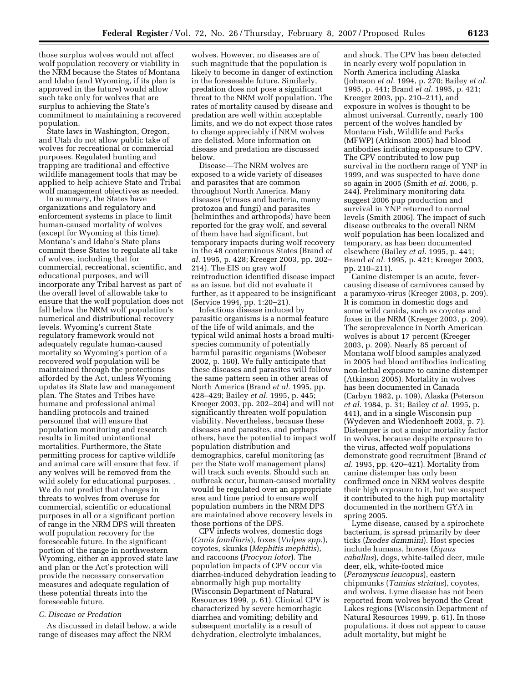those surplus wolves would not affect wolf population recovery or viability in the NRM because the States of Montana and Idaho (and Wyoming, if its plan is approved in the future) would allow such take only for wolves that are surplus to achieving the State's commitment to maintaining a recovered population.

State laws in Washington, Oregon, and Utah do not allow public take of wolves for recreational or commercial purposes. Regulated hunting and trapping are traditional and effective wildlife management tools that may be applied to help achieve State and Tribal wolf management objectives as needed.

In summary, the States have organizations and regulatory and enforcement systems in place to limit human-caused mortality of wolves (except for Wyoming at this time). Montana's and Idaho's State plans commit these States to regulate all take of wolves, including that for commercial, recreational, scientific, and educational purposes, and will incorporate any Tribal harvest as part of the overall level of allowable take to ensure that the wolf population does not fall below the NRM wolf population's numerical and distributional recovery levels. Wyoming's current State regulatory framework would not adequately regulate human-caused mortality so Wyoming's portion of a recovered wolf population will be maintained through the protections afforded by the Act, unless Wyoming updates its State law and management plan. The States and Tribes have humane and professional animal handling protocols and trained personnel that will ensure that population monitoring and research results in limited unintentional mortalities. Furthermore, the State permitting process for captive wildlife and animal care will ensure that few, if any wolves will be removed from the wild solely for educational purposes. . We do not predict that changes in threats to wolves from overuse for commercial, scientific or educational purposes in all or a significant portion of range in the NRM DPS will threaten wolf population recovery for the foreseeable future. In the significant portion of the range in northwestern Wyoming, either an approved state law and plan or the Act's protection will provide the necessary conservation measures and adequate regulation of these potential threats into the foreseeable future.

#### *C. Disease or Predation*

As discussed in detail below, a wide range of diseases may affect the NRM

wolves. However, no diseases are of such magnitude that the population is likely to become in danger of extinction in the foreseeable future. Similarly, predation does not pose a significant threat to the NRM wolf population. The rates of mortality caused by disease and predation are well within acceptable limits, and we do not expect those rates to change appreciably if NRM wolves are delisted. More information on disease and predation are discussed below.

Disease—The NRM wolves are exposed to a wide variety of diseases and parasites that are common throughout North America. Many diseases (viruses and bacteria, many protozoa and fungi) and parasites (helminthes and arthropods) have been reported for the gray wolf, and several of them have had significant, but temporary impacts during wolf recovery in the 48 conterminous States (Brand *et al.* 1995, p. 428; Kreeger 2003, pp. 202– 214). The EIS on gray wolf reintroduction identified disease impact as an issue, but did not evaluate it further, as it appeared to be insignificant (Service 1994, pp. 1:20–21).

Infectious disease induced by parasitic organisms is a normal feature of the life of wild animals, and the typical wild animal hosts a broad multispecies community of potentially harmful parasitic organisms (Wobeser 2002, p. 160). We fully anticipate that these diseases and parasites will follow the same pattern seen in other areas of North America (Brand *et al.* 1995, pp. 428–429; Bailey *et al.* 1995, p. 445; Kreeger 2003, pp. 202–204) and will not significantly threaten wolf population viability. Nevertheless, because these diseases and parasites, and perhaps others, have the potential to impact wolf population distribution and demographics, careful monitoring (as per the State wolf management plans) will track such events. Should such an outbreak occur, human-caused mortality would be regulated over an appropriate area and time period to ensure wolf population numbers in the NRM DPS are maintained above recovery levels in those portions of the DPS.

CPV infects wolves, domestic dogs (*Canis familiaris*), foxes (*Vulpes spp*.), coyotes, skunks (*Mephitis mephitis*), and raccoons (*Procyon lotor*). The population impacts of CPV occur via diarrhea-induced dehydration leading to abnormally high pup mortality (Wisconsin Department of Natural Resources 1999, p. 61). Clinical CPV is characterized by severe hemorrhagic diarrhea and vomiting; debility and subsequent mortality is a result of dehydration, electrolyte imbalances,

and shock. The CPV has been detected in nearly every wolf population in North America including Alaska (Johnson *et al.* 1994, p. 270; Bailey *et al.*  1995, p. 441; Brand *et al.* 1995, p. 421; Kreeger 2003, pp. 210–211), and exposure in wolves is thought to be almost universal. Currently, nearly 100 percent of the wolves handled by Montana Fish, Wildlife and Parks (MFWP) (Atkinson 2005) had blood antibodies indicating exposure to CPV. The CPV contributed to low pup survival in the northern range of YNP in 1999, and was suspected to have done so again in 2005 (Smith *et al.* 2006, p. 244). Preliminary monitoring data suggest 2006 pup production and survival in YNP returned to normal levels (Smith 2006). The impact of such disease outbreaks to the overall NRM wolf population has been localized and temporary, as has been documented elsewhere (Bailey *et al.* 1995, p. 441; Brand *et al.* 1995, p. 421; Kreeger 2003, pp. 210–211).

Canine distemper is an acute, fevercausing disease of carnivores caused by a paramyxo-virus (Kreeger 2003, p. 209). It is common in domestic dogs and some wild canids, such as coyotes and foxes in the NRM (Kreeger 2003, p. 209). The seroprevalence in North American wolves is about 17 percent (Kreeger 2003, p. 209). Nearly 85 percent of Montana wolf blood samples analyzed in 2005 had blood antibodies indicating non-lethal exposure to canine distemper (Atkinson 2005). Mortality in wolves has been documented in Canada (Carbyn 1982, p. 109), Alaska (Peterson *et al.* 1984, p. 31; Bailey *et al.* 1995, p. 441), and in a single Wisconsin pup (Wydeven and Wiedenhoeft 2003, p. 7). Distemper is not a major mortality factor in wolves, because despite exposure to the virus, affected wolf populations demonstrate good recruitment (Brand *et al.* 1995, pp. 420–421). Mortality from canine distemper has only been confirmed once in NRM wolves despite their high exposure to it, but we suspect it contributed to the high pup mortality documented in the northern GYA in spring 2005.

Lyme disease, caused by a spirochete bacterium, is spread primarily by deer ticks (*Ixodes dammini*). Host species include humans, horses (*Equus caballus*), dogs, white-tailed deer, mule deer, elk, white-footed mice (*Peromyscus leucopus*), eastern chipmunks (*Tamias striatus*), coyotes, and wolves. Lyme disease has not been reported from wolves beyond the Great Lakes regions (Wisconsin Department of Natural Resources 1999, p. 61). In those populations, it does not appear to cause adult mortality, but might be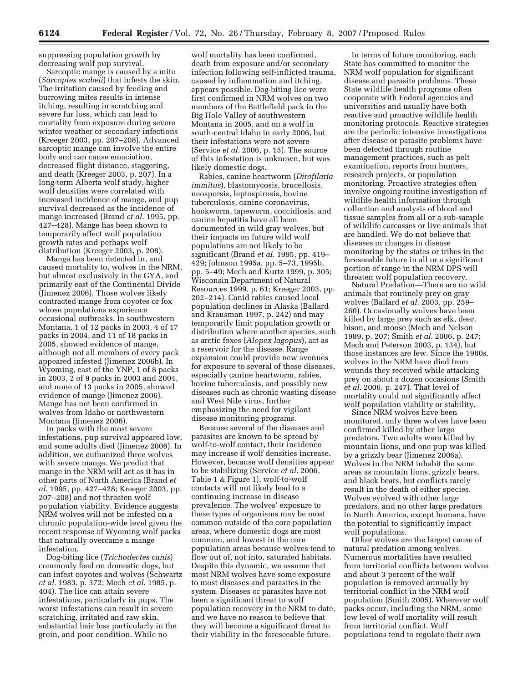suppressing population growth by decreasing wolf pup survival.

Sarcoptic mange is caused by a mite (*Sarcoptes scabeii*) that infests the skin. The irritation caused by feeding and burrowing mites results in intense itching, resulting in scratching and severe fur loss, which can lead to mortality from exposure during severe winter weather or secondary infections (Kreeger 2003, pp. 207–208). Advanced sarcoptic mange can involve the entire body and can cause emaciation, decreased flight distance, staggering, and death (Kreeger 2003, p. 207). In a long-term Alberta wolf study, higher wolf densities were correlated with increased incidence of mange, and pup survival decreased as the incidence of mange increased (Brand *et al.* 1995, pp. 427–428). Mange has been shown to temporarily affect wolf population growth rates and perhaps wolf distribution (Kreeger 2003, p. 208).

Mange has been detected in, and caused mortality to, wolves in the NRM, but almost exclusively in the GYA, and primarily east of the Continental Divide (Jimenez 2006). Those wolves likely contracted mange from coyotes or fox whose populations experience occasional outbreaks. In southwestern Montana, 1 of 12 packs in 2003, 4 of 17 packs in 2004, and 11 of 18 packs in 2005, showed evidence of mange, although not all members of every pack appeared infested (Jimenez 2006b). In Wyoming, east of the YNP, 1 of 8 packs in 2003, 2 of 9 packs in 2003 and 2004, and none of 13 packs in 2005, showed evidence of mange (Jimenez 2006). Mange has not been confirmed in wolves from Idaho or northwestern Montana (Jimenez 2006).

In packs with the most severe infestations, pup survival appeared low, and some adults died (Jimenez 2006). In addition, we euthanized three wolves with severe mange. We predict that mange in the NRM will act as it has in other parts of North America (Brand *et al.* 1995, pp. 427–428; Kreeger 2003, pp. 207–208) and not threaten wolf population viability. Evidence suggests NRM wolves will not be infested on a chronic population-wide level given the recent response of Wyoming wolf packs that naturally overcame a mange infestation.

Dog-biting lice (*Trichodectes canis*) commonly feed on domestic dogs, but can infest coyotes and wolves (Schwartz *et al.* 1983, p. 372; Mech *et al.* 1985, p. 404). The lice can attain severe infestations, particularly in pups. The worst infestations can result in severe scratching, irritated and raw skin, substantial hair loss particularly in the groin, and poor condition. While no

wolf mortality has been confirmed, death from exposure and/or secondary infection following self-inflicted trauma, caused by inflammation and itching, appears possible. Dog-biting lice were first confirmed in NRM wolves on two members of the Battlefield pack in the Big Hole Valley of southwestern Montana in 2005, and on a wolf in south-central Idaho in early 2006, but their infestations were not severe (Service *et al.* 2006, p. 15). The source of this infestation is unknown, but was likely domestic dogs.

Rabies, canine heartworm (*Dirofilaria immitus*), blastomycosis, brucellosis, neosporsis, leptospirosis, bovine tuberculosis, canine coronavirus, hookworm, tapeworm, coccidiosis, and canine hepatitis have all been documented in wild gray wolves, but their impacts on future wild wolf populations are not likely to be significant (Brand *et al.* 1995, pp. 419– 429; Johnson 1995a, pp. 5–73, 1995b, pp. 5–49; Mech and Kurtz 1999, p. 305; Wisconsin Department of Natural Resources 1999, p. 61; Kreeger 2003, pp. 202–214). Canid rabies caused local population declines in Alaska (Ballard and Krausman 1997, p. 242) and may temporarily limit population growth or distribution where another species, such as arctic foxes (*Alopex lagopus*), act as a reservoir for the disease. Range expansion could provide new avenues for exposure to several of these diseases, especially canine heartworm, rabies, bovine tuberculosis, and possibly new diseases such as chronic wasting disease and West Nile virus, further emphasizing the need for vigilant disease monitoring programs.

Because several of the diseases and parasites are known to be spread by wolf-to-wolf contact, their incidence may increase if wolf densities increase. However, because wolf densities appear to be stabilizing (Service *et al.* 2006, Table 1 & Figure 1), wolf-to-wolf contacts will not likely lead to a continuing increase in disease prevalence. The wolves' exposure to these types of organisms may be most common outside of the core population areas, where domestic dogs are most common, and lowest in the core population areas because wolves tend to flow out of, not into, saturated habitats. Despite this dynamic, we assume that most NRM wolves have some exposure to most diseases and parasites in the system. Diseases or parasites have not been a significant threat to wolf population recovery in the NRM to date, and we have no reason to believe that they will become a significant threat to their viability in the foreseeable future.

In terms of future monitoring, each State has committed to monitor the NRM wolf population for significant disease and parasite problems. These State wildlife health programs often cooperate with Federal agencies and universities and usually have both reactive and proactive wildlife health monitoring protocols. Reactive strategies are the periodic intensive investigations after disease or parasite problems have been detected through routine management practices, such as pelt examination, reports from hunters, research projects, or population monitoring. Proactive strategies often involve ongoing routine investigation of wildlife health information through collection and analysis of blood and tissue samples from all or a sub-sample of wildlife carcasses or live animals that are handled. We do not believe that diseases or changes in disease monitoring by the states or tribes in the foreseeable future in all or a significant portion of range in the NRM DPS will threaten wolf population recovery.

Natural Predation—There are no wild animals that routinely prey on gray wolves (Ballard *et al.* 2003, pp. 259– 260). Occasionally wolves have been killed by large prey such as elk, deer, bison, and moose (Mech and Nelson 1989, p. 207; Smith *et al.* 2006, p. 247; Mech and Peterson 2003, p. 134), but those instances are few. Since the 1980s, wolves in the NRM have died from wounds they received while attacking prey on about a dozen occasions (Smith *et al.* 2006, p. 247). That level of mortality could not significantly affect wolf population viability or stability.

Since NRM wolves have been monitored, only three wolves have been confirmed killed by other large predators. Two adults were killed by mountain lions, and one pup was killed by a grizzly bear (Jimenez 2006a). Wolves in the NRM inhabit the same areas as mountain lions, grizzly bears, and black bears, but conflicts rarely result in the death of either species. Wolves evolved with other large predators, and no other large predators in North America, except humans, have the potential to significantly impact wolf populations.

Other wolves are the largest cause of natural predation among wolves. Numerous mortalities have resulted from territorial conflicts between wolves and about 3 percent of the wolf population is removed annually by territorial conflict in the NRM wolf population (Smith 2005). Wherever wolf packs occur, including the NRM, some low level of wolf mortality will result from territorial conflict. Wolf populations tend to regulate their own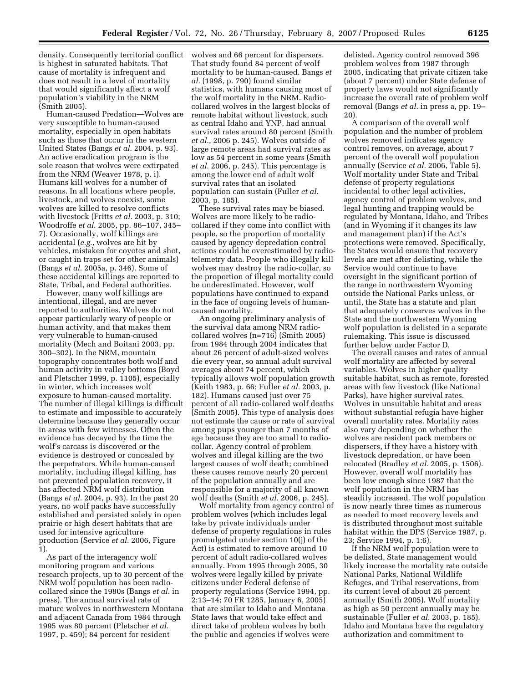density. Consequently territorial conflict is highest in saturated habitats. That cause of mortality is infrequent and does not result in a level of mortality that would significantly affect a wolf population's viability in the NRM (Smith 2005).

Human-caused Predation—Wolves are very susceptible to human-caused mortality, especially in open habitats such as those that occur in the western United States (Bangs *et al.* 2004, p. 93). An active eradication program is the sole reason that wolves were extirpated from the NRM (Weaver 1978, p. i). Humans kill wolves for a number of reasons. In all locations where people, livestock, and wolves coexist, some wolves are killed to resolve conflicts with livestock (Fritts *et al.* 2003, p. 310; Woodroffe *et al.* 2005, pp. 86–107, 345– 7). Occasionally, wolf killings are accidental (*e.g.*, wolves are hit by vehicles, mistaken for coyotes and shot, or caught in traps set for other animals) (Bangs *et al.* 2005a, p. 346). Some of these accidental killings are reported to State, Tribal, and Federal authorities.

However, many wolf killings are intentional, illegal, and are never reported to authorities. Wolves do not appear particularly wary of people or human activity, and that makes them very vulnerable to human-caused mortality (Mech and Boitani 2003, pp. 300–302). In the NRM, mountain topography concentrates both wolf and human activity in valley bottoms (Boyd and Pletscher 1999, p. 1105), especially in winter, which increases wolf exposure to human-caused mortality. The number of illegal killings is difficult to estimate and impossible to accurately determine because they generally occur in areas with few witnesses. Often the evidence has decayed by the time the wolf's carcass is discovered or the evidence is destroyed or concealed by the perpetrators. While human-caused mortality, including illegal killing, has not prevented population recovery, it has affected NRM wolf distribution (Bangs *et al.* 2004, p. 93). In the past 20 years, no wolf packs have successfully established and persisted solely in open prairie or high desert habitats that are used for intensive agriculture production (Service *et al.* 2006, Figure 1).

As part of the interagency wolf monitoring program and various research projects, up to 30 percent of the NRM wolf population has been radiocollared since the 1980s (Bangs *et al.* in press). The annual survival rate of mature wolves in northwestern Montana and adjacent Canada from 1984 through 1995 was 80 percent (Pletscher *et al.*  1997, p. 459); 84 percent for resident

wolves and 66 percent for dispersers. That study found 84 percent of wolf mortality to be human-caused. Bangs *et al.* (1998, p. 790) found similar statistics, with humans causing most of the wolf mortality in the NRM. Radiocollared wolves in the largest blocks of remote habitat without livestock, such as central Idaho and YNP, had annual survival rates around 80 percent (Smith *et al.*, 2006 p. 245). Wolves outside of large remote areas had survival rates as low as 54 percent in some years (Smith *et al.* 2006, p. 245). This percentage is among the lower end of adult wolf survival rates that an isolated population can sustain (Fuller *et al.*  2003, p. 185).

These survival rates may be biased. Wolves are more likely to be radiocollared if they come into conflict with people, so the proportion of mortality caused by agency depredation control actions could be overestimated by radiotelemetry data. People who illegally kill wolves may destroy the radio-collar, so the proportion of illegal mortality could be underestimated. However, wolf populations have continued to expand in the face of ongoing levels of humancaused mortality.

An ongoing preliminary analysis of the survival data among NRM radiocollared wolves (n=716) (Smith 2005) from 1984 through 2004 indicates that about 26 percent of adult-sized wolves die every year, so annual adult survival averages about 74 percent, which typically allows wolf population growth (Keith 1983, p. 66; Fuller *et al.* 2003, p. 182). Humans caused just over 75 percent of all radio-collared wolf deaths (Smith 2005). This type of analysis does not estimate the cause or rate of survival among pups younger than 7 months of age because they are too small to radiocollar. Agency control of problem wolves and illegal killing are the two largest causes of wolf death; combined these causes remove nearly 20 percent of the population annually and are responsible for a majority of all known wolf deaths (Smith *et al.* 2006, p. 245).

Wolf mortality from agency control of problem wolves (which includes legal take by private individuals under defense of property regulations in rules promulgated under section 10(j) of the Act) is estimated to remove around 10 percent of adult radio-collared wolves annually. From 1995 through 2005, 30 wolves were legally killed by private citizens under Federal defense of property regulations (Service 1994, pp. 2:13–14; 70 FR 1285, January 6, 2005) that are similar to Idaho and Montana State laws that would take effect and direct take of problem wolves by both the public and agencies if wolves were

delisted. Agency control removed 396 problem wolves from 1987 through 2005, indicating that private citizen take (about 7 percent) under State defense of property laws would not significantly increase the overall rate of problem wolf removal (Bangs *et al.* in press a, pp. 19– 20).

A comparison of the overall wolf population and the number of problem wolves removed indicates agency control removes, on average, about 7 percent of the overall wolf population annually (Service *et al.* 2006, Table 5). Wolf mortality under State and Tribal defense of property regulations incidental to other legal activities, agency control of problem wolves, and legal hunting and trapping would be regulated by Montana, Idaho, and Tribes (and in Wyoming if it changes its law and management plan) if the Act's protections were removed. Specifically, the States would ensure that recovery levels are met after delisting, while the Service would continue to have oversight in the significant portion of the range in northwestern Wyoming outside the National Parks unless, or until, the State has a statute and plan that adequately conserves wolves in the State and the northwestern Wyoming wolf population is delisted in a separate rulemaking. This issue is discussed further below under Factor D.

The overall causes and rates of annual wolf mortality are affected by several variables. Wolves in higher quality suitable habitat, such as remote, forested areas with few livestock (like National Parks), have higher survival rates. Wolves in unsuitable habitat and areas without substantial refugia have higher overall mortality rates. Mortality rates also vary depending on whether the wolves are resident pack members or dispersers, if they have a history with livestock depredation, or have been relocated (Bradley *et al.* 2005, p. 1506). However, overall wolf mortality has been low enough since 1987 that the wolf population in the NRM has steadily increased. The wolf population is now nearly three times as numerous as needed to meet recovery levels and is distributed throughout most suitable habitat within the DPS (Service 1987, p. 23; Service 1994, p. 1:6).

If the NRM wolf population were to be delisted, State management would likely increase the mortality rate outside National Parks, National Wildlife Refuges, and Tribal reservations, from its current level of about 26 percent annually (Smith 2005). Wolf mortality as high as 50 percent annually may be sustainable (Fuller *et al.* 2003, p. 185). Idaho and Montana have the regulatory authorization and commitment to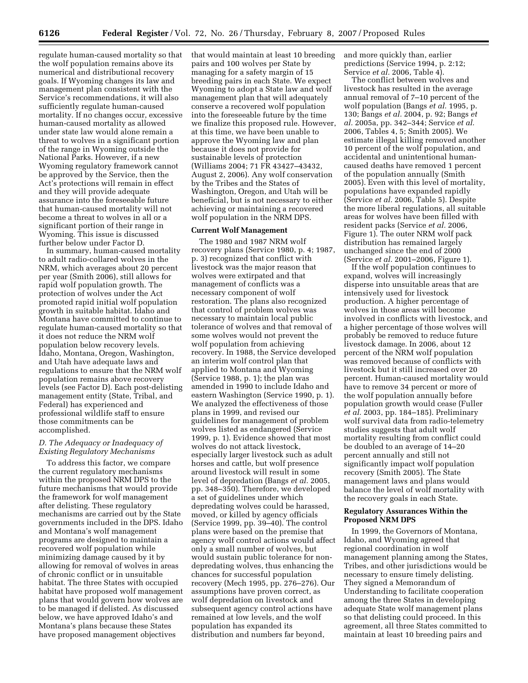regulate human-caused mortality so that the wolf population remains above its numerical and distributional recovery goals. If Wyoming changes its law and management plan consistent with the Service's recommendations, it will also sufficiently regulate human-caused mortality. If no changes occur, excessive human-caused mortality as allowed under state law would alone remain a threat to wolves in a significant portion of the range in Wyoming outside the National Parks. However, if a new Wyoming regulatory framework cannot be approved by the Service, then the Act's protections will remain in effect and they will provide adequate assurance into the foreseeable future that human-caused mortality will not become a threat to wolves in all or a significant portion of their range in Wyoming. This issue is discussed further below under Factor D.

In summary, human-caused mortality to adult radio-collared wolves in the NRM, which averages about 20 percent per year (Smith 2006), still allows for rapid wolf population growth. The protection of wolves under the Act promoted rapid initial wolf population growth in suitable habitat. Idaho and Montana have committed to continue to regulate human-caused mortality so that it does not reduce the NRM wolf population below recovery levels. Idaho, Montana, Oregon, Washington, and Utah have adequate laws and regulations to ensure that the NRM wolf population remains above recovery levels (see Factor D). Each post-delisting management entity (State, Tribal, and Federal) has experienced and professional wildlife staff to ensure those commitments can be accomplished.

#### *D. The Adequacy or Inadequacy of Existing Regulatory Mechanisms*

To address this factor, we compare the current regulatory mechanisms within the proposed NRM DPS to the future mechanisms that would provide the framework for wolf management after delisting. These regulatory mechanisms are carried out by the State governments included in the DPS. Idaho and Montana's wolf management programs are designed to maintain a recovered wolf population while minimizing damage caused by it by allowing for removal of wolves in areas of chronic conflict or in unsuitable habitat. The three States with occupied habitat have proposed wolf management plans that would govern how wolves are to be managed if delisted. As discussed below, we have approved Idaho's and Montana's plans because these States have proposed management objectives

that would maintain at least 10 breeding pairs and 100 wolves per State by managing for a safety margin of 15 breeding pairs in each State. We expect Wyoming to adopt a State law and wolf management plan that will adequately conserve a recovered wolf population into the foreseeable future by the time we finalize this proposed rule. However, at this time, we have been unable to approve the Wyoming law and plan because it does not provide for sustainable levels of protection (Williams 2004; 71 FR 43427–43432, August 2, 2006). Any wolf conservation by the Tribes and the States of Washington, Oregon, and Utah will be beneficial, but is not necessary to either achieving or maintaining a recovered wolf population in the NRM DPS.

## **Current Wolf Management**

The 1980 and 1987 NRM wolf recovery plans (Service 1980, p. 4; 1987, p. 3) recognized that conflict with livestock was the major reason that wolves were extirpated and that management of conflicts was a necessary component of wolf restoration. The plans also recognized that control of problem wolves was necessary to maintain local public tolerance of wolves and that removal of some wolves would not prevent the wolf population from achieving recovery. In 1988, the Service developed an interim wolf control plan that applied to Montana and Wyoming (Service 1988, p. 1); the plan was amended in 1990 to include Idaho and eastern Washington (Service 1990, p. 1). We analyzed the effectiveness of those plans in 1999, and revised our guidelines for management of problem wolves listed as endangered (Service 1999, p. 1). Evidence showed that most wolves do not attack livestock, especially larger livestock such as adult horses and cattle, but wolf presence around livestock will result in some level of depredation (Bangs *et al.* 2005, pp. 348–350). Therefore, we developed a set of guidelines under which depredating wolves could be harassed, moved, or killed by agency officials (Service 1999, pp. 39–40). The control plans were based on the premise that agency wolf control actions would affect only a small number of wolves, but would sustain public tolerance for nondepredating wolves, thus enhancing the chances for successful population recovery (Mech 1995, pp. 276–276). Our assumptions have proven correct, as wolf depredation on livestock and subsequent agency control actions have remained at low levels, and the wolf population has expanded its distribution and numbers far beyond,

and more quickly than, earlier predictions (Service 1994, p. 2:12; Service *et al.* 2006, Table 4).

The conflict between wolves and livestock has resulted in the average annual removal of 7–10 percent of the wolf population (Bangs *et al.* 1995, p. 130; Bangs *et al.* 2004, p. 92; Bangs *et al.* 2005a, pp. 342–344; Service *et al.*  2006, Tables 4, 5; Smith 2005). We estimate illegal killing removed another 10 percent of the wolf population, and accidental and unintentional humancaused deaths have removed 1 percent of the population annually (Smith 2005). Even with this level of mortality, populations have expanded rapidly (Service *et al.* 2006, Table 5). Despite the more liberal regulations, all suitable areas for wolves have been filled with resident packs (Service *et al.* 2006, Figure 1). The outer NRM wolf pack distribution has remained largely unchanged since the end of 2000 (Service *et al.* 2001–2006, Figure 1).

If the wolf population continues to expand, wolves will increasingly disperse into unsuitable areas that are intensively used for livestock production. A higher percentage of wolves in those areas will become involved in conflicts with livestock, and a higher percentage of those wolves will probably be removed to reduce future livestock damage. In 2006, about 12 percent of the NRM wolf population was removed because of conflicts with livestock but it still increased over 20 percent. Human-caused mortality would have to remove 34 percent or more of the wolf population annually before population growth would cease (Fuller *et al.* 2003, pp. 184–185). Preliminary wolf survival data from radio-telemetry studies suggests that adult wolf mortality resulting from conflict could be doubled to an average of 14–20 percent annually and still not significantly impact wolf population recovery (Smith 2005). The State management laws and plans would balance the level of wolf mortality with the recovery goals in each State.

### **Regulatory Assurances Within the Proposed NRM DPS**

In 1999, the Governors of Montana, Idaho, and Wyoming agreed that regional coordination in wolf management planning among the States, Tribes, and other jurisdictions would be necessary to ensure timely delisting. They signed a Memorandum of Understanding to facilitate cooperation among the three States in developing adequate State wolf management plans so that delisting could proceed. In this agreement, all three States committed to maintain at least 10 breeding pairs and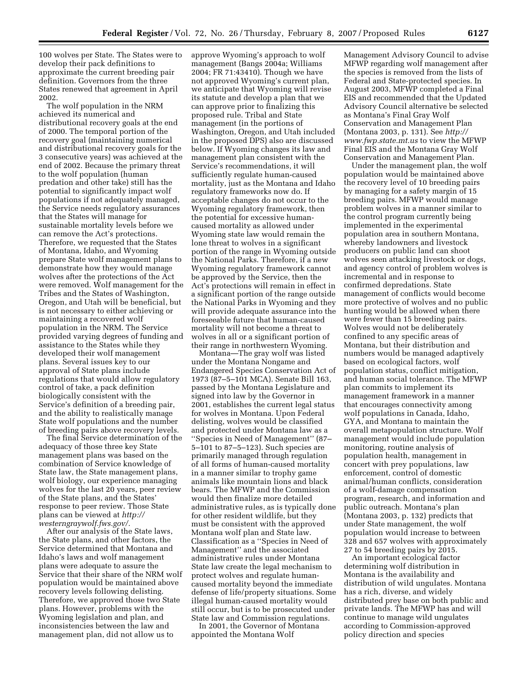100 wolves per State. The States were to develop their pack definitions to approximate the current breeding pair definition. Governors from the three States renewed that agreement in April 2002.

The wolf population in the NRM achieved its numerical and distributional recovery goals at the end of 2000. The temporal portion of the recovery goal (maintaining numerical and distributional recovery goals for the 3 consecutive years) was achieved at the end of 2002. Because the primary threat to the wolf population (human predation and other take) still has the potential to significantly impact wolf populations if not adequately managed, the Service needs regulatory assurances that the States will manage for sustainable mortality levels before we can remove the Act's protections. Therefore, we requested that the States of Montana, Idaho, and Wyoming prepare State wolf management plans to demonstrate how they would manage wolves after the protections of the Act were removed. Wolf management for the Tribes and the States of Washington, Oregon, and Utah will be beneficial, but is not necessary to either achieving or maintaining a recovered wolf population in the NRM. The Service provided varying degrees of funding and assistance to the States while they developed their wolf management plans. Several issues key to our approval of State plans include regulations that would allow regulatory control of take, a pack definition biologically consistent with the Service's definition of a breeding pair, and the ability to realistically manage State wolf populations and the number of breeding pairs above recovery levels.

The final Service determination of the adequacy of those three key State management plans was based on the combination of Service knowledge of State law, the State management plans, wolf biology, our experience managing wolves for the last 20 years, peer review of the State plans, and the States' response to peer review. Those State plans can be viewed at *http:// westerngraywolf.fws.gov/.* 

After our analysis of the State laws, the State plans, and other factors, the Service determined that Montana and Idaho's laws and wolf management plans were adequate to assure the Service that their share of the NRM wolf population would be maintained above recovery levels following delisting. Therefore, we approved those two State plans. However, problems with the Wyoming legislation and plan, and inconsistencies between the law and management plan, did not allow us to

approve Wyoming's approach to wolf management (Bangs 2004a; Williams 2004; FR 71:43410). Though we have not approved Wyoming's current plan, we anticipate that Wyoming will revise its statute and develop a plan that we can approve prior to finalizing this proposed rule. Tribal and State management (in the portions of Washington, Oregon, and Utah included in the proposed DPS) also are discussed below. If Wyoming changes its law and management plan consistent with the Service's recommendations, it will sufficiently regulate human-caused mortality, just as the Montana and Idaho regulatory frameworks now do. If acceptable changes do not occur to the Wyoming regulatory framework, then the potential for excessive humancaused mortality as allowed under Wyoming state law would remain the lone threat to wolves in a significant portion of the range in Wyoming outside the National Parks. Therefore, if a new Wyoming regulatory framework cannot be approved by the Service, then the Act's protections will remain in effect in a significant portion of the range outside the National Parks in Wyoming and they will provide adequate assurance into the foreseeable future that human-caused mortality will not become a threat to wolves in all or a significant portion of their range in northwestern Wyoming.

Montana—The gray wolf was listed under the Montana Nongame and Endangered Species Conservation Act of 1973 (87–5–101 MCA). Senate Bill 163, passed by the Montana Legislature and signed into law by the Governor in 2001, establishes the current legal status for wolves in Montana. Upon Federal delisting, wolves would be classified and protected under Montana law as a ''Species in Need of Management'' (87– 5–101 to 87–5–123). Such species are primarily managed through regulation of all forms of human-caused mortality in a manner similar to trophy game animals like mountain lions and black bears. The MFWP and the Commission would then finalize more detailed administrative rules, as is typically done for other resident wildlife, but they must be consistent with the approved Montana wolf plan and State law. Classification as a ''Species in Need of Management'' and the associated administrative rules under Montana State law create the legal mechanism to protect wolves and regulate humancaused mortality beyond the immediate defense of life/property situations. Some illegal human-caused mortality would still occur, but is to be prosecuted under State law and Commission regulations.

In 2001, the Governor of Montana appointed the Montana Wolf

Management Advisory Council to advise MFWP regarding wolf management after the species is removed from the lists of Federal and State-protected species. In August 2003, MFWP completed a Final EIS and recommended that the Updated Advisory Council alternative be selected as Montana's Final Gray Wolf Conservation and Management Plan (Montana 2003, p. 131). See *http:// www.fwp.state.mt.us* to view the MFWP Final EIS and the Montana Gray Wolf Conservation and Management Plan.

Under the management plan, the wolf population would be maintained above the recovery level of 10 breeding pairs by managing for a safety margin of 15 breeding pairs. MFWP would manage problem wolves in a manner similar to the control program currently being implemented in the experimental population area in southern Montana, whereby landowners and livestock producers on public land can shoot wolves seen attacking livestock or dogs, and agency control of problem wolves is incremental and in response to confirmed depredations. State management of conflicts would become more protective of wolves and no public hunting would be allowed when there were fewer than 15 breeding pairs. Wolves would not be deliberately confined to any specific areas of Montana, but their distribution and numbers would be managed adaptively based on ecological factors, wolf population status, conflict mitigation, and human social tolerance. The MFWP plan commits to implement its management framework in a manner that encourages connectivity among wolf populations in Canada, Idaho, GYA, and Montana to maintain the overall metapopulation structure. Wolf management would include population monitoring, routine analysis of population health, management in concert with prey populations, law enforcement, control of domestic animal/human conflicts, consideration of a wolf-damage compensation program, research, and information and public outreach. Montana's plan (Montana 2003, p. 132) predicts that under State management, the wolf population would increase to between 328 and 657 wolves with approximately 27 to 54 breeding pairs by 2015.

An important ecological factor determining wolf distribution in Montana is the availability and distribution of wild ungulates. Montana has a rich, diverse, and widely distributed prey base on both public and private lands. The MFWP has and will continue to manage wild ungulates according to Commission-approved policy direction and species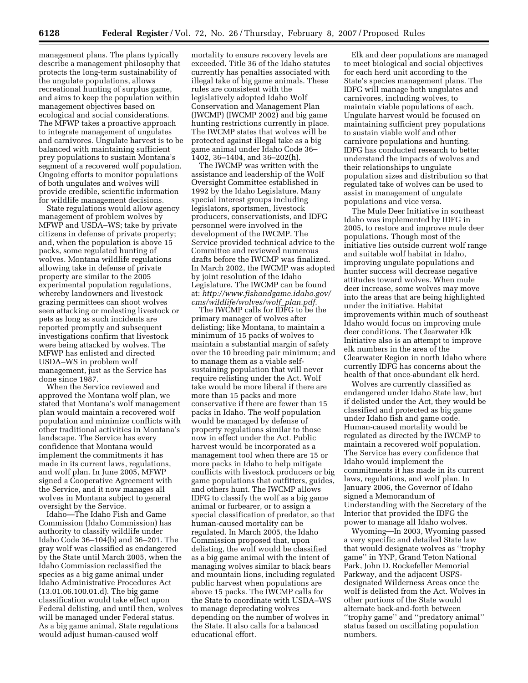management plans. The plans typically describe a management philosophy that protects the long-term sustainability of the ungulate populations, allows recreational hunting of surplus game, and aims to keep the population within management objectives based on ecological and social considerations. The MFWP takes a proactive approach to integrate management of ungulates and carnivores. Ungulate harvest is to be balanced with maintaining sufficient prey populations to sustain Montana's segment of a recovered wolf population. Ongoing efforts to monitor populations of both ungulates and wolves will provide credible, scientific information for wildlife management decisions.

State regulations would allow agency management of problem wolves by MFWP and USDA–WS; take by private citizens in defense of private property; and, when the population is above 15 packs, some regulated hunting of wolves. Montana wildlife regulations allowing take in defense of private property are similar to the 2005 experimental population regulations, whereby landowners and livestock grazing permittees can shoot wolves seen attacking or molesting livestock or pets as long as such incidents are reported promptly and subsequent investigations confirm that livestock were being attacked by wolves. The MFWP has enlisted and directed USDA–WS in problem wolf management, just as the Service has done since 1987.

When the Service reviewed and approved the Montana wolf plan, we stated that Montana's wolf management plan would maintain a recovered wolf population and minimize conflicts with other traditional activities in Montana's landscape. The Service has every confidence that Montana would implement the commitments it has made in its current laws, regulations, and wolf plan. In June 2005, MFWP signed a Cooperative Agreement with the Service, and it now manages all wolves in Montana subject to general oversight by the Service.

Idaho—The Idaho Fish and Game Commission (Idaho Commission) has authority to classify wildlife under Idaho Code 36–104(b) and 36–201. The gray wolf was classified as endangered by the State until March 2005, when the Idaho Commission reclassified the species as a big game animal under Idaho Administrative Procedures Act (13.01.06.100.01.d). The big game classification would take effect upon Federal delisting, and until then, wolves will be managed under Federal status. As a big game animal, State regulations would adjust human-caused wolf

mortality to ensure recovery levels are exceeded. Title 36 of the Idaho statutes currently has penalties associated with illegal take of big game animals. These rules are consistent with the legislatively adopted Idaho Wolf Conservation and Management Plan (IWCMP) (IWCMP 2002) and big game hunting restrictions currently in place. The IWCMP states that wolves will be protected against illegal take as a big game animal under Idaho Code 36– 1402, 36–1404, and 36–202(h).

The IWCMP was written with the assistance and leadership of the Wolf Oversight Committee established in 1992 by the Idaho Legislature. Many special interest groups including legislators, sportsmen, livestock producers, conservationists, and IDFG personnel were involved in the development of the IWCMP. The Service provided technical advice to the Committee and reviewed numerous drafts before the IWCMP was finalized. In March 2002, the IWCMP was adopted by joint resolution of the Idaho Legislature. The IWCMP can be found at: *http://www.fishandgame.idaho.gov/ cms/wildlife/wolves/wolf*\_*plan.pdf.* 

The IWCMP calls for IDFG to be the primary manager of wolves after delisting; like Montana, to maintain a minimum of 15 packs of wolves to maintain a substantial margin of safety over the 10 breeding pair minimum; and to manage them as a viable selfsustaining population that will never require relisting under the Act. Wolf take would be more liberal if there are more than 15 packs and more conservative if there are fewer than 15 packs in Idaho. The wolf population would be managed by defense of property regulations similar to those now in effect under the Act. Public harvest would be incorporated as a management tool when there are 15 or more packs in Idaho to help mitigate conflicts with livestock producers or big game populations that outfitters, guides, and others hunt. The IWCMP allows IDFG to classify the wolf as a big game animal or furbearer, or to assign a special classification of predator, so that human-caused mortality can be regulated. In March 2005, the Idaho Commission proposed that, upon delisting, the wolf would be classified as a big game animal with the intent of managing wolves similar to black bears and mountain lions, including regulated public harvest when populations are above 15 packs. The IWCMP calls for the State to coordinate with USDA–WS to manage depredating wolves depending on the number of wolves in the State. It also calls for a balanced educational effort.

Elk and deer populations are managed to meet biological and social objectives for each herd unit according to the State's species management plans. The IDFG will manage both ungulates and carnivores, including wolves, to maintain viable populations of each. Ungulate harvest would be focused on maintaining sufficient prey populations to sustain viable wolf and other carnivore populations and hunting. IDFG has conducted research to better understand the impacts of wolves and their relationships to ungulate population sizes and distribution so that regulated take of wolves can be used to assist in management of ungulate populations and vice versa.

The Mule Deer Initiative in southeast Idaho was implemented by IDFG in 2005, to restore and improve mule deer populations. Though most of the initiative lies outside current wolf range and suitable wolf habitat in Idaho, improving ungulate populations and hunter success will decrease negative attitudes toward wolves. When mule deer increase, some wolves may move into the areas that are being highlighted under the initiative. Habitat improvements within much of southeast Idaho would focus on improving mule deer conditions. The Clearwater Elk Initiative also is an attempt to improve elk numbers in the area of the Clearwater Region in north Idaho where currently IDFG has concerns about the health of that once-abundant elk herd.

Wolves are currently classified as endangered under Idaho State law, but if delisted under the Act, they would be classified and protected as big game under Idaho fish and game code. Human-caused mortality would be regulated as directed by the IWCMP to maintain a recovered wolf population. The Service has every confidence that Idaho would implement the commitments it has made in its current laws, regulations, and wolf plan. In January 2006, the Governor of Idaho signed a Memorandum of Understanding with the Secretary of the Interior that provided the IDFG the power to manage all Idaho wolves.

Wyoming—In 2003, Wyoming passed a very specific and detailed State law that would designate wolves as ''trophy game'' in YNP, Grand Teton National Park, John D. Rockefeller Memorial Parkway, and the adjacent USFSdesignated Wilderness Areas once the wolf is delisted from the Act. Wolves in other portions of the State would alternate back-and-forth between ''trophy game'' and ''predatory animal'' status based on oscillating population numbers.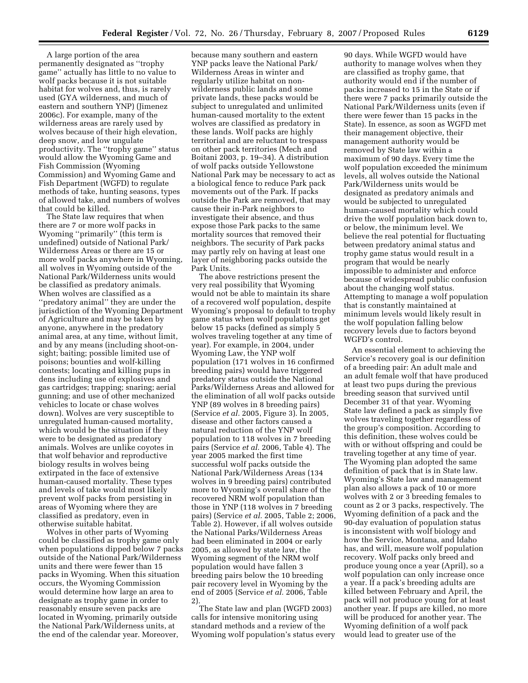A large portion of the area permanently designated as ''trophy game'' actually has little to no value to wolf packs because it is not suitable habitat for wolves and, thus, is rarely used (GYA wilderness, and much of eastern and southern YNP) (Jimenez 2006c). For example, many of the wilderness areas are rarely used by wolves because of their high elevation, deep snow, and low ungulate productivity. The ''trophy game'' status would allow the Wyoming Game and Fish Commission (Wyoming Commission) and Wyoming Game and Fish Department (WGFD) to regulate methods of take, hunting seasons, types of allowed take, and numbers of wolves that could be killed.

The State law requires that when there are 7 or more wolf packs in Wyoming ''primarily'' (this term is undefined) outside of National Park/ Wilderness Areas or there are 15 or more wolf packs anywhere in Wyoming, all wolves in Wyoming outside of the National Park/Wilderness units would be classified as predatory animals. When wolves are classified as a ''predatory animal'' they are under the jurisdiction of the Wyoming Department of Agriculture and may be taken by anyone, anywhere in the predatory animal area, at any time, without limit, and by any means (including shoot-onsight; baiting; possible limited use of poisons; bounties and wolf-killing contests; locating and killing pups in dens including use of explosives and gas cartridges; trapping; snaring; aerial gunning; and use of other mechanized vehicles to locate or chase wolves down). Wolves are very susceptible to unregulated human-caused mortality, which would be the situation if they were to be designated as predatory animals. Wolves are unlike coyotes in that wolf behavior and reproductive biology results in wolves being extirpated in the face of extensive human-caused mortality. These types and levels of take would most likely prevent wolf packs from persisting in areas of Wyoming where they are classified as predatory, even in otherwise suitable habitat.

Wolves in other parts of Wyoming could be classified as trophy game only when populations dipped below 7 packs outside of the National Park/Wilderness units and there were fewer than 15 packs in Wyoming. When this situation occurs, the Wyoming Commission would determine how large an area to designate as trophy game in order to reasonably ensure seven packs are located in Wyoming, primarily outside the National Park/Wilderness units, at the end of the calendar year. Moreover,

because many southern and eastern YNP packs leave the National Park/ Wilderness Areas in winter and regularly utilize habitat on nonwilderness public lands and some private lands, these packs would be subject to unregulated and unlimited human-caused mortality to the extent wolves are classified as predatory in these lands. Wolf packs are highly territorial and are reluctant to trespass on other pack territories (Mech and Boitani 2003, p. 19–34). A distribution of wolf packs outside Yellowstone National Park may be necessary to act as a biological fence to reduce Park pack movements out of the Park. If packs outside the Park are removed, that may cause their in-Park neighbors to investigate their absence, and thus expose those Park packs to the same mortality sources that removed their neighbors. The security of Park packs may partly rely on having at least one layer of neighboring packs outside the Park Units.

The above restrictions present the very real possibility that Wyoming would not be able to maintain its share of a recovered wolf population, despite Wyoming's proposal to default to trophy game status when wolf populations get below 15 packs (defined as simply 5 wolves traveling together at any time of year). For example, in 2004, under Wyoming Law, the YNP wolf population (171 wolves in 16 confirmed breeding pairs) would have triggered predatory status outside the National Parks/Wilderness Areas and allowed for the elimination of all wolf packs outside YNP (89 wolves in 8 breeding pairs) (Service *et al.* 2005, Figure 3). In 2005, disease and other factors caused a natural reduction of the YNP wolf population to 118 wolves in 7 breeding pairs (Service *et al.* 2006, Table 4). The year 2005 marked the first time successful wolf packs outside the National Park/Wilderness Areas (134 wolves in 9 breeding pairs) contributed more to Wyoming's overall share of the recovered NRM wolf population than those in YNP (118 wolves in 7 breeding pairs) (Service *et al.* 2005, Table 2; 2006, Table 2). However, if all wolves outside the National Parks/Wilderness Areas had been eliminated in 2004 or early 2005, as allowed by state law, the Wyoming segment of the NRM wolf population would have fallen 3 breeding pairs below the 10 breeding pair recovery level in Wyoming by the end of 2005 (Service *et al.* 2006, Table 2).

The State law and plan (WGFD 2003) calls for intensive monitoring using standard methods and a review of the Wyoming wolf population's status every

90 days. While WGFD would have authority to manage wolves when they are classified as trophy game, that authority would end if the number of packs increased to 15 in the State or if there were 7 packs primarily outside the National Park/Wilderness units (even if there were fewer than 15 packs in the State). In essence, as soon as WGFD met their management objective, their management authority would be removed by State law within a maximum of 90 days. Every time the wolf population exceeded the minimum levels, all wolves outside the National Park/Wilderness units would be designated as predatory animals and would be subjected to unregulated human-caused mortality which could drive the wolf population back down to, or below, the minimum level. We believe the real potential for fluctuating between predatory animal status and trophy game status would result in a program that would be nearly impossible to administer and enforce because of widespread public confusion about the changing wolf status. Attempting to manage a wolf population that is constantly maintained at minimum levels would likely result in the wolf population falling below recovery levels due to factors beyond WGFD's control.

An essential element to achieving the Service's recovery goal is our definition of a breeding pair: An adult male and an adult female wolf that have produced at least two pups during the previous breeding season that survived until December 31 of that year. Wyoming State law defined a pack as simply five wolves traveling together regardless of the group's composition. According to this definition, these wolves could be with or without offspring and could be traveling together at any time of year. The Wyoming plan adopted the same definition of pack that is in State law. Wyoming's State law and management plan also allows a pack of 10 or more wolves with 2 or 3 breeding females to count as 2 or 3 packs, respectively. The Wyoming definition of a pack and the 90-day evaluation of population status is inconsistent with wolf biology and how the Service, Montana, and Idaho has, and will, measure wolf population recovery. Wolf packs only breed and produce young once a year (April), so a wolf population can only increase once a year. If a pack's breeding adults are killed between February and April, the pack will not produce young for at least another year. If pups are killed, no more will be produced for another year. The Wyoming definition of a wolf pack would lead to greater use of the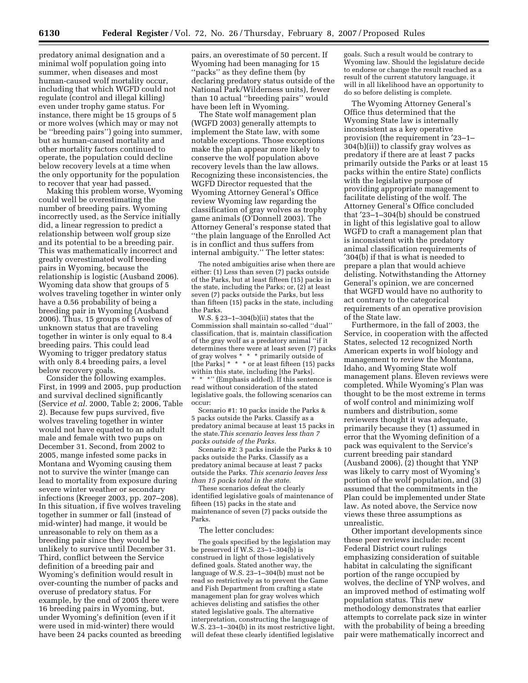predatory animal designation and a minimal wolf population going into summer, when diseases and most human-caused wolf mortality occur, including that which WGFD could not regulate (control and illegal killing) even under trophy game status. For instance, there might be 15 groups of 5 or more wolves (which may or may not be ''breeding pairs'') going into summer, but as human-caused mortality and other mortality factors continued to operate, the population could decline below recovery levels at a time when the only opportunity for the population to recover that year had passed.

Making this problem worse, Wyoming could well be overestimating the number of breeding pairs. Wyoming incorrectly used, as the Service initially did, a linear regression to predict a relationship between wolf group size and its potential to be a breeding pair. This was mathematically incorrect and greatly overestimated wolf breeding pairs in Wyoming, because the relationship is logistic (Ausband 2006). Wyoming data show that groups of 5 wolves traveling together in winter only have a 0.56 probability of being a breeding pair in Wyoming (Ausband 2006). Thus, 15 groups of 5 wolves of unknown status that are traveling together in winter is only equal to 8.4 breeding pairs. This could lead Wyoming to trigger predatory status with only 8.4 breeding pairs, a level below recovery goals.

Consider the following examples. First, in 1999 and 2005, pup production and survival declined significantly (Service *et al.* 2000, Table 2; 2006, Table 2). Because few pups survived, five wolves traveling together in winter would not have equated to an adult male and female with two pups on December 31. Second, from 2002 to 2005, mange infested some packs in Montana and Wyoming causing them not to survive the winter (mange can lead to mortality from exposure during severe winter weather or secondary infections (Kreeger 2003, pp. 207–208). In this situation, if five wolves traveling together in summer or fall (instead of mid-winter) had mange, it would be unreasonable to rely on them as a breeding pair since they would be unlikely to survive until December 31. Third, conflict between the Service definition of a breeding pair and Wyoming's definition would result in over-counting the number of packs and overuse of predatory status. For example, by the end of 2005 there were 16 breeding pairs in Wyoming, but, under Wyoming's definition (even if it were used in mid-winter) there would have been 24 packs counted as breeding

pairs, an overestimate of 50 percent. If Wyoming had been managing for 15 ''packs'' as they define them (by declaring predatory status outside of the National Park/Wilderness units), fewer than 10 actual ''breeding pairs'' would have been left in Wyoming.

The State wolf management plan (WGFD 2003) generally attempts to implement the State law, with some notable exceptions. Those exceptions make the plan appear more likely to conserve the wolf population above recovery levels than the law allows. Recognizing these inconsistencies, the WGFD Director requested that the Wyoming Attorney General's Office review Wyoming law regarding the classification of gray wolves as trophy game animals (O'Donnell 2003). The Attorney General's response stated that ''the plain language of the Enrolled Act is in conflict and thus suffers from internal ambiguity.'' The letter states:

The noted ambiguities arise when there are either: (1) Less than seven (7) packs outside of the Parks, but at least fifteen (15) packs in the state, including the Parks; or, (2) at least seven (7) packs outside the Parks, but less than fifteen (15) packs in the state, including the Parks.

W.S. § 23–1–304(b)(ii) states that the Commission shall maintain so-called ''dual'' classification, that is, maintain classification of the gray wolf as a predatory animal ''if it determines there were at least seven (7) packs of gray wolves \* \* \* primarily outside of [the Parks] \* \* \* or at least fifteen (15) packs within this state, including [the Parks]. \*\*\*'' (Emphasis added). If this sentence is read without consideration of the stated legislative goals, the following scenarios can occur:

Scenario #1: 10 packs inside the Parks & 5 packs outside the Parks. Classify as a predatory animal because at least 15 packs in the state.*This scenario leaves less than 7 packs outside of the Parks.* 

Scenario #2: 3 packs inside the Parks & 10 packs outside the Parks. Classify as a predatory animal because at least 7 packs outside the Parks. *This scenario leaves less than 15 packs total in the state.* 

These scenarios defeat the clearly identified legislative goals of maintenance of fifteen (15) packs in the state and maintenance of seven (7) packs outside the Parks.

#### The letter concludes:

The goals specified by the legislation may be preserved if W.S.  $23-1-304(b)$  is construed in light of those legislatively defined goals. Stated another way, the language of W.S. 23–1–304(b) must not be read so restrictively as to prevent the Game and Fish Department from crafting a state management plan for gray wolves which achieves delisting and satisfies the other stated legislative goals. The alternative interpretation, constructing the language of W.S. 23–1–304(b) in its most restrictive light, will defeat these clearly identified legislative

goals. Such a result would be contrary to Wyoming law. Should the legislature decide to endorse or change the result reached as a result of the current statutory language, it will in all likelihood have an opportunity to do so before delisting is complete.

The Wyoming Attorney General's Office thus determined that the Wyoming State law is internally inconsistent as a key operative provision (the requirement in ′23–1– 304(b)(ii)) to classify gray wolves as predatory if there are at least 7 packs primarily outside the Parks or at least 15 packs within the entire State) conflicts with the legislative purpose of providing appropriate management to facilitate delisting of the wolf. The Attorney General's Office concluded that ′23–1–304(b) should be construed in light of this legislative goal to allow WGFD to craft a management plan that is inconsistent with the predatory animal classification requirements of ′304(b) if that is what is needed to prepare a plan that would achieve delisting. Notwithstanding the Attorney General's opinion, we are concerned that WGFD would have no authority to act contrary to the categorical requirements of an operative provision of the State law.

Furthermore, in the fall of 2003, the Service, in cooperation with the affected States, selected 12 recognized North American experts in wolf biology and management to review the Montana, Idaho, and Wyoming State wolf management plans. Eleven reviews were completed. While Wyoming's Plan was thought to be the most extreme in terms of wolf control and minimizing wolf numbers and distribution, some reviewers thought it was adequate, primarily because they (1) assumed in error that the Wyoming definition of a pack was equivalent to the Service's current breeding pair standard (Ausband 2006), (2) thought that YNP was likely to carry most of Wyoming's portion of the wolf population, and (3) assumed that the commitments in the Plan could be implemented under State law. As noted above, the Service now views these three assumptions as unrealistic.

Other important developments since these peer reviews include: recent Federal District court rulings emphasizing consideration of suitable habitat in calculating the significant portion of the range occupied by wolves, the decline of YNP wolves, and an improved method of estimating wolf population status. This new methodology demonstrates that earlier attempts to correlate pack size in winter with the probability of being a breeding pair were mathematically incorrect and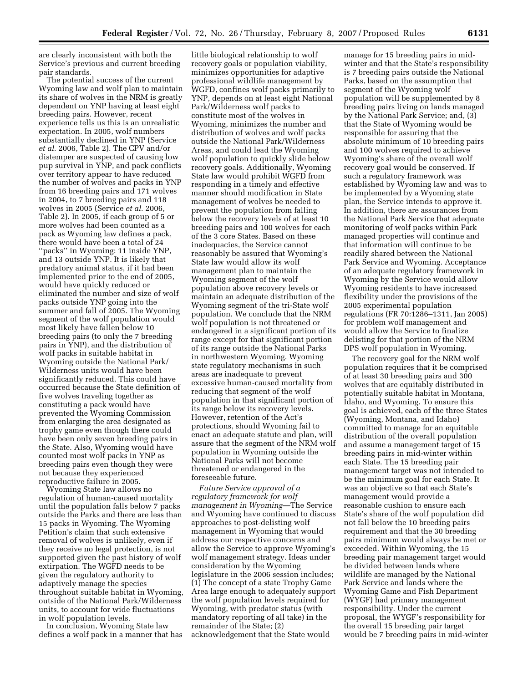are clearly inconsistent with both the Service's previous and current breeding pair standards.

The potential success of the current Wyoming law and wolf plan to maintain its share of wolves in the NRM is greatly dependent on YNP having at least eight breeding pairs. However, recent experience tells us this is an unrealistic expectation. In 2005, wolf numbers substantially declined in YNP (Service *et al.* 2006, Table 2). The CPV and/or distemper are suspected of causing low pup survival in YNP, and pack conflicts over territory appear to have reduced the number of wolves and packs in YNP from 16 breeding pairs and 171 wolves in 2004, to 7 breeding pairs and 118 wolves in 2005 (Service *et al.* 2006, Table 2). In 2005, if each group of 5 or more wolves had been counted as a pack as Wyoming law defines a pack, there would have been a total of 24 ''packs'' in Wyoming: 11 inside YNP, and 13 outside YNP. It is likely that predatory animal status, if it had been implemented prior to the end of 2005, would have quickly reduced or eliminated the number and size of wolf packs outside YNP going into the summer and fall of 2005. The Wyoming segment of the wolf population would most likely have fallen below 10 breeding pairs (to only the 7 breeding pairs in YNP), and the distribution of wolf packs in suitable habitat in Wyoming outside the National Park/ Wilderness units would have been significantly reduced. This could have occurred because the State definition of five wolves traveling together as constituting a pack would have prevented the Wyoming Commission from enlarging the area designated as trophy game even though there could have been only seven breeding pairs in the State. Also, Wyoming would have counted most wolf packs in YNP as breeding pairs even though they were not because they experienced reproductive failure in 2005.

Wyoming State law allows no regulation of human-caused mortality until the population falls below 7 packs outside the Parks and there are less than 15 packs in Wyoming. The Wyoming Petition's claim that such extensive removal of wolves is unlikely, even if they receive no legal protection, is not supported given the past history of wolf extirpation. The WGFD needs to be given the regulatory authority to adaptively manage the species throughout suitable habitat in Wyoming, outside of the National Park/Wilderness units, to account for wide fluctuations in wolf population levels.

In conclusion, Wyoming State law defines a wolf pack in a manner that has little biological relationship to wolf recovery goals or population viability, minimizes opportunities for adaptive professional wildlife management by WGFD, confines wolf packs primarily to YNP, depends on at least eight National Park/Wilderness wolf packs to constitute most of the wolves in Wyoming, minimizes the number and distribution of wolves and wolf packs outside the National Park/Wilderness Areas, and could lead the Wyoming wolf population to quickly slide below recovery goals. Additionally, Wyoming State law would prohibit WGFD from responding in a timely and effective manner should modification in State management of wolves be needed to prevent the population from falling below the recovery levels of at least 10 breeding pairs and 100 wolves for each of the 3 core States. Based on these inadequacies, the Service cannot reasonably be assured that Wyoming's State law would allow its wolf management plan to maintain the Wyoming segment of the wolf population above recovery levels or maintain an adequate distribution of the Wyoming segment of the tri-State wolf population. We conclude that the NRM wolf population is not threatened or endangered in a significant portion of its range except for that significant portion of its range outside the National Parks in northwestern Wyoming. Wyoming state regulatory mechanisms in such areas are inadequate to prevent excessive human-caused mortality from reducing that segment of the wolf population in that significant portion of its range below its recovery levels. However, retention of the Act's protections, should Wyoming fail to enact an adequate statute and plan, will assure that the segment of the NRM wolf population in Wyoming outside the National Parks will not become threatened or endangered in the foreseeable future.

*Future Service approval of a regulatory framework for wolf management in Wyoming*—The Service and Wyoming have continued to discuss approaches to post-delisting wolf management in Wyoming that would address our respective concerns and allow the Service to approve Wyoming's wolf management strategy. Ideas under consideration by the Wyoming legislature in the 2006 session includes; (1) The concept of a state Trophy Game Area large enough to adequately support the wolf population levels required for Wyoming, with predator status (with mandatory reporting of all take) in the remainder of the State; (2) acknowledgement that the State would

manage for 15 breeding pairs in midwinter and that the State's responsibility is 7 breeding pairs outside the National Parks, based on the assumption that segment of the Wyoming wolf population will be supplemented by 8 breeding pairs living on lands managed by the National Park Service; and, (3) that the State of Wyoming would be responsible for assuring that the absolute minimum of 10 breeding pairs and 100 wolves required to achieve Wyoming's share of the overall wolf recovery goal would be conserved. If such a regulatory framework was established by Wyoming law and was to be implemented by a Wyoming state plan, the Service intends to approve it. In addition, there are assurances from the National Park Service that adequate monitoring of wolf packs within Park managed properties will continue and that information will continue to be readily shared between the National Park Service and Wyoming. Acceptance of an adequate regulatory framework in Wyoming by the Service would allow Wyoming residents to have increased flexibility under the provisions of the 2005 experimental population regulations (FR 70:1286–1311, Jan 2005) for problem wolf management and would allow the Service to finalize delisting for that portion of the NRM DPS wolf population in Wyoming.

The recovery goal for the NRM wolf population requires that it be comprised of at least 30 breeding pairs and 300 wolves that are equitably distributed in potentially suitable habitat in Montana, Idaho, and Wyoming. To ensure this goal is achieved, each of the three States (Wyoming, Montana, and Idaho) committed to manage for an equitable distribution of the overall population and assume a management target of 15 breeding pairs in mid-winter within each State. The 15 breeding pair management target was not intended to be the minimum goal for each State. It was an objective so that each State's management would provide a reasonable cushion to ensure each State's share of the wolf population did not fall below the 10 breeding pairs requirement and that the 30 breeding pairs minimum would always be met or exceeded. Within Wyoming, the 15 breeding pair management target would be divided between lands where wildlife are managed by the National Park Service and lands where the Wyoming Game and Fish Department (WYGF) had primary management responsibility. Under the current proposal, the WYGF's responsibility for the overall 15 breeding pair target would be 7 breeding pairs in mid-winter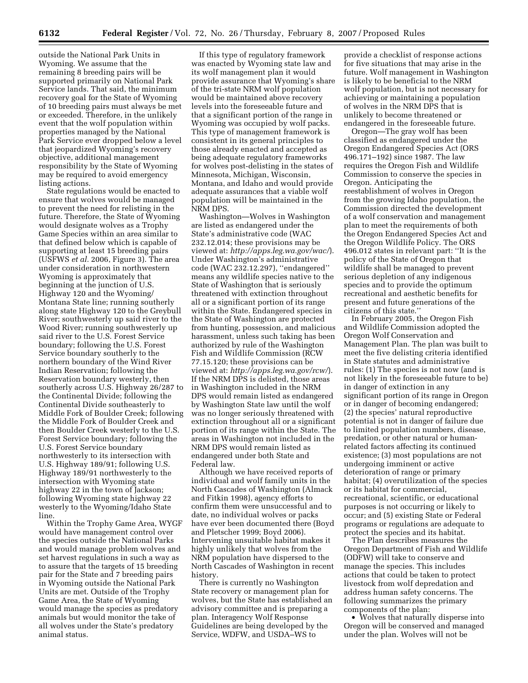outside the National Park Units in Wyoming. We assume that the remaining 8 breeding pairs will be supported primarily on National Park Service lands. That said, the minimum recovery goal for the State of Wyoming of 10 breeding pairs must always be met or exceeded. Therefore, in the unlikely event that the wolf population within properties managed by the National Park Service ever dropped below a level that jeopardized Wyoming's recovery objective, additional management responsibility by the State of Wyoming may be required to avoid emergency listing actions.

State regulations would be enacted to ensure that wolves would be managed to prevent the need for relisting in the future. Therefore, the State of Wyoming would designate wolves as a Trophy Game Species within an area similar to that defined below which is capable of supporting at least 15 breeding pairs (USFWS *et al.* 2006, Figure 3). The area under consideration in northwestern Wyoming is approximately that beginning at the junction of U.S. Highway 120 and the Wyoming/ Montana State line; running southerly along state Highway 120 to the Greybull River; southwesterly up said river to the Wood River; running southwesterly up said river to the U.S. Forest Service boundary; following the U.S. Forest Service boundary southerly to the northern boundary of the Wind River Indian Reservation; following the Reservation boundary westerly, then southerly across U.S. Highway 26/287 to the Continental Divide; following the Continental Divide southeasterly to Middle Fork of Boulder Creek; following the Middle Fork of Boulder Creek and then Boulder Creek westerly to the U.S. Forest Service boundary; following the U.S. Forest Service boundary northwesterly to its intersection with U.S. Highway 189/91; following U.S. Highway 189/91 northwesterly to the intersection with Wyoming state highway 22 in the town of Jackson; following Wyoming state highway 22 westerly to the Wyoming/Idaho State line.

Within the Trophy Game Area, WYGF would have management control over the species outside the National Parks and would manage problem wolves and set harvest regulations in such a way as to assure that the targets of 15 breeding pair for the State and 7 breeding pairs in Wyoming outside the National Park Units are met. Outside of the Trophy Game Area, the State of Wyoming would manage the species as predatory animals but would monitor the take of all wolves under the State's predatory animal status.

If this type of regulatory framework was enacted by Wyoming state law and its wolf management plan it would provide assurance that Wyoming's share of the tri-state NRM wolf population would be maintained above recovery levels into the foreseeable future and that a significant portion of the range in Wyoming was occupied by wolf packs. This type of management framework is consistent in its general principles to those already enacted and accepted as being adequate regulatory frameworks for wolves post-delisting in the states of Minnesota, Michigan, Wisconsin, Montana, and Idaho and would provide adequate assurances that a viable wolf population will be maintained in the NRM DPS.

Washington—Wolves in Washington are listed as endangered under the State's administrative code (WAC 232.12.014; these provisions may be viewed at: *http://apps.leg.wa.gov/wac/*). Under Washington's administrative code (WAC 232.12.297), ''endangered'' means any wildlife species native to the State of Washington that is seriously threatened with extinction throughout all or a significant portion of its range within the State. Endangered species in the State of Washington are protected from hunting, possession, and malicious harassment, unless such taking has been authorized by rule of the Washington Fish and Wildlife Commission (RCW 77.15.120; these provisions can be viewed at: *http://apps.leg.wa.gov/rcw/*). If the NRM DPS is delisted, those areas in Washington included in the NRM DPS would remain listed as endangered by Washington State law until the wolf was no longer seriously threatened with extinction throughout all or a significant portion of its range within the State. The areas in Washington not included in the NRM DPS would remain listed as endangered under both State and Federal law.

Although we have received reports of individual and wolf family units in the North Cascades of Washington (Almack and Fitkin 1998), agency efforts to confirm them were unsuccessful and to date, no individual wolves or packs have ever been documented there (Boyd and Pletscher 1999; Boyd 2006). Intervening unsuitable habitat makes it highly unlikely that wolves from the NRM population have dispersed to the North Cascades of Washington in recent history.

There is currently no Washington State recovery or management plan for wolves, but the State has established an advisory committee and is preparing a plan. Interagency Wolf Response Guidelines are being developed by the Service, WDFW, and USDA–WS to

provide a checklist of response actions for five situations that may arise in the future. Wolf management in Washington is likely to be beneficial to the NRM wolf population, but is not necessary for achieving or maintaining a population of wolves in the NRM DPS that is unlikely to become threatened or endangered in the foreseeable future.

Oregon—The gray wolf has been classified as endangered under the Oregon Endangered Species Act (ORS 496.171–192) since 1987. The law requires the Oregon Fish and Wildlife Commission to conserve the species in Oregon. Anticipating the reestablishment of wolves in Oregon from the growing Idaho population, the Commission directed the development of a wolf conservation and management plan to meet the requirements of both the Oregon Endangered Species Act and the Oregon Wildlife Policy. The ORS 496.012 states in relevant part: ''It is the policy of the State of Oregon that wildlife shall be managed to prevent serious depletion of any indigenous species and to provide the optimum recreational and aesthetic benefits for present and future generations of the citizens of this state.''

In February 2005, the Oregon Fish and Wildlife Commission adopted the Oregon Wolf Conservation and Management Plan. The plan was built to meet the five delisting criteria identified in State statutes and administrative rules: (1) The species is not now (and is not likely in the foreseeable future to be) in danger of extinction in any significant portion of its range in Oregon or in danger of becoming endangered; (2) the species' natural reproductive potential is not in danger of failure due to limited population numbers, disease, predation, or other natural or humanrelated factors affecting its continued existence; (3) most populations are not undergoing imminent or active deterioration of range or primary habitat; (4) overutilization of the species or its habitat for commercial, recreational, scientific, or educational purposes is not occurring or likely to occur; and (5) existing State or Federal programs or regulations are adequate to protect the species and its habitat.

The Plan describes measures the Oregon Department of Fish and Wildlife (ODFW) will take to conserve and manage the species. This includes actions that could be taken to protect livestock from wolf depredation and address human safety concerns. The following summarizes the primary components of the plan:

• Wolves that naturally disperse into Oregon will be conserved and managed under the plan. Wolves will not be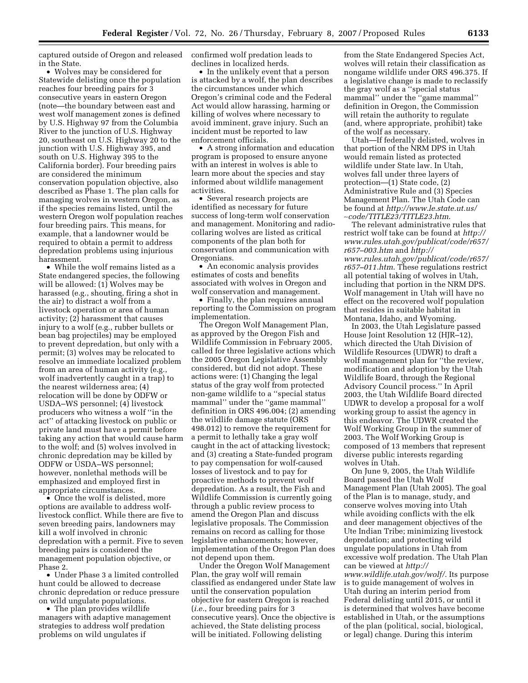captured outside of Oregon and released in the State.

• Wolves may be considered for Statewide delisting once the population reaches four breeding pairs for 3 consecutive years in eastern Oregon (note—the boundary between east and west wolf management zones is defined by U.S. Highway 97 from the Columbia River to the junction of U.S. Highway 20, southeast on U.S. Highway 20 to the junction with U.S. Highway 395, and south on U.S. Highway 395 to the California border). Four breeding pairs are considered the minimum conservation population objective, also described as Phase 1. The plan calls for managing wolves in western Oregon, as if the species remains listed, until the western Oregon wolf population reaches four breeding pairs. This means, for example, that a landowner would be required to obtain a permit to address depredation problems using injurious harassment.

• While the wolf remains listed as a State endangered species, the following will be allowed: (1) Wolves may be harassed (e.g., shouting, firing a shot in the air) to distract a wolf from a livestock operation or area of human activity; (2) harassment that causes injury to a wolf (e.g., rubber bullets or bean bag projectiles) may be employed to prevent depredation, but only with a permit; (3) wolves may be relocated to resolve an immediate localized problem from an area of human activity (e.g., wolf inadvertently caught in a trap) to the nearest wilderness area; (4) relocation will be done by ODFW or USDA–WS personnel; (4) livestock producers who witness a wolf ''in the act'' of attacking livestock on public or private land must have a permit before taking any action that would cause harm to the wolf; and (5) wolves involved in chronic depredation may be killed by ODFW or USDA–WS personnel; however, nonlethal methods will be emphasized and employed first in appropriate circumstances.

• Once the wolf is delisted, more options are available to address wolflivestock conflict. While there are five to seven breeding pairs, landowners may kill a wolf involved in chronic depredation with a permit. Five to seven breeding pairs is considered the management population objective, or Phase 2.

• Under Phase 3 a limited controlled hunt could be allowed to decrease chronic depredation or reduce pressure on wild ungulate populations.

• The plan provides wildlife managers with adaptive management strategies to address wolf predation problems on wild ungulates if

confirmed wolf predation leads to declines in localized herds.

• In the unlikely event that a person is attacked by a wolf, the plan describes the circumstances under which Oregon's criminal code and the Federal Act would allow harassing, harming or killing of wolves where necessary to avoid imminent, grave injury. Such an incident must be reported to law enforcement officials.

• A strong information and education program is proposed to ensure anyone with an interest in wolves is able to learn more about the species and stay informed about wildlife management activities.

• Several research projects are identified as necessary for future success of long-term wolf conservation and management. Monitoring and radiocollaring wolves are listed as critical components of the plan both for conservation and communication with Oregonians.

• An economic analysis provides estimates of costs and benefits associated with wolves in Oregon and wolf conservation and management.

• Finally, the plan requires annual reporting to the Commission on program implementation.

The Oregon Wolf Management Plan, as approved by the Oregon Fish and Wildlife Commission in February 2005, called for three legislative actions which the 2005 Oregon Legislative Assembly considered, but did not adopt. These actions were: (1) Changing the legal status of the gray wolf from protected non-game wildlife to a ''special status mammal'' under the ''game mammal'' definition in ORS 496.004; (2) amending the wildlife damage statute (ORS 498.012) to remove the requirement for a permit to lethally take a gray wolf caught in the act of attacking livestock; and (3) creating a State-funded program to pay compensation for wolf-caused losses of livestock and to pay for proactive methods to prevent wolf depredation. As a result, the Fish and Wildlife Commission is currently going through a public review process to amend the Oregon Plan and discuss legislative proposals. The Commission remains on record as calling for those legislative enhancements; however, implementation of the Oregon Plan does not depend upon them.

Under the Oregon Wolf Management Plan, the gray wolf will remain classified as endangered under State law until the conservation population objective for eastern Oregon is reached (*i.e.*, four breeding pairs for 3 consecutive years). Once the objective is achieved, the State delisting process will be initiated. Following delisting

from the State Endangered Species Act, wolves will retain their classification as nongame wildlife under ORS 496.375. If a legislative change is made to reclassify the gray wolf as a ''special status mammal'' under the ''game mammal'' definition in Oregon, the Commission will retain the authority to regulate (and, where appropriate, prohibit) take of the wolf as necessary.

Utah—If federally delisted, wolves in that portion of the NRM DPS in Utah would remain listed as protected wildlife under State law. In Utah, wolves fall under three layers of protection—(1) State code, (2) Administrative Rule and (3) Species Management Plan. The Utah Code can be found at *http://www.le.state.ut.us/*  ∼*code/TITLE23/TITLE23.htm*.

The relevant administrative rules that restrict wolf take can be found at *http:// www.rules.utah.gov/publicat/code/r657/ r657–003.htm* and *http:// www.rules.utah.gov/publicat/code/r657/ r657–011.htm*. These regulations restrict all potential taking of wolves in Utah, including that portion in the NRM DPS. Wolf management in Utah will have no effect on the recovered wolf population that resides in suitable habitat in Montana, Idaho, and Wyoming.

In 2003, the Utah Legislature passed House Joint Resolution 12 (HJR–12), which directed the Utah Division of Wildlife Resources (UDWR) to draft a wolf management plan for ''the review, modification and adoption by the Utah Wildlife Board, through the Regional Advisory Council process.'' In April 2003, the Utah Wildlife Board directed UDWR to develop a proposal for a wolf working group to assist the agency in this endeavor. The UDWR created the Wolf Working Group in the summer of 2003. The Wolf Working Group is composed of 13 members that represent diverse public interests regarding wolves in Utah.

On June 9, 2005, the Utah Wildlife Board passed the Utah Wolf Management Plan (Utah 2005). The goal of the Plan is to manage, study, and conserve wolves moving into Utah while avoiding conflicts with the elk and deer management objectives of the Ute Indian Tribe; minimizing livestock depredation; and protecting wild ungulate populations in Utah from excessive wolf predation. The Utah Plan can be viewed at *http:// www.wildlife.utah.gov/wolf/*. Its purpose is to guide management of wolves in Utah during an interim period from Federal delisting until 2015, or until it is determined that wolves have become established in Utah, or the assumptions of the plan (political, social, biological, or legal) change. During this interim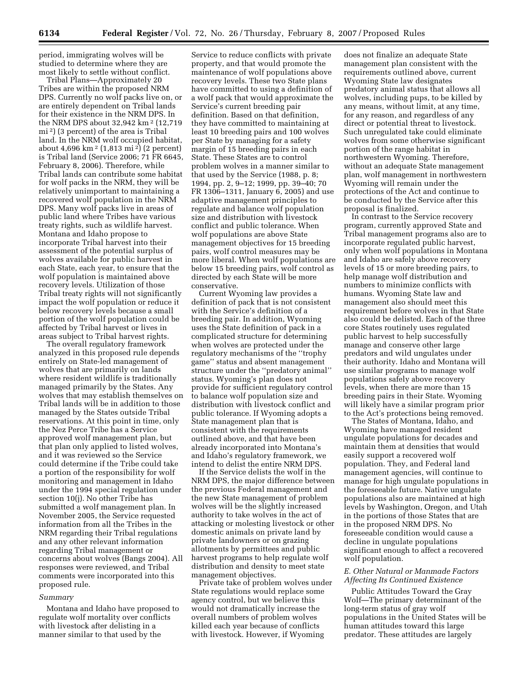period, immigrating wolves will be studied to determine where they are most likely to settle without conflict.

Tribal Plans—Approximately 20 Tribes are within the proposed NRM DPS. Currently no wolf packs live on, or are entirely dependent on Tribal lands for their existence in the NRM DPS. In the NRM DPS about 32,942 km 2 (12,719 mi 2) (3 percent) of the area is Tribal land. In the NRM wolf occupied habitat, about 4,696 km 2 (1,813 mi 2) (2 percent) is Tribal land (Service 2006; 71 FR 6645, February 8, 2006). Therefore, while Tribal lands can contribute some habitat for wolf packs in the NRM, they will be relatively unimportant to maintaining a recovered wolf population in the NRM DPS. Many wolf packs live in areas of public land where Tribes have various treaty rights, such as wildlife harvest. Montana and Idaho propose to incorporate Tribal harvest into their assessment of the potential surplus of wolves available for public harvest in each State, each year, to ensure that the wolf population is maintained above recovery levels. Utilization of those Tribal treaty rights will not significantly impact the wolf population or reduce it below recovery levels because a small portion of the wolf population could be affected by Tribal harvest or lives in areas subject to Tribal harvest rights.

The overall regulatory framework analyzed in this proposed rule depends entirely on State-led management of wolves that are primarily on lands where resident wildlife is traditionally managed primarily by the States. Any wolves that may establish themselves on Tribal lands will be in addition to those managed by the States outside Tribal reservations. At this point in time, only the Nez Perce Tribe has a Service approved wolf management plan, but that plan only applied to listed wolves, and it was reviewed so the Service could determine if the Tribe could take a portion of the responsibility for wolf monitoring and management in Idaho under the 1994 special regulation under section 10(j). No other Tribe has submitted a wolf management plan. In November 2005, the Service requested information from all the Tribes in the NRM regarding their Tribal regulations and any other relevant information regarding Tribal management or concerns about wolves (Bangs 2004). All responses were reviewed, and Tribal comments were incorporated into this proposed rule.

#### *Summary*

Montana and Idaho have proposed to regulate wolf mortality over conflicts with livestock after delisting in a manner similar to that used by the

Service to reduce conflicts with private property, and that would promote the maintenance of wolf populations above recovery levels. These two State plans have committed to using a definition of a wolf pack that would approximate the Service's current breeding pair definition. Based on that definition, they have committed to maintaining at least 10 breeding pairs and 100 wolves per State by managing for a safety margin of 15 breeding pairs in each State. These States are to control problem wolves in a manner similar to that used by the Service (1988, p. 8; 1994, pp. 2, 9–12; 1999, pp. 39–40; 70 FR 1306–1311, January 6, 2005) and use adaptive management principles to regulate and balance wolf population size and distribution with livestock conflict and public tolerance. When wolf populations are above State management objectives for 15 breeding pairs, wolf control measures may be more liberal. When wolf populations are below 15 breeding pairs, wolf control as directed by each State will be more conservative.

Current Wyoming law provides a definition of pack that is not consistent with the Service's definition of a breeding pair. In addition, Wyoming uses the State definition of pack in a complicated structure for determining when wolves are protected under the regulatory mechanisms of the ''trophy game'' status and absent management structure under the ''predatory animal'' status. Wyoming's plan does not provide for sufficient regulatory control to balance wolf population size and distribution with livestock conflict and public tolerance. If Wyoming adopts a State management plan that is consistent with the requirements outlined above, and that have been already incorporated into Montana's and Idaho's regulatory framework, we intend to delist the entire NRM DPS.

If the Service delists the wolf in the NRM DPS, the major difference between the previous Federal management and the new State management of problem wolves will be the slightly increased authority to take wolves in the act of attacking or molesting livestock or other domestic animals on private land by private landowners or on grazing allotments by permittees and public harvest programs to help regulate wolf distribution and density to meet state management objectives.

Private take of problem wolves under State regulations would replace some agency control, but we believe this would not dramatically increase the overall numbers of problem wolves killed each year because of conflicts with livestock. However, if Wyoming

does not finalize an adequate State management plan consistent with the requirements outlined above, current Wyoming State law designates predatory animal status that allows all wolves, including pups, to be killed by any means, without limit, at any time, for any reason, and regardless of any direct or potential threat to livestock. Such unregulated take could eliminate wolves from some otherwise significant portion of the range habitat in northwestern Wyoming. Therefore, without an adequate State management plan, wolf management in northwestern Wyoming will remain under the protections of the Act and continue to be conducted by the Service after this proposal is finalized.

In contrast to the Service recovery program, currently approved State and Tribal management programs also are to incorporate regulated public harvest, only when wolf populations in Montana and Idaho are safely above recovery levels of 15 or more breeding pairs, to help manage wolf distribution and numbers to minimize conflicts with humans. Wyoming State law and management also should meet this requirement before wolves in that State also could be delisted. Each of the three core States routinely uses regulated public harvest to help successfully manage and conserve other large predators and wild ungulates under their authority. Idaho and Montana will use similar programs to manage wolf populations safely above recovery levels, when there are more than 15 breeding pairs in their State. Wyoming will likely have a similar program prior to the Act's protections being removed.

The States of Montana, Idaho, and Wyoming have managed resident ungulate populations for decades and maintain them at densities that would easily support a recovered wolf population. They, and Federal land management agencies, will continue to manage for high ungulate populations in the foreseeable future. Native ungulate populations also are maintained at high levels by Washington, Oregon, and Utah in the portions of those States that are in the proposed NRM DPS. No foreseeable condition would cause a decline in ungulate populations significant enough to affect a recovered wolf population.

## *E. Other Natural or Manmade Factors Affecting Its Continued Existence*

Public Attitudes Toward the Gray Wolf—The primary determinant of the long-term status of gray wolf populations in the United States will be human attitudes toward this large predator. These attitudes are largely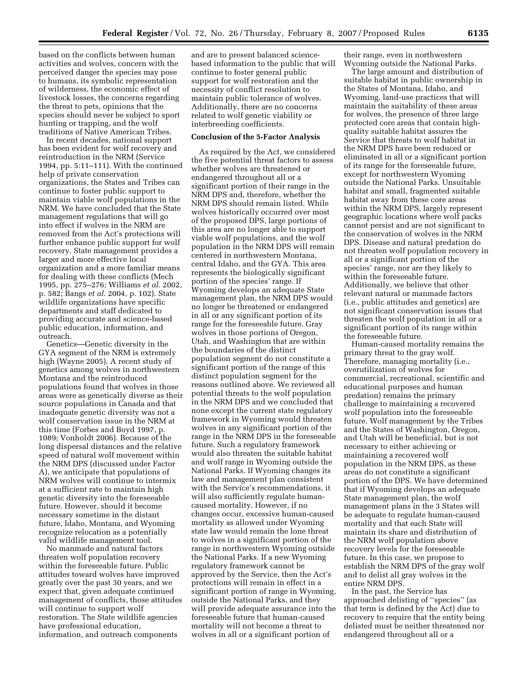based on the conflicts between human activities and wolves, concern with the perceived danger the species may pose to humans, its symbolic representation of wilderness, the economic effect of livestock losses, the concerns regarding the threat to pets, opinions that the species should never be subject to sport hunting or trapping, and the wolf traditions of Native American Tribes.

In recent decades, national support has been evident for wolf recovery and reintroduction in the NRM (Service 1994, pp. 5:11–111). With the continued help of private conservation organizations, the States and Tribes can continue to foster public support to maintain viable wolf populations in the NRM. We have concluded that the State management regulations that will go into effect if wolves in the NRM are removed from the Act's protections will further enhance public support for wolf recovery. State management provides a larger and more effective local organization and a more familiar means for dealing with these conflicts (Mech 1995, pp. 275–276; Williams *et al.* 2002, p. 582; Bangs *et al.* 2004, p. 102). State wildlife organizations have specific departments and staff dedicated to providing accurate and science-based public education, information, and outreach.

Genetics—Genetic diversity in the GYA segment of the NRM is extremely high (Wayne 2005). A recent study of genetics among wolves in northwestern Montana and the reintroduced populations found that wolves in those areas were as genetically diverse as their source populations in Canada and that inadequate genetic diversity was not a wolf conservation issue in the NRM at this time (Forbes and Boyd 1997, p. 1089; Vonholdt 2006). Because of the long dispersal distances and the relative speed of natural wolf movement within the NRM DPS (discussed under Factor A), we anticipate that populations of NRM wolves will continue to intermix at a sufficient rate to maintain high genetic diversity into the foreseeable future. However, should it become necessary sometime in the distant future, Idaho, Montana, and Wyoming recognize relocation as a potentially valid wildlife management tool.

No manmade and natural factors threaten wolf population recovery within the foreseeable future. Public attitudes toward wolves have improved greatly over the past 30 years, and we expect that, given adequate continued management of conflicts, those attitudes will continue to support wolf restoration. The State wildlife agencies have professional education, information, and outreach components

and are to present balanced sciencebased information to the public that will continue to foster general public support for wolf restoration and the necessity of conflict resolution to maintain public tolerance of wolves. Additionally, there are no concerns related to wolf genetic viability or interbreeding coefficients.

## **Conclusion of the 5-Factor Analysis**

As required by the Act, we considered the five potential threat factors to assess whether wolves are threatened or endangered throughout all or a significant portion of their range in the NRM DPS and, therefore, whether the NRM DPS should remain listed. While wolves historically occurred over most of the proposed DPS, large portions of this area are no longer able to support viable wolf populations, and the wolf population in the NRM DPS will remain centered in northwestern Montana, central Idaho, and the GYA. This area represents the biologically significant portion of the species' range. If Wyoming develops an adequate State management plan, the NRM DPS would no longer be threatened or endangered in all or any significant portion of its range for the foreseeable future. Gray wolves in those portions of Oregon, Utah, and Washington that are within the boundaries of the distinct population segment do not constitute a significant portion of the range of this distinct population segment for the reasons outlined above. We reviewed all potential threats to the wolf population in the NRM DPS and we concluded that none except the current state regulatory framework in Wyoming would threaten wolves in any significant portion of the range in the NRM DPS in the foreseeable future. Such a regulatory framework would also threaten the suitable habitat and wolf range in Wyoming outside the National Parks. If Wyoming changes its law and management plan consistent with the Service's recommendations, it will also sufficiently regulate humancaused mortality. However, if no changes occur, excessive human-caused mortality as allowed under Wyoming state law would remain the lone threat to wolves in a significant portion of the range in northwestern Wyoming outside the National Parks. If a new Wyoming regulatory framework cannot be approved by the Service, then the Act's protections will remain in effect in a significant portion of range in Wyoming, outside the National Parks, and they will provide adequate assurance into the foreseeable future that human-caused mortality will not become a threat to wolves in all or a significant portion of

their range, even in northwestern Wyoming outside the National Parks.

The large amount and distribution of suitable habitat in public ownership in the States of Montana, Idaho, and Wyoming, land-use practices that will maintain the suitability of these areas for wolves, the presence of three large protected core areas that contain highquality suitable habitat assures the Service that threats to wolf habitat in the NRM DPS have been reduced or eliminated in all or a significant portion of its range for the foreseeable future, except for northwestern Wyoming outside the National Parks. Unsuitable habitat and small, fragmented suitable habitat away from these core areas within the NRM DPS, largely represent geographic locations where wolf packs cannot persist and are not significant to the conservation of wolves in the NRM DPS. Disease and natural predation do not threaten wolf population recovery in all or a significant portion of the species' range, nor are they likely to within the foreseeable future. Additionally, we believe that other relevant natural or manmade factors (i.e., public attitudes and genetics) are not significant conservation issues that threaten the wolf population in all or a significant portion of its range within the foreseeable future.

Human-caused mortality remains the primary threat to the gray wolf. Therefore, managing mortality (i.e., overutilization of wolves for commercial, recreational, scientific and educational purposes and human predation) remains the primary challenge to maintaining a recovered wolf population into the foreseeable future. Wolf management by the Tribes and the States of Washington, Oregon, and Utah will be beneficial, but is not necessary to either achieving or maintaining a recovered wolf population in the NRM DPS, as these areas do not constitute a significant portion of the DPS. We have determined that if Wyoming develops an adequate State management plan, the wolf management plans in the 3 States will be adequate to regulate human-caused mortality and that each State will maintain its share and distribution of the NRM wolf population above recovery levels for the foreseeable future. In this case, we propose to establish the NRM DPS of the gray wolf and to delist all gray wolves in the entire NRM DPS.

In the past, the Service has approached delisting of ''species'' (as that term is defined by the Act) due to recovery to require that the entity being delisted must be neither threatened nor endangered throughout all or a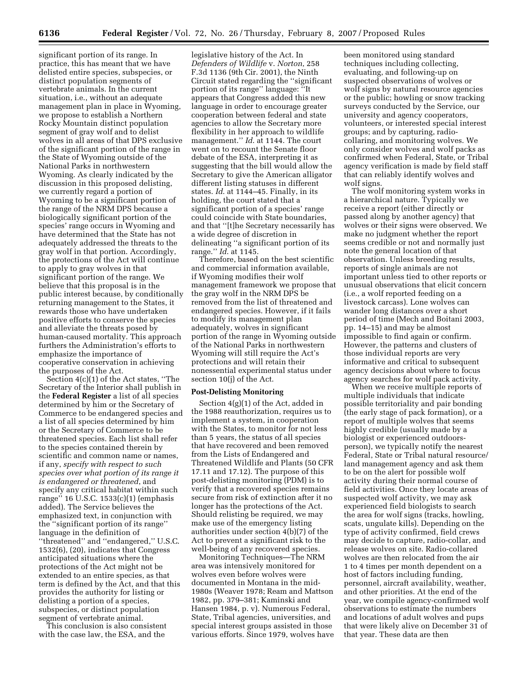significant portion of its range. In practice, this has meant that we have delisted entire species, subspecies, or distinct population segments of vertebrate animals. In the current situation, i.e., without an adequate management plan in place in Wyoming, we propose to establish a Northern Rocky Mountain distinct population segment of gray wolf and to delist wolves in all areas of that DPS exclusive of the significant portion of the range in the State of Wyoming outside of the National Parks in northwestern Wyoming. As clearly indicated by the discussion in this proposed delisting, we currently regard a portion of Wyoming to be a significant portion of the range of the NRM DPS because a biologically significant portion of the species' range occurs in Wyoming and have determined that the State has not adequately addressed the threats to the gray wolf in that portion. Accordingly, the protections of the Act will continue to apply to gray wolves in that significant portion of the range. We believe that this proposal is in the public interest because, by conditionally returning management to the States, it rewards those who have undertaken positive efforts to conserve the species and alleviate the threats posed by human-caused mortality. This approach furthers the Administration's efforts to emphasize the importance of cooperative conservation in achieving the purposes of the Act.

Section 4(c)(1) of the Act states, ''The Secretary of the Interior shall publish in the **Federal Register** a list of all species determined by him or the Secretary of Commerce to be endangered species and a list of all species determined by him or the Secretary of Commerce to be threatened species. Each list shall refer to the species contained therein by scientific and common name or names, if any, *specify with respect to such species over what portion of its range it is endangered or threatened*, and specify any critical habitat within such range'' 16 U.S.C. 1533(c)(1) (emphasis added). The Service believes the emphasized text, in conjunction with the ''significant portion of its range'' language in the definition of ''threatened'' and ''endangered,'' U.S.C. 1532(6), (20), indicates that Congress anticipated situations where the protections of the Act might not be extended to an entire species, as that term is defined by the Act, and that this provides the authority for listing or delisting a portion of a species, subspecies, or distinct population segment of vertebrate animal.

This conclusion is also consistent with the case law, the ESA, and the

legislative history of the Act. In *Defenders of Wildlife* v. *Norton*, 258 F.3d 1136 (9th Cir. 2001), the Ninth Circuit stated regarding the ''significant portion of its range'' language: ''It appears that Congress added this new language in order to encourage greater cooperation between federal and state agencies to allow the Secretary more flexibility in her approach to wildlife management.'' *Id*. at 1144. The court went on to recount the Senate floor debate of the ESA, interpreting it as suggesting that the bill would allow the Secretary to give the American alligator different listing statuses in different states. *Id*. at 1144–45. Finally, in its holding, the court stated that a significant portion of a species' range could coincide with State boundaries, and that ''[t]he Secretary necessarily has a wide degree of discretion in delineating ''a significant portion of its range.'' *Id*. at 1145.

Therefore, based on the best scientific and commercial information available, if Wyoming modifies their wolf management framework we propose that the gray wolf in the NRM DPS be removed from the list of threatened and endangered species. However, if it fails to modify its management plan adequately, wolves in significant portion of the range in Wyoming outside of the National Parks in northwestern Wyoming will still require the Act's protections and will retain their nonessential experimental status under section 10(j) of the Act.

## **Post-Delisting Monitoring**

Section 4(g)(1) of the Act, added in the 1988 reauthorization, requires us to implement a system, in cooperation with the States, to monitor for not less than 5 years, the status of all species that have recovered and been removed from the Lists of Endangered and Threatened Wildlife and Plants (50 CFR 17.11 and 17.12). The purpose of this post-delisting monitoring (PDM) is to verify that a recovered species remains secure from risk of extinction after it no longer has the protections of the Act. Should relisting be required, we may make use of the emergency listing authorities under section 4(b)(7) of the Act to prevent a significant risk to the well-being of any recovered species.

Monitoring Techniques—The NRM area was intensively monitored for wolves even before wolves were documented in Montana in the mid-1980s (Weaver 1978; Ream and Mattson 1982, pp. 379–381; Kaminski and Hansen 1984, p. v). Numerous Federal, State, Tribal agencies, universities, and special interest groups assisted in those various efforts. Since 1979, wolves have been monitored using standard techniques including collecting, evaluating, and following-up on suspected observations of wolves or wolf signs by natural resource agencies or the public; howling or snow tracking surveys conducted by the Service, our university and agency cooperators, volunteers, or interested special interest groups; and by capturing, radiocollaring, and monitoring wolves. We only consider wolves and wolf packs as confirmed when Federal, State, or Tribal agency verification is made by field staff that can reliably identify wolves and wolf signs.

The wolf monitoring system works in a hierarchical nature. Typically we receive a report (either directly or passed along by another agency) that wolves or their signs were observed. We make no judgment whether the report seems credible or not and normally just note the general location of that observation. Unless breeding results, reports of single animals are not important unless tied to other reports or unusual observations that elicit concern (i.e., a wolf reported feeding on a livestock carcass). Lone wolves can wander long distances over a short period of time (Mech and Boitani 2003, pp. 14–15) and may be almost impossible to find again or confirm. However, the patterns and clusters of those individual reports are very informative and critical to subsequent agency decisions about where to focus agency searches for wolf pack activity.

When we receive multiple reports of multiple individuals that indicate possible territoriality and pair bonding (the early stage of pack formation), or a report of multiple wolves that seems highly credible (usually made by a biologist or experienced outdoorsperson), we typically notify the nearest Federal, State or Tribal natural resource/ land management agency and ask them to be on the alert for possible wolf activity during their normal course of field activities. Once they locate areas of suspected wolf activity, we may ask experienced field biologists to search the area for wolf signs (tracks, howling, scats, ungulate kills). Depending on the type of activity confirmed, field crews may decide to capture, radio-collar, and release wolves on site. Radio-collared wolves are then relocated from the air 1 to 4 times per month dependent on a host of factors including funding, personnel, aircraft availability, weather, and other priorities. At the end of the year, we compile agency-confirmed wolf observations to estimate the numbers and locations of adult wolves and pups that were likely alive on December 31 of that year. These data are then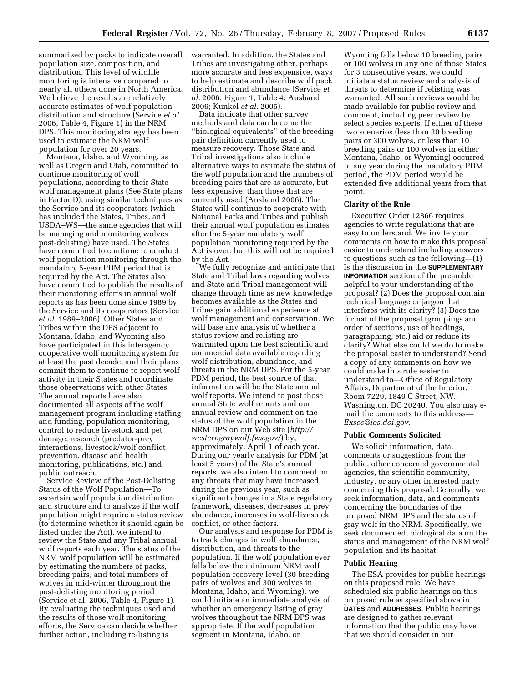summarized by packs to indicate overall population size, composition, and distribution. This level of wildlife monitoring is intensive compared to nearly all others done in North America. We believe the results are relatively accurate estimates of wolf population distribution and structure (Service *et al.*  2006, Table 4, Figure 1) in the NRM DPS. This monitoring strategy has been used to estimate the NRM wolf population for over 20 years.

Montana, Idaho, and Wyoming, as well as Oregon and Utah, committed to continue monitoring of wolf populations, according to their State wolf management plans (See State plans in Factor D), using similar techniques as the Service and its cooperators (which has included the States, Tribes, and USDA–WS—the same agencies that will be managing and monitoring wolves post-delisting) have used. The States have committed to continue to conduct wolf population monitoring through the mandatory 5-year PDM period that is required by the Act. The States also have committed to publish the results of their monitoring efforts in annual wolf reports as has been done since 1989 by the Service and its cooperators (Service *et al.* 1989–2006). Other States and Tribes within the DPS adjacent to Montana, Idaho, and Wyoming also have participated in this interagency cooperative wolf monitoring system for at least the past decade, and their plans commit them to continue to report wolf activity in their States and coordinate those observations with other States. The annual reports have also documented all aspects of the wolf management program including staffing and funding, population monitoring, control to reduce livestock and pet damage, research (predator-prey interactions, livestock/wolf conflict prevention, disease and health monitoring, publications, etc.) and public outreach.

Service Review of the Post-Delisting Status of the Wolf Population—To ascertain wolf population distribution and structure and to analyze if the wolf population might require a status review (to determine whether it should again be listed under the Act), we intend to review the State and any Tribal annual wolf reports each year. The status of the NRM wolf population will be estimated by estimating the numbers of packs, breeding pairs, and total numbers of wolves in mid-winter throughout the post-delisting monitoring period (Service et al. 2006, Table 4, Figure 1). By evaluating the techniques used and the results of those wolf monitoring efforts, the Service can decide whether further action, including re-listing is

warranted. In addition, the States and Tribes are investigating other, perhaps more accurate and less expensive, ways to help estimate and describe wolf pack distribution and abundance (Service *et al.* 2006, Figure 1, Table 4; Ausband 2006; Kunkel *et al.* 2005).

Data indicate that other survey methods and data can become the ''biological equivalents'' of the breeding pair definition currently used to measure recovery. Those State and Tribal investigations also include alternative ways to estimate the status of the wolf population and the numbers of breeding pairs that are as accurate, but less expensive, than those that are currently used (Ausband 2006). The States will continue to cooperate with National Parks and Tribes and publish their annual wolf population estimates after the 5-year mandatory wolf population monitoring required by the Act is over, but this will not be required by the Act.

We fully recognize and anticipate that State and Tribal laws regarding wolves and State and Tribal management will change through time as new knowledge becomes available as the States and Tribes gain additional experience at wolf management and conservation. We will base any analysis of whether a status review and relisting are warranted upon the best scientific and commercial data available regarding wolf distribution, abundance, and threats in the NRM DPS. For the 5-year PDM period, the best source of that information will be the State annual wolf reports. We intend to post those annual State wolf reports and our annual review and comment on the status of the wolf population in the NRM DPS on our Web site (*http:// westerngraywolf.fws.gov/*) by, approximately, April 1 of each year. During our yearly analysis for PDM (at least 5 years) of the State's annual reports, we also intend to comment on any threats that may have increased during the previous year, such as significant changes in a State regulatory framework, diseases, decreases in prey abundance, increases in wolf-livestock conflict, or other factors.

Our analysis and response for PDM is to track changes in wolf abundance, distribution, and threats to the population. If the wolf population ever falls below the minimum NRM wolf population recovery level (30 breeding pairs of wolves and 300 wolves in Montana, Idaho, and Wyoming), we could initiate an immediate analysis of whether an emergency listing of gray wolves throughout the NRM DPS was appropriate. If the wolf population segment in Montana, Idaho, or

Wyoming falls below 10 breeding pairs or 100 wolves in any one of those States for 3 consecutive years, we could initiate a status review and analysis of threats to determine if relisting was warranted. All such reviews would be made available for public review and comment, including peer review by select species experts. If either of these two scenarios (less than 30 breeding pairs or 300 wolves, or less than 10 breeding pairs or 100 wolves in either Montana, Idaho, or Wyoming) occurred in any year during the mandatory PDM period, the PDM period would be extended five additional years from that point.

#### **Clarity of the Rule**

Executive Order 12866 requires agencies to write regulations that are easy to understand. We invite your comments on how to make this proposal easier to understand including answers to questions such as the following—(1) Is the discussion in the **SUPPLEMENTARY INFORMATION** section of the preamble helpful to your understanding of the proposal? (2) Does the proposal contain technical language or jargon that interferes with its clarity? (3) Does the format of the proposal (groupings and order of sections, use of headings, paragraphing, etc.) aid or reduce its clarity? What else could we do to make the proposal easier to understand? Send a copy of any comments on how we could make this rule easier to understand to—Office of Regulatory Affairs, Department of the Interior, Room 7229, 1849 C Street, NW., Washington, DC 20240. You also may email the comments to this address*— Exsec@ios.doi.gov.* 

## **Public Comments Solicited**

We solicit information, data, comments or suggestions from the public, other concerned governmental agencies, the scientific community, industry, or any other interested party concerning this proposal. Generally, we seek information, data, and comments concerning the boundaries of the proposed NRM DPS and the status of gray wolf in the NRM. Specifically, we seek documented, biological data on the status and management of the NRM wolf population and its habitat.

#### **Public Hearing**

The ESA provides for public hearings on this proposed rule. We have scheduled six public hearings on this proposed rule as specified above in **DATES** and **ADDRESSES**. Public hearings are designed to gather relevant information that the public may have that we should consider in our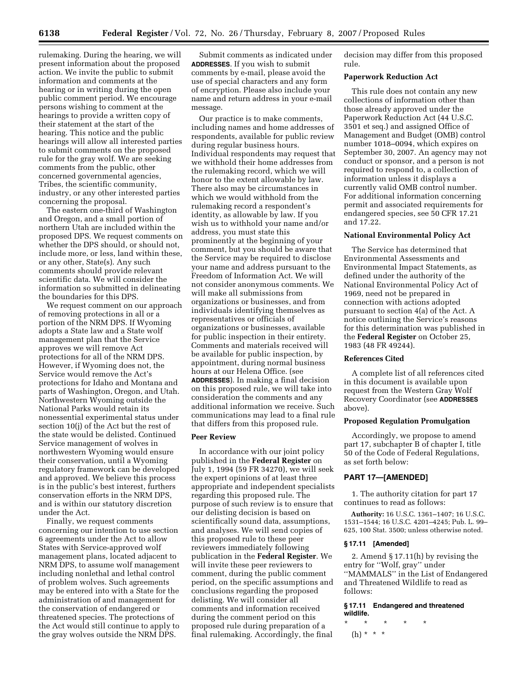rulemaking. During the hearing, we will present information about the proposed action. We invite the public to submit information and comments at the hearing or in writing during the open public comment period. We encourage persons wishing to comment at the hearings to provide a written copy of their statement at the start of the hearing. This notice and the public hearings will allow all interested parties to submit comments on the proposed rule for the gray wolf. We are seeking comments from the public, other concerned governmental agencies, Tribes, the scientific community, industry, or any other interested parties concerning the proposal.

The eastern one-third of Washington and Oregon, and a small portion of northern Utah are included within the proposed DPS. We request comments on whether the DPS should, or should not, include more, or less, land within these, or any other, State(s). Any such comments should provide relevant scientific data. We will consider the information so submitted in delineating the boundaries for this DPS.

We request comment on our approach of removing protections in all or a portion of the NRM DPS. If Wyoming adopts a State law and a State wolf management plan that the Service approves we will remove Act protections for all of the NRM DPS. However, if Wyoming does not, the Service would remove the Act's protections for Idaho and Montana and parts of Washington, Oregon, and Utah. Northwestern Wyoming outside the National Parks would retain its nonessential experimental status under section 10(j) of the Act but the rest of the state would be delisted. Continued Service management of wolves in northwestern Wyoming would ensure their conservation, until a Wyoming regulatory framework can be developed and approved. We believe this process is in the public's best interest, furthers conservation efforts in the NRM DPS, and is within our statutory discretion under the Act.

Finally, we request comments concerning our intention to use section 6 agreements under the Act to allow States with Service-approved wolf management plans, located adjacent to NRM DPS, to assume wolf management including nonlethal and lethal control of problem wolves. Such agreements may be entered into with a State for the administration of and management for the conservation of endangered or threatened species. The protections of the Act would still continue to apply to the gray wolves outside the NRM DPS.

Submit comments as indicated under **ADDRESSES**. If you wish to submit comments by e-mail, please avoid the use of special characters and any form of encryption. Please also include your name and return address in your e-mail message.

Our practice is to make comments, including names and home addresses of respondents, available for public review during regular business hours. Individual respondents may request that we withhold their home addresses from the rulemaking record, which we will honor to the extent allowable by law. There also may be circumstances in which we would withhold from the rulemaking record a respondent's identity, as allowable by law. If you wish us to withhold your name and/or address, you must state this prominently at the beginning of your comment, but you should be aware that the Service may be required to disclose your name and address pursuant to the Freedom of Information Act. We will not consider anonymous comments. We will make all submissions from organizations or businesses, and from individuals identifying themselves as representatives or officials of organizations or businesses, available for public inspection in their entirety. Comments and materials received will be available for public inspection, by appointment, during normal business hours at our Helena Office. (see **ADDRESSES**). In making a final decision on this proposed rule, we will take into consideration the comments and any additional information we receive. Such communications may lead to a final rule that differs from this proposed rule.

#### **Peer Review**

In accordance with our joint policy published in the **Federal Register** on July 1, 1994 (59 FR 34270), we will seek the expert opinions of at least three appropriate and independent specialists regarding this proposed rule. The purpose of such review is to ensure that our delisting decision is based on scientifically sound data, assumptions, and analyses. We will send copies of this proposed rule to these peer reviewers immediately following publication in the **Federal Register**. We will invite these peer reviewers to comment, during the public comment period, on the specific assumptions and conclusions regarding the proposed delisting. We will consider all comments and information received during the comment period on this proposed rule during preparation of a final rulemaking. Accordingly, the final

decision may differ from this proposed rule.

#### **Paperwork Reduction Act**

This rule does not contain any new collections of information other than those already approved under the Paperwork Reduction Act (44 U.S.C. 3501 et seq.) and assigned Office of Management and Budget (OMB) control number 1018–0094, which expires on September 30, 2007. An agency may not conduct or sponsor, and a person is not required to respond to, a collection of information unless it displays a currently valid OMB control number. For additional information concerning permit and associated requirements for endangered species, see 50 CFR 17.21 and 17.22.

#### **National Environmental Policy Act**

The Service has determined that Environmental Assessments and Environmental Impact Statements, as defined under the authority of the National Environmental Policy Act of 1969, need not be prepared in connection with actions adopted pursuant to section 4(a) of the Act. A notice outlining the Service's reasons for this determination was published in the **Federal Register** on October 25, 1983 (48 FR 49244).

#### **References Cited**

A complete list of all references cited in this document is available upon request from the Western Gray Wolf Recovery Coordinator (see **ADDRESSES** above).

## **Proposed Regulation Promulgation**

Accordingly, we propose to amend part 17, subchapter B of chapter I, title 50 of the Code of Federal Regulations, as set forth below:

#### **PART 17—[AMENDED]**

1. The authority citation for part 17 continues to read as follows:

**Authority:** 16 U.S.C. 1361–1407; 16 U.S.C. 1531–1544; 16 U.S.C. 4201–4245; Pub. L. 99– 625, 100 Stat. 3500; unless otherwise noted.

#### **§ 17.11 [Amended]**

2. Amend § 17.11(h) by revising the entry for ''Wolf, gray'' under ''MAMMALS'' in the List of Endangered and Threatened Wildlife to read as follows:

## **§ 17.11 Endangered and threatened wildlife.**

\* \* \* \* \* (h) \* \* \*